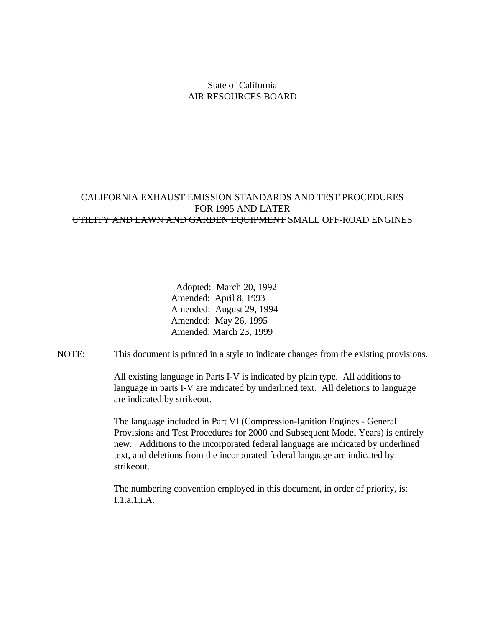#### State of California AIR RESOURCES BOARD

#### CALIFORNIA EXHAUST EMISSION STANDARDS AND TEST PROCEDURES FOR 1995 AND LATER UTILITY AND LAWN AND GARDEN EQUIPMENT SMALL OFF-ROAD ENGINES

 Adopted: March 20, 1992 Amended: April 8, 1993 Amended: August 29, 1994 Amended: May 26, 1995 Amended: March 23, 1999

NOTE: This document is printed in a style to indicate changes from the existing provisions.

All existing language in Parts I-V is indicated by plain type. All additions to language in parts I-V are indicated by <u>underlined</u> text. All deletions to language are indicated by strikeout.

The language included in Part VI (Compression-Ignition Engines - General Provisions and Test Procedures for 2000 and Subsequent Model Years) is entirely new. Additions to the incorporated federal language are indicated by underlined text, and deletions from the incorporated federal language are indicated by strikeout.

The numbering convention employed in this document, in order of priority, is:  $I.1a.1iA.$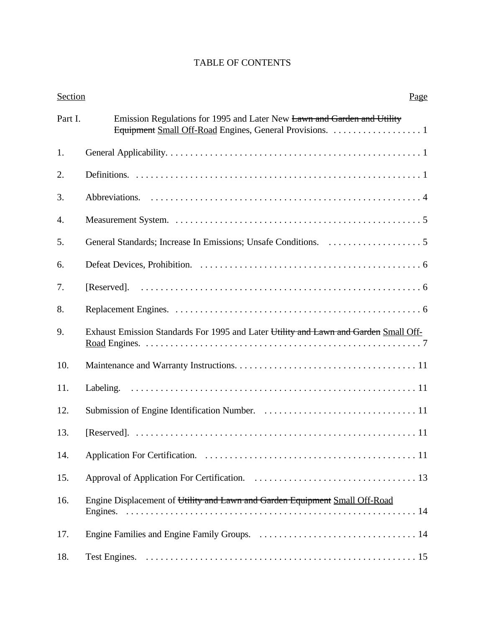| <b>Section</b> | Page                                                                                                                               |
|----------------|------------------------------------------------------------------------------------------------------------------------------------|
| Part I.        | Emission Regulations for 1995 and Later New Lawn and Garden and Utility<br>Equipment Small Off-Road Engines, General Provisions. 1 |
| 1.             |                                                                                                                                    |
| 2.             |                                                                                                                                    |
| 3.             |                                                                                                                                    |
| 4.             |                                                                                                                                    |
| 5.             |                                                                                                                                    |
| 6.             |                                                                                                                                    |
| 7.             |                                                                                                                                    |
| 8.             |                                                                                                                                    |
| 9.             | Exhaust Emission Standards For 1995 and Later Utility and Lawn and Garden Small Off-                                               |
| 10.            |                                                                                                                                    |
| 11.            |                                                                                                                                    |
| 12.            |                                                                                                                                    |
| 13.            |                                                                                                                                    |
| 14.            |                                                                                                                                    |
| 15.            |                                                                                                                                    |
| 16.            | Engine Displacement of Utility and Lawn and Garden Equipment Small Off-Road                                                        |
| 17.            |                                                                                                                                    |
| 18.            |                                                                                                                                    |

# TABLE OF CONTENTS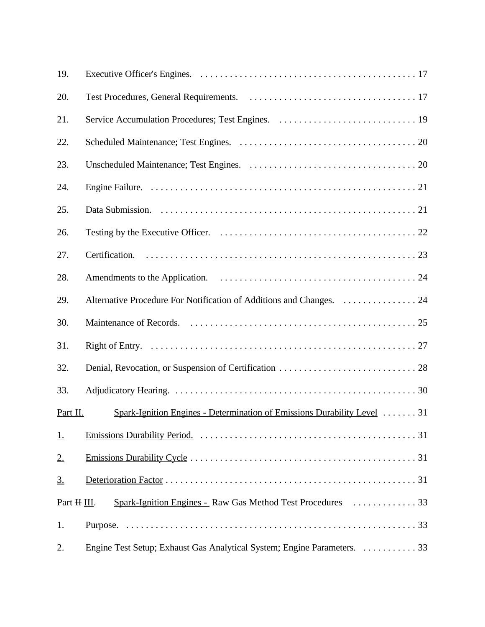| 19.         |                                                                                       |
|-------------|---------------------------------------------------------------------------------------|
| 20.         |                                                                                       |
| 21.         |                                                                                       |
| 22.         |                                                                                       |
| 23.         |                                                                                       |
| 24.         |                                                                                       |
| 25.         |                                                                                       |
| 26.         |                                                                                       |
| 27.         |                                                                                       |
| 28.         |                                                                                       |
| 29.         | Alternative Procedure For Notification of Additions and Changes.  24                  |
| 30.         |                                                                                       |
| 31.         |                                                                                       |
| 32.         |                                                                                       |
| 33.         |                                                                                       |
| Part II.    | Spark-Ignition Engines - Determination of Emissions Durability Level $\dots \dots$ 31 |
| 1.          |                                                                                       |
| 2.          |                                                                                       |
| 3.          |                                                                                       |
| Part H III. |                                                                                       |
| 1.          |                                                                                       |
| 2.          | Engine Test Setup; Exhaust Gas Analytical System; Engine Parameters. 33               |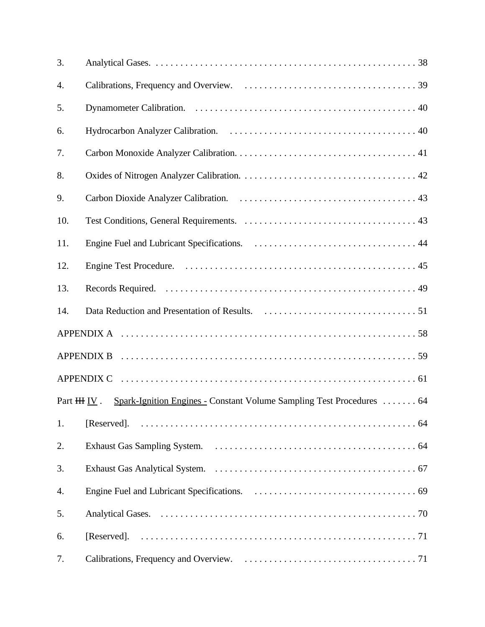| 3.             |                                                                       |
|----------------|-----------------------------------------------------------------------|
| 4.             |                                                                       |
| 5.             |                                                                       |
| 6.             |                                                                       |
| 7.             |                                                                       |
| 8.             |                                                                       |
| 9.             |                                                                       |
| 10.            |                                                                       |
| 11.            |                                                                       |
| 12.            |                                                                       |
| 13.            |                                                                       |
| 14.            |                                                                       |
|                |                                                                       |
|                |                                                                       |
|                |                                                                       |
| Part $HH IN$ . | Spark-Ignition Engines - Constant Volume Sampling Test Procedures  64 |
| 1.             | [Reserved].                                                           |
| 2.             |                                                                       |
| 3.             |                                                                       |
| 4.             |                                                                       |
| 5.             |                                                                       |
| 6.             | [Reserved].                                                           |
| 7.             |                                                                       |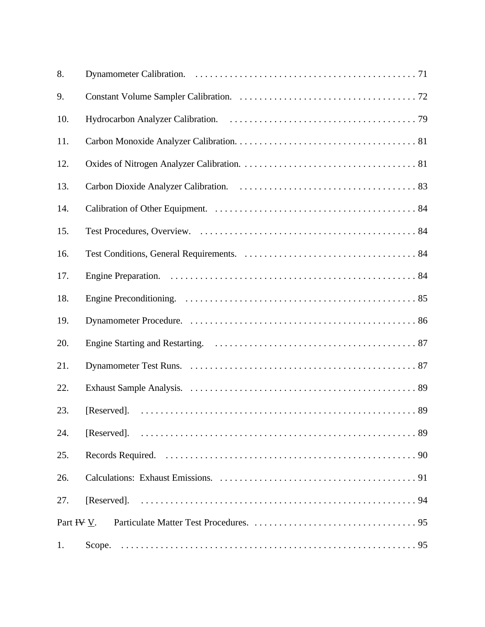| 8.         |  |
|------------|--|
| 9.         |  |
| 10.        |  |
| 11.        |  |
| 12.        |  |
| 13.        |  |
| 14.        |  |
| 15.        |  |
| 16.        |  |
| 17.        |  |
| 18.        |  |
| 19.        |  |
| 20.        |  |
| 21.        |  |
| 22.        |  |
| 23.        |  |
| 24.        |  |
| 25.        |  |
| 26.        |  |
| 27.        |  |
| Part HV V. |  |
| 1.         |  |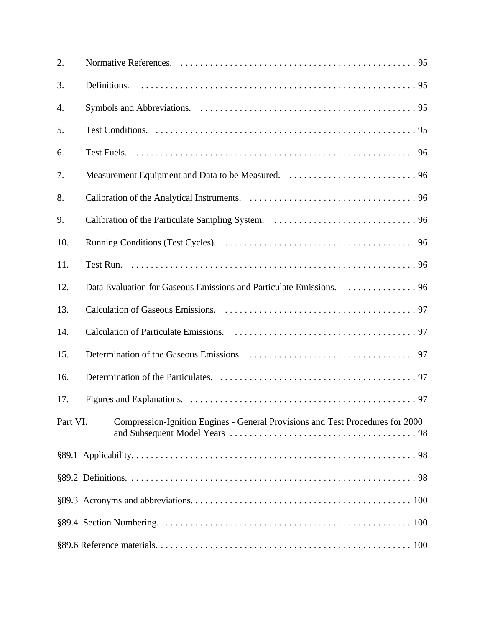| 2.       |                                                                                       |
|----------|---------------------------------------------------------------------------------------|
| 3.       |                                                                                       |
| 4.       |                                                                                       |
| 5.       |                                                                                       |
| 6.       |                                                                                       |
| 7.       |                                                                                       |
| 8.       |                                                                                       |
| 9.       |                                                                                       |
| 10.      |                                                                                       |
| 11.      |                                                                                       |
| 12.      | Data Evaluation for Gaseous Emissions and Particulate Emissions. 96                   |
| 13.      |                                                                                       |
| 14.      |                                                                                       |
| 15.      |                                                                                       |
| 16.      |                                                                                       |
| 17.      |                                                                                       |
| Part VI. | <u>Compression-Ignition Engines - General Provisions and Test Procedures for 2000</u> |
|          |                                                                                       |
|          |                                                                                       |
|          |                                                                                       |
|          |                                                                                       |
|          |                                                                                       |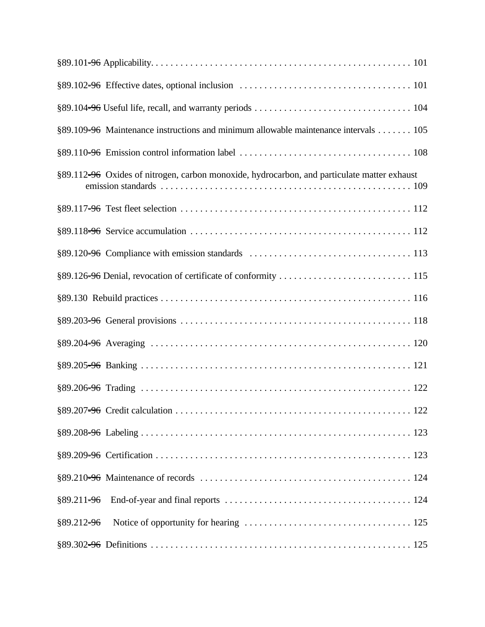|                | §89.109=96 Maintenance instructions and minimum allowable maintenance intervals 105         |
|----------------|---------------------------------------------------------------------------------------------|
|                |                                                                                             |
|                | §89.112=96 Oxides of nitrogen, carbon monoxide, hydrocarbon, and particulate matter exhaust |
|                |                                                                                             |
|                |                                                                                             |
|                |                                                                                             |
|                |                                                                                             |
|                |                                                                                             |
|                |                                                                                             |
|                |                                                                                             |
|                |                                                                                             |
|                |                                                                                             |
|                |                                                                                             |
|                |                                                                                             |
|                |                                                                                             |
|                |                                                                                             |
|                |                                                                                             |
| $§89.212 = 96$ |                                                                                             |
|                |                                                                                             |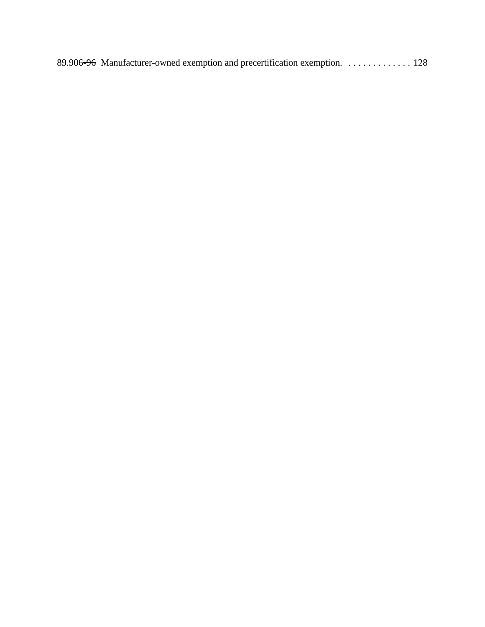89.906<del>-96</del> Manufacturer-owned exemption and precertification exemption. . . . . . . . . . . . . . 128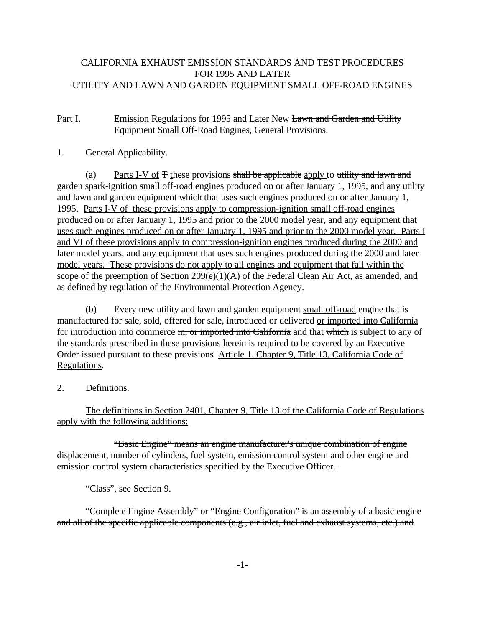#### CALIFORNIA EXHAUST EMISSION STANDARDS AND TEST PROCEDURES FOR 1995 AND LATER UTILITY AND LAWN AND GARDEN EQUIPMENT SMALL OFF-ROAD ENGINES

## Part I. Emission Regulations for 1995 and Later New Lawn and Garden and Utility Equipment Small Off-Road Engines, General Provisions.

## 1. General Applicability.

(a) Parts I-V of  $F$  these provisions shall be applicable apply to utility and lawn and garden spark-ignition small off-road engines produced on or after January 1, 1995, and any utility and lawn and garden equipment which that uses such engines produced on or after January 1, 1995. Parts I-V of these provisions apply to compression-ignition small off-road engines produced on or after January 1, 1995 and prior to the 2000 model year, and any equipment that uses such engines produced on or after January 1, 1995 and prior to the 2000 model year. Parts I and VI of these provisions apply to compression-ignition engines produced during the 2000 and later model years, and any equipment that uses such engines produced during the 2000 and later model years. These provisions do not apply to all engines and equipment that fall within the scope of the preemption of Section  $209(e)(1)(A)$  of the Federal Clean Air Act, as amended, and as defined by regulation of the Environmental Protection Agency.

for introduction into commerce in, or imported into California and that which is subject to any of Order issued pursuant to these provisions Article 1, Chapter 9, Title 13, California Code of (b) Every new utility and lawn and garden equipment small off-road engine that is manufactured for sale, sold, offered for sale, introduced or delivered or imported into California the standards prescribed in these provisions herein is required to be covered by an Executive Regulations.

2. Definitions.

The definitions in Section 2401, Chapter 9, Title 13 of the California Code of Regulations apply with the following additions:

"Basic Engine" means an engine manufacturer's unique combination of engine displacement, number of cylinders, fuel system, emission control system and other engine and emission control system characteristics specified by the Executive Officer.

"Class", see Section 9.

"Complete Engine Assembly" or "Engine Configuration" is an assembly of a basic engine and all of the specific applicable components (e.g., air inlet, fuel and exhaust systems, etc.) and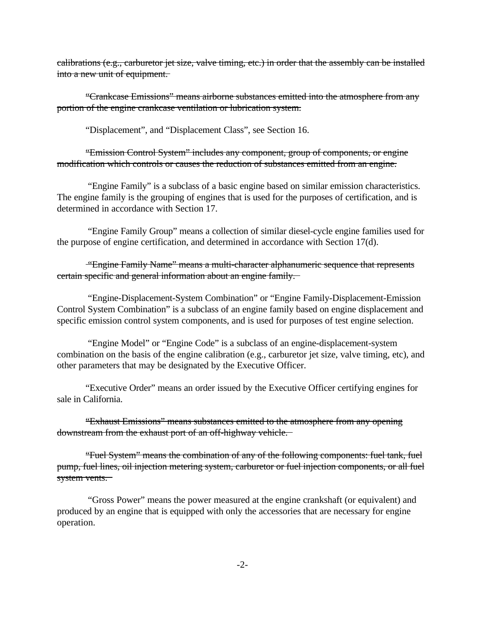calibrations (e.g., carburetor jet size, valve timing, etc.) in order that the assembly can be installed into a new unit of equipment.

"Crankcase Emissions" means airborne substances emitted into the atmosphere from any portion of the engine crankcase ventilation or lubrication system.

"Displacement", and "Displacement Class", see Section 16.

 modification which controls or causes the reduction of substances emitted from an engine. "Emission Control System" includes any component, group of components, or engine

 "Engine Family" is a subclass of a basic engine based on similar emission characteristics. The engine family is the grouping of engines that is used for the purposes of certification, and is determined in accordance with Section 17.

 "Engine Family Group" means a collection of similar diesel-cycle engine families used for the purpose of engine certification, and determined in accordance with Section 17(d).

"Engine Family Name" means a multi-character alphanumeric sequence that represents certain specific and general information about an engine family.

"Engine-Displacement-System Combination" or "Engine Family-Displacement-Emission Control System Combination" is a subclass of an engine family based on engine displacement and specific emission control system components, and is used for purposes of test engine selection.

"Engine Model" or "Engine Code" is a subclass of an engine-displacement-system combination on the basis of the engine calibration (e.g., carburetor jet size, valve timing, etc), and other parameters that may be designated by the Executive Officer.

"Executive Order" means an order issued by the Executive Officer certifying engines for sale in California.

"Exhaust Emissions" means substances emitted to the atmosphere from any opening downstream from the exhaust port of an off-highway vehicle.

"Fuel System" means the combination of any of the following components: fuel tank, fuel pump, fuel lines, oil injection metering system, carburetor or fuel injection components, or all fuel system vents.

"Gross Power" means the power measured at the engine crankshaft (or equivalent) and produced by an engine that is equipped with only the accessories that are necessary for engine operation.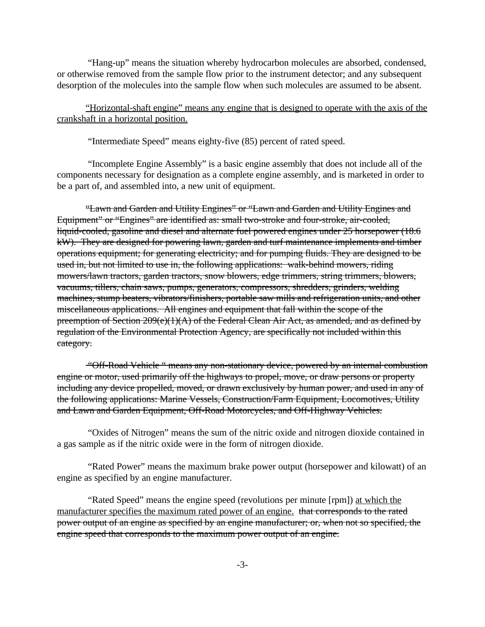"Hang-up" means the situation whereby hydrocarbon molecules are absorbed, condensed, or otherwise removed from the sample flow prior to the instrument detector; and any subsequent desorption of the molecules into the sample flow when such molecules are assumed to be absent.

#### "Horizontal-shaft engine" means any engine that is designed to operate with the axis of the crankshaft in a horizontal position.

"Intermediate Speed" means eighty-five (85) percent of rated speed.

"Incomplete Engine Assembly" is a basic engine assembly that does not include all of the components necessary for designation as a complete engine assembly, and is marketed in order to be a part of, and assembled into, a new unit of equipment.

"Lawn and Garden and Utility Engines" or "Lawn and Garden and Utility Engines and Equipment" or "Engines" are identified as: small two-stroke and four-stroke, air-cooled, liquid-cooled, gasoline and diesel and alternate fuel powered engines under 25 horsepower (18.6 kW). They are designed for powering lawn, garden and turf maintenance implements and timber operations equipment; for generating electricity; and for pumping fluids. They are designed to be used in, but not limited to use in, the following applications: walk-behind mowers, riding mowers/lawn tractors, garden tractors, snow blowers, edge trimmers, string trimmers, blowers, vacuums, tillers, chain saws, pumps, generators, compressors, shredders, grinders, welding machines, stump beaters, vibrators/finishers, portable saw mills and refrigeration units, and other miscellaneous applications. All engines and equipment that fall within the scope of the preemption of Section 209(e)(1)(A) of the Federal Clean Air Act, as amended, and as defined by regulation of the Environmental Protection Agency, are specifically not included within this category.

 and Lawn and Garden Equipment, Off-Road Motorcycles, and Off-Highway Vehicles. "Off-Road Vehicle " means any non-stationary device, powered by an internal combustion engine or motor, used primarily off the highways to propel, move, or draw persons or property including any device propelled, moved, or drawn exclusively by human power, and used in any of the following applications: Marine Vessels, Construction/Farm Equipment, Locomotives, Utility

 "Oxides of Nitrogen" means the sum of the nitric oxide and nitrogen dioxide contained in a gas sample as if the nitric oxide were in the form of nitrogen dioxide.

"Rated Power" means the maximum brake power output (horsepower and kilowatt) of an engine as specified by an engine manufacturer.

manufacturer specifies the maximum rated power of an engine. that corresponds to the rated engine speed that corresponds to the maximum power output of an engine.<br>-3-"Rated Speed" means the engine speed (revolutions per minute [rpm]) at which the power output of an engine as specified by an engine manufacturer; or, when not so specified, the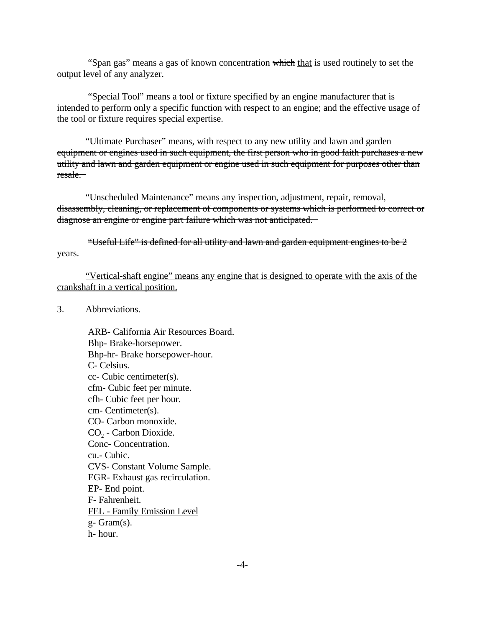"Span gas" means a gas of known concentration which that is used routinely to set the output level of any analyzer.

"Special Tool" means a tool or fixture specified by an engine manufacturer that is intended to perform only a specific function with respect to an engine; and the effective usage of the tool or fixture requires special expertise.

"Ultimate Purchaser" means, with respect to any new utility and lawn and garden equipment or engines used in such equipment, the first person who in good faith purchases a new utility and lawn and garden equipment or engine used in such equipment for purposes other than resale.

"Unscheduled Maintenance" means any inspection, adjustment, repair, removal, disassembly, cleaning, or replacement of components or systems which is performed to correct or diagnose an engine or engine part failure which was not anticipated.

"Useful Life" is defined for all utility and lawn and garden equipment engines to be  $2$ years.

"Vertical-shaft engine" means any engine that is designed to operate with the axis of the crankshaft in a vertical position.

3. Abbreviations.

ARB- California Air Resources Board. Bhp- Brake-horsepower. Bhp-hr- Brake horsepower-hour. C- Celsius. cc- Cubic centimeter(s). cfm- Cubic feet per minute. cfh- Cubic feet per hour. cm- Centimeter(s). CO- Carbon monoxide. CO<sub>2</sub> - Carbon Dioxide. Conc- Concentration. cu.- Cubic. CVS- Constant Volume Sample. EGR- Exhaust gas recirculation. EP- End point. F- Fahrenheit. FEL - Family Emission Level g- Gram(s). h- hour.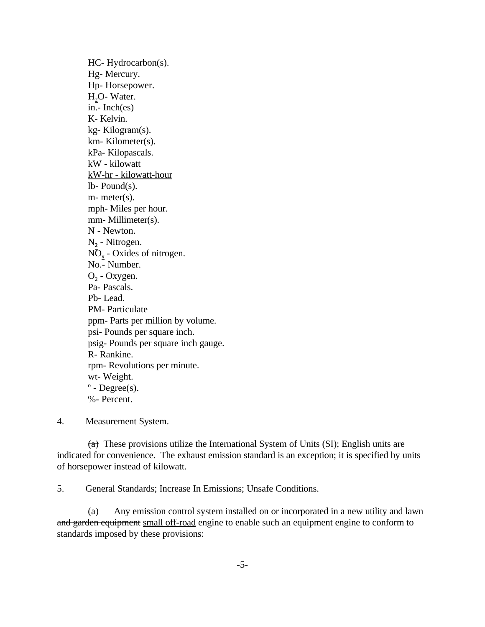HC- Hydrocarbon(s). Hg- Mercury. Hp- Horsepower.  $H<sub>2</sub>O-Water.$  in.- Inch(es) K- Kelvin. kg- Kilogram(s). km- Kilometer(s). kPa- Kilopascals. kW - kilowatt kW-hr - kilowatt-hour lb- Pound(s). m- meter(s). mph- Miles per hour. mm- Millimeter(s). N - Newton. N**2** - Nitrogen.  $N\overline{O}_x$  - Oxides of nitrogen. No.- Number.  $O<sub>2</sub>$  - Oxygen. Pa- Pascals. Pb- Lead. PM- Particulate ppm- Parts per million by volume. psi- Pounds per square inch. psig- Pounds per square inch gauge. R- Rankine. rpm- Revolutions per minute. wt- Weight.  $\degree$  - Degree(s). %- Percent.

4. Measurement System.

 $(a)$  These provisions utilize the International System of Units (SI); English units are indicated for convenience. The exhaust emission standard is an exception; it is specified by units of horsepower instead of kilowatt.

5. General Standards; Increase In Emissions; Unsafe Conditions.

(a) Any emission control system installed on or incorporated in a new utility and lawn and garden equipment small off-road engine to enable such an equipment engine to conform to standards imposed by these provisions: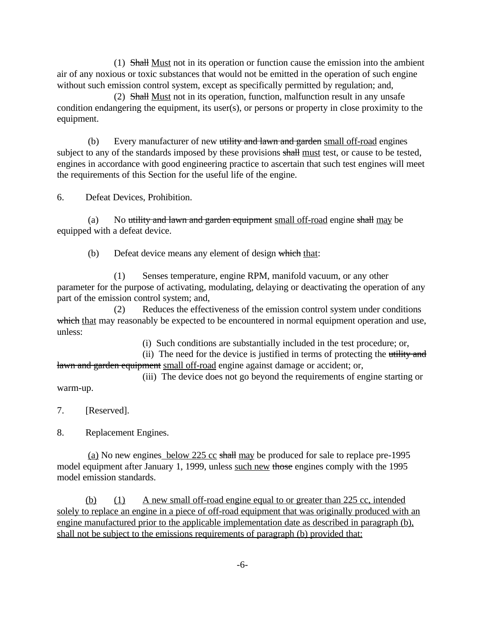(1) Shall Must not in its operation or function cause the emission into the ambient air of any noxious or toxic substances that would not be emitted in the operation of such engine without such emission control system, except as specifically permitted by regulation; and,

(2) Shall Must not in its operation, function, malfunction result in any unsafe condition endangering the equipment, its user(s), or persons or property in close proximity to the equipment.

(b) Every manufacturer of new utility and lawn and garden small off-road engines subject to any of the standards imposed by these provisions shall must test, or cause to be tested, engines in accordance with good engineering practice to ascertain that such test engines will meet the requirements of this Section for the useful life of the engine.

6. Defeat Devices, Prohibition.

(a) No utility and lawn and garden equipment small off-road engine shall may be equipped with a defeat device.

(b) Defeat device means any element of design which that:

(1) Senses temperature, engine RPM, manifold vacuum, or any other parameter for the purpose of activating, modulating, delaying or deactivating the operation of any part of the emission control system; and,

(2) Reduces the effectiveness of the emission control system under conditions which that may reasonably be expected to be encountered in normal equipment operation and use, unless:

(i) Such conditions are substantially included in the test procedure; or,

(ii) The need for the device is justified in terms of protecting the utility and lawn and garden equipment small off-road engine against damage or accident; or,

(iii) The device does not go beyond the requirements of engine starting or warm-up.

7. [Reserved].

8. Replacement Engines.

(a) No new engines below 225 cc shall may be produced for sale to replace pre-1995 model equipment after January 1, 1999, unless such new those engines comply with the 1995 model emission standards.

(b) (1) A new small off-road engine equal to or greater than 225 cc, intended solely to replace an engine in a piece of off-road equipment that was originally produced with an engine manufactured prior to the applicable implementation date as described in paragraph (b), shall not be subject to the emissions requirements of paragraph (b) provided that: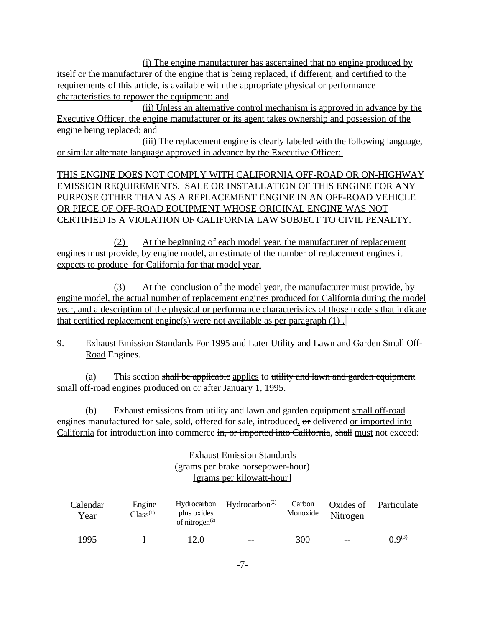(i) The engine manufacturer has ascertained that no engine produced by itself or the manufacturer of the engine that is being replaced, if different, and certified to the requirements of this article, is available with the appropriate physical or performance characteristics to repower the equipment; and

(ii) Unless an alternative control mechanism is approved in advance by the Executive Officer, the engine manufacturer or its agent takes ownership and possession of the engine being replaced; and

(iii) The replacement engine is clearly labeled with the following language, or similar alternate language approved in advance by the Executive Officer:

THIS ENGINE DOES NOT COMPLY WITH CALIFORNIA OFF-ROAD OR ON-HIGHWAY EMISSION REQUIREMENTS. SALE OR INSTALLATION OF THIS ENGINE FOR ANY PURPOSE OTHER THAN AS A REPLACEMENT ENGINE IN AN OFF-ROAD VEHICLE OR PIECE OF OFF-ROAD EQUIPMENT WHOSE ORIGINAL ENGINE WAS NOT CERTIFIED IS A VIOLATION OF CALIFORNIA LAW SUBJECT TO CIVIL PENALTY.

(2) At the beginning of each model year, the manufacturer of replacement engines must provide, by engine model, an estimate of the number of replacement engines it expects to produce for California for that model year.

(3) At the conclusion of the model year, the manufacturer must provide, by engine model, the actual number of replacement engines produced for California during the model year, and a description of the physical or performance characteristics of those models that indicate that certified replacement engine(s) were not available as per paragraph (1) .

9. Exhaust Emission Standards For 1995 and Later Utility and Lawn and Garden Small Off-Road Engines.

(a) This section shall be applicable applies to utility and lawn and garden equipment small off-road engines produced on or after January 1, 1995.

(b) Exhaust emissions from utility and lawn and garden equipment small off-road engines manufactured for sale, sold, offered for sale, introduced, or delivered or imported into California for introduction into commerce in, or imported into California, shall must not exceed:

> Exhaust Emission Standards (grams per brake horsepower-hour) [grams per kilowatt-hour]

| Calendar<br>Year | Engine<br>plus oxides<br>Class <sup>(1)</sup><br>of nitrogen $(2)$ |      | Hydrocarbon $Hydrocarbon(2)$ | Carbon<br>Monoxide | Oxides of<br>Nitrogen | Particulate     |  |
|------------------|--------------------------------------------------------------------|------|------------------------------|--------------------|-----------------------|-----------------|--|
| 1995             |                                                                    | 12.0 | $- -$                        | 300                | $-$                   | $(1)$ $Q^{(3)}$ |  |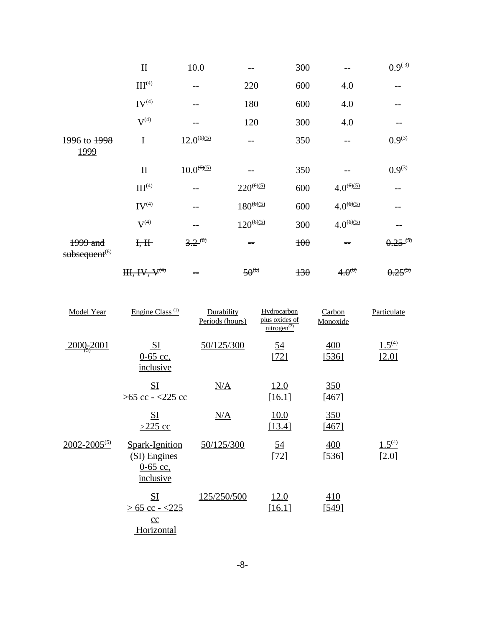|                                       | $\mathbf{I}$             | 10.0            |                | 300   |                    | $0.9^{(3)}$  |
|---------------------------------------|--------------------------|-----------------|----------------|-------|--------------------|--------------|
|                                       | III <sup>(4)</sup>       |                 | 220            | 600   | 4.0                |              |
|                                       | $IV^{(4)}$               |                 | 180            | 600   | 4.0                |              |
|                                       | ${\bf V}^{(4)}$          |                 | 120            | 300   | 4.0                |              |
| 1996 to 1998<br>1999                  | I                        | $12.0^{(6)(5)}$ | --             | 350   |                    | $0.9^{(3)}$  |
|                                       | $\mathbf{I}$             | $10.0^{(6)(5)}$ |                | 350   |                    | $0.9^{(3)}$  |
|                                       | III <sup>(4)</sup>       |                 | $220^{(6)(5)}$ | 600   | $4.0^{(6)(5)}$     |              |
|                                       | $IV^{(4)}$               |                 | $180^{(6)(5)}$ | 600   | $4.0^{(6)(5)}$     |              |
|                                       | $V^{(4)}$                |                 | $120^{(6)(5)}$ | 300   | $4.0^{(6)(5)}$     |              |
| 1999 and<br>subsequent <sup>(6)</sup> | H, H                     | $3.2^{(6)}$     | $=$            | 100   | $=$                | $0.25^{(5)}$ |
|                                       | HH, HV, V <sup>(4)</sup> | $=$             | $50^{(6)}$     | $+30$ | 4.0 <sup>(6)</sup> | $0.25^{(5)}$ |

| Model Year          | Engine Class <sup>(1)</sup>                                      | Durability<br>Periods (hours) | Hydrocarbon<br>plus oxides of<br>nitrogen <sup>(2)</sup> | Carbon<br>Monoxide  | Particulate          |
|---------------------|------------------------------------------------------------------|-------------------------------|----------------------------------------------------------|---------------------|----------------------|
| $2000 - 2001$       | SL<br>$0-65$ cc,<br>inclusive                                    | 50/125/300                    | <u>54</u><br>[72]                                        | 400<br>[536]        | $1.5^{(4)}$<br>[2.0] |
|                     | S <sub>I</sub><br>$>65$ cc - <225 cc                             | N/A                           | <u>12.0</u><br>[16.1]                                    | 350<br>[467]        |                      |
|                     | <u>SI</u><br>$\geq$ 225 cc                                       | N/A                           | <u>10.0</u><br>[13.4]                                    | <u>350</u><br>[467] |                      |
| $2002 - 2005^{(5)}$ | Spark-Ignition<br>(SI) Engines<br>$0-65$ cc,<br>inclusive        | 50/125/300                    | <u>54</u><br>$[72]$                                      | 400<br>[536]        | $1.5^{(4)}$<br>[2.0] |
|                     | $S_{1}$<br>$> 65$ cc - $< 225$<br>$\underline{cc}$<br>Horizontal | 125/250/500                   | 12.0<br>[16.1]                                           | 410<br><u>[549]</u> |                      |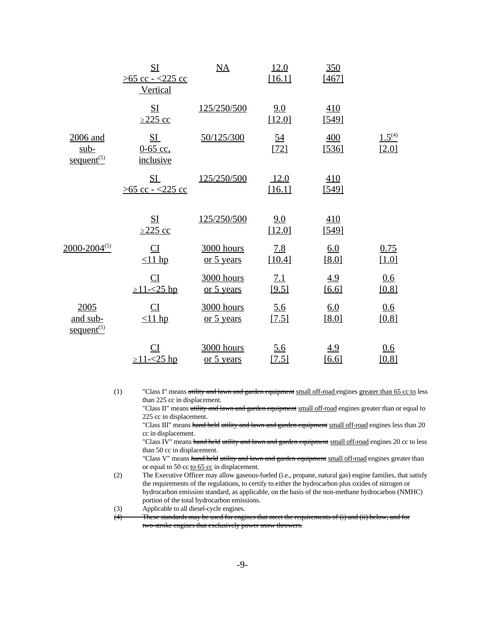|                                              | S <sub>I</sub><br>$>65$ cc - <225 cc<br>Vertical | $\overline{\text{NA}}$   | 12.0<br>[16.1]       | 350<br>[467] |                      |
|----------------------------------------------|--------------------------------------------------|--------------------------|----------------------|--------------|----------------------|
|                                              | SI<br>$\geq$ 225 cc                              | 125/250/500              | 9.0<br>[12.0]        | 410<br>[549] |                      |
| 2006 and<br>$sub-$<br>$\text{sequent}^{(5)}$ | $S_{\frac{1}{2}}$<br>$0 - 65$ cc,<br>inclusive   | 50/125/300               | <u>54</u><br>$[72]$  | 400<br>[536] | $1.5^{(4)}$<br>[2.0] |
|                                              | SL<br>$>65$ cc - <225 cc                         | 125/250/500              | 12.0<br>[16.1]       | 410<br>[549] |                      |
|                                              | SI<br>$\geq$ 225 cc                              | 125/250/500              | 9.0<br>[12.0]        | 410<br>[549] |                      |
| $2000 - 2004^{(5)}$                          | $\mathbf{C}$<br>$\leq$ 11 hp                     | 3000 hours<br>or 5 years | <u>7.8</u><br>[10.4] | 6.0<br>[8.0] | 0.75<br>[1.0]        |
|                                              | CI<br>$\geq$ 11- $\leq$ 25 hp                    | 3000 hours<br>or 5 years | 7.1<br>[9.5]         | 4.9<br>[6.6] | 0.6<br>[0.8]         |
| 2005<br>and sub-<br>$\text{sequent}^{(5)}$   | $_{CI}$<br>$\leq$ 11 hp                          | 3000 hours<br>or 5 years | 5.6<br>[7.5]         | 6.0<br>[8.0] | 0.6<br>[0.8]         |
|                                              | CI<br>$\geq$ 11- $\leq$ 25 hp                    | 3000 hours<br>or 5 years | 5.6<br>[7.5]         | 4.9<br>[6.6] | 0.6<br>[0.8]         |

(1) "Class I" means utility and lawn and garden equipment small off-road engines greater than 65 cc to less than 225 cc in displacement.

"Class II" means utility and lawn and garden equipment small off-road engines greater than or equal to 225 cc in displacement.

"Class III" means hand held utility and lawn and garden equipment small off-road engines less than 20 cc in displacement.

"Class IV" means hand held utility and lawn and garden equipment small off-road engines 20 cc to less than 50 cc in displacement.

"Class V" means hand held utility and lawn and garden equipment small off-road engines greater than or equal to 50 cc to 65 cc in displacement.

(2) The Executive Officer may allow gaseous-fueled (i.e., propane, natural gas) engine families, that satisfy the requirements of the regulations, to certify to either the hydrocarbon plus oxides of nitrogen or hydrocarbon emission standard, as applicable, on the basis of the non-methane hydrocarbon (NMHC) portion of the total hydrocarbon emissions.

(3) Applicable to all diesel-cycle engines.

(4) These standards may be used for engines that meet the requirements of (i) and (ii) below, and for two-stroke engines that exclusively power snow throwers.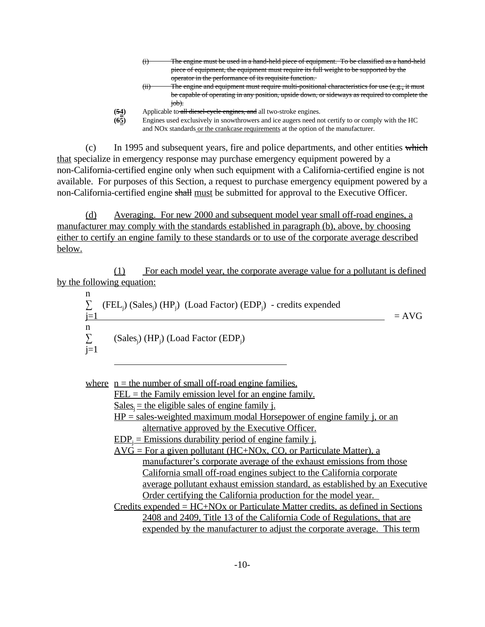|     | The engine must be used in a hand-held piece of equipment. To be classified as a hand-held                                                                                                      |
|-----|-------------------------------------------------------------------------------------------------------------------------------------------------------------------------------------------------|
|     | piece of equipment, the equipment must require its full weight to be supported by the                                                                                                           |
|     | operator in the performance of its requisite function.                                                                                                                                          |
| ረደነ | The engine and equipment must neglige multi-negliginal elementarias for use (e.g. it must<br>THE CIPINE AND COUNTINGIN. INDICATION COUNTY INDICEDUATIONAL CHARACTERIUS TOP USE (C.P., IL INDICI |

- $(i)$  The engine and equipment must require multi-positional characteristics for use (e.g., it must be capable of operating in any position, upside down, or sideways as required to complete the job).
- 
- **(5<u>4</u>)** Applicable to all diesel-cycle engines, and all two-stroke engines.<br> **(6<u>5</u>)** Engines used exclusively in snowthrowers and ice augers need no **(65)** Engines used exclusively in snowthrowers and ice augers need not certify to or comply with the HC and NOx standards or the crankcase requirements at the option of the manufacturer.

 $(c)$  In 1995 and subsequent years, fire and police departments, and other entities which that specialize in emergency response may purchase emergency equipment powered by a non-California-certified engine only when such equipment with a California-certified engine is not available. For purposes of this Section, a request to purchase emergency equipment powered by a non-California-certified engine shall must be submitted for approval to the Executive Officer.

(d) Averaging. For new 2000 and subsequent model year small off-road engines, a manufacturer may comply with the standards established in paragraph (b), above, by choosing either to certify an engine family to these standards or to use of the corporate average described below.

(1) For each model year, the corporate average value for a pollutant is defined by the following equation:

 $\sum$  (FEL<sub>j</sub>) (Sales<sub>j</sub>) (HP<sub>j</sub>) (Load Factor) (EDP<sub>j</sub>) - credits expended  $\sum$  (Sales<sub>j</sub>) (HP<sub>j</sub>) (Load Factor (EDP<sub>j</sub>)  $\frac{n}{\sum}$  $j=1$   $=$  AVG n  $\sum_{j=1}$ 

where  $n =$  the number of small off-road engine families.

l,

 $FEL =$  the Family emission level for an engine family.

 $Sales_i =$  the eligible sales of engine family j.

 $HP = sales-weighted maximum modal Horsepower of engine family i, or an$ alternative approved by the Executive Officer.

 $EDP_j = E$ missions durability period of engine family j.

 $AVG = For a given pollutant (HC+NOx, CO, or Particulate Matter), a$ manufacturer's corporate average of the exhaust emissions from those California small off-road engines subject to the California corporate average pollutant exhaust emission standard, as established by an Executive Order certifying the California production for the model year.

Credits expended = HC+NOx or Particulate Matter credits, as defined in Sections 2408 and 2409, Title 13 of the California Code of Regulations, that are expended by the manufacturer to adjust the corporate average. This term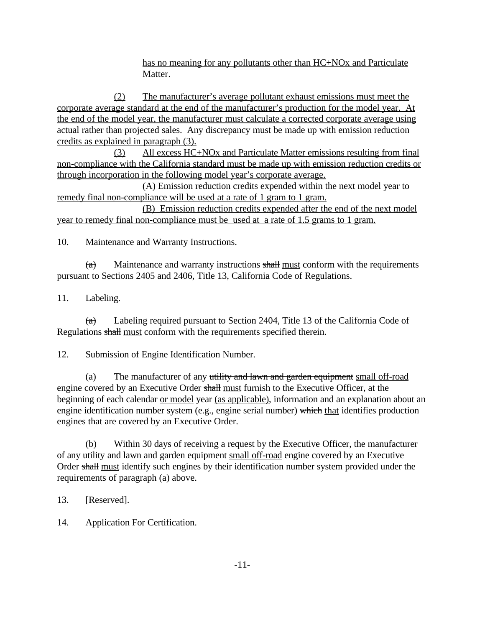has no meaning for any pollutants other than HC+NOx and Particulate Matter.

(2) The manufacturer's average pollutant exhaust emissions must meet the corporate average standard at the end of the manufacturer's production for the model year. At the end of the model year, the manufacturer must calculate a corrected corporate average using actual rather than projected sales. Any discrepancy must be made up with emission reduction credits as explained in paragraph (3).

(3) All excess HC+NOx and Particulate Matter emissions resulting from final non-compliance with the California standard must be made up with emission reduction credits or through incorporation in the following model year's corporate average.

(A) Emission reduction credits expended within the next model year to remedy final non-compliance will be used at a rate of 1 gram to 1 gram.

(B) Emission reduction credits expended after the end of the next model year to remedy final non-compliance must be used at a rate of 1.5 grams to 1 gram.

10. Maintenance and Warranty Instructions.

 $(a)$  $(a)$  Maintenance and warranty instructions shall must conform with the requirements pursuant to Sections 2405 and 2406, Title 13, California Code of Regulations.

11. Labeling.

 $(a)$  Labeling required pursuant to Section 2404, Title 13 of the California Code of Regulations shall must conform with the requirements specified therein.

12. Submission of Engine Identification Number.

(a) The manufacturer of any utility and lawn and garden equipment small off-road engine covered by an Executive Order shall must furnish to the Executive Officer, at the beginning of each calendar <u>or model</u> year (as applicable), information and an explanation about an engine identification number system (e.g., engine serial number) which that identifies production engines that are covered by an Executive Order.

(b) Within 30 days of receiving a request by the Executive Officer, the manufacturer of any utility and lawn and garden equipment small off-road engine covered by an Executive Order shall must identify such engines by their identification number system provided under the requirements of paragraph (a) above.

13. [Reserved].

14. Application For Certification.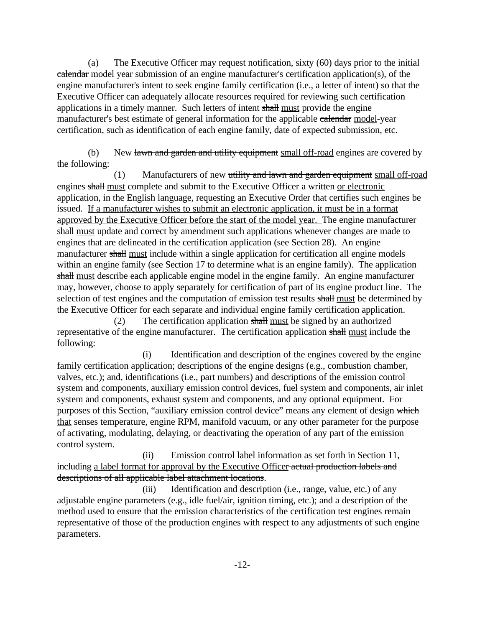(a) The Executive Officer may request notification, sixty (60) days prior to the initial calendar model year submission of an engine manufacturer's certification application(s), of the engine manufacturer's intent to seek engine family certification (i.e., a letter of intent) so that the Executive Officer can adequately allocate resources required for reviewing such certification applications in a timely manner. Such letters of intent shall must provide the engine manufacturer's best estimate of general information for the applicable calendar model-year certification, such as identification of each engine family, date of expected submission, etc.

(b) New lawn and garden and utility equipment small off-road engines are covered by the following:

(1) Manufacturers of new utility and lawn and garden equipment small off-road engines shall must complete and submit to the Executive Officer a written or electronic application, in the English language, requesting an Executive Order that certifies such engines be issued. If a manufacturer wishes to submit an electronic application, it must be in a format approved by the Executive Officer before the start of the model year. The engine manufacturer shall must update and correct by amendment such applications whenever changes are made to engines that are delineated in the certification application (see Section 28). An engine manufacturer shall must include within a single application for certification all engine models within an engine family (see Section 17 to determine what is an engine family). The application shall must describe each applicable engine model in the engine family. An engine manufacturer may, however, choose to apply separately for certification of part of its engine product line. The selection of test engines and the computation of emission test results shall must be determined by the Executive Officer for each separate and individual engine family certification application.

(2) The certification application shall must be signed by an authorized representative of the engine manufacturer. The certification application shall must include the following:

(i) Identification and description of the engines covered by the engine family certification application; descriptions of the engine designs (e.g., combustion chamber, valves, etc.); and, identifications (i.e., part numbers) and descriptions of the emission control system and components, auxiliary emission control devices, fuel system and components, air inlet system and components, exhaust system and components, and any optional equipment. For purposes of this Section, "auxiliary emission control device" means any element of design which that senses temperature, engine RPM, manifold vacuum, or any other parameter for the purpose of activating, modulating, delaying, or deactivating the operation of any part of the emission control system.

(ii) Emission control label information as set forth in Section 11, including a label format for approval by the Executive Officer actual production labels and descriptions of all applicable label attachment locations.

(iii) Identification and description (i.e., range, value, etc.) of any adjustable engine parameters (e.g., idle fuel/air, ignition timing, etc.); and a description of the method used to ensure that the emission characteristics of the certification test engines remain representative of those of the production engines with respect to any adjustments of such engine parameters.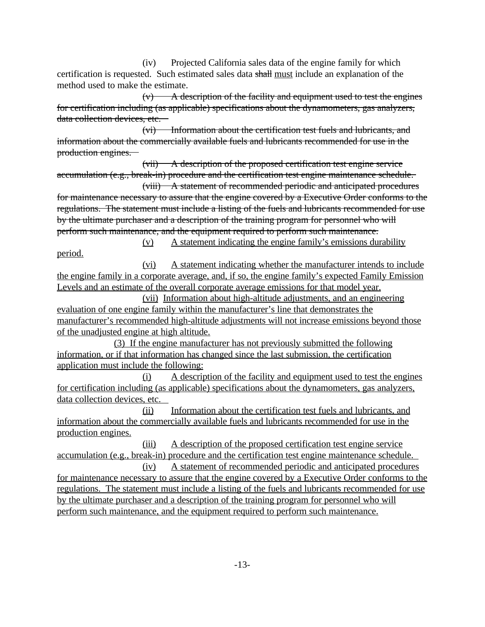(iv) Projected California sales data of the engine family for which certification is requested. Such estimated sales data shall must include an explanation of the method used to make the estimate.

 $(v)$  A description of the facility and equipment used to test the engines for certification including (as applicable) specifications about the dynamometers, gas analyzers, data collection devices, etc.

(vi) Information about the certification test fuels and lubricants, and information about the commercially available fuels and lubricants recommended for use in the production engines.

(vii) A description of the proposed certification test engine service accumulation (e.g., break-in) procedure and the certification test engine maintenance schedule.

(viii) A statement of recommended periodic and anticipated procedures for maintenance necessary to assure that the engine covered by a Executive Order conforms to the regulations. The statement must include a listing of the fuels and lubricants recommended for use by the ultimate purchaser and a description of the training program for personnel who will perform such maintenance, and the equipment required to perform such maintenance.

(v) A statement indicating the engine family's emissions durability period.

(vi) A statement indicating whether the manufacturer intends to include the engine family in a corporate average, and, if so, the engine family's expected Family Emission Levels and an estimate of the overall corporate average emissions for that model year.

 (vii) Information about high-altitude adjustments, and an engineering evaluation of one engine family within the manufacturer's line that demonstrates the manufacturer's recommended high-altitude adjustments will not increase emissions beyond those of the unadjusted engine at high altitude.

(3) If the engine manufacturer has not previously submitted the following information, or if that information has changed since the last submission, the certification application must include the following:

(i) A description of the facility and equipment used to test the engines for certification including (as applicable) specifications about the dynamometers, gas analyzers, data collection devices, etc.

(ii) Information about the certification test fuels and lubricants, and information about the commercially available fuels and lubricants recommended for use in the production engines.

(iii) A description of the proposed certification test engine service accumulation (e.g., break-in) procedure and the certification test engine maintenance schedule. (iv) A statement of recommended periodic and anticipated procedures

for maintenance necessary to assure that the engine covered by a Executive Order conforms to the regulations. The statement must include a listing of the fuels and lubricants recommended for use by the ultimate purchaser and a description of the training program for personnel who will perform such maintenance, and the equipment required to perform such maintenance.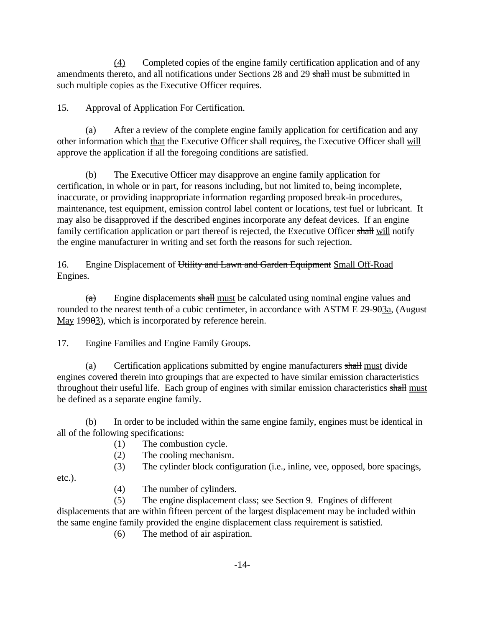$\frac{(4)}{(4)}$  Completed copies of the engine family certification application and of any amendments thereto, and all notifications under Sections 28 and 29 shall must be submitted in such multiple copies as the Executive Officer requires.

15. Approval of Application For Certification.

other information which that the Executive Officer shall requires, the Executive Officer shall will (a) After a review of the complete engine family application for certification and any approve the application if all the foregoing conditions are satisfied.

(b) The Executive Officer may disapprove an engine family application for certification, in whole or in part, for reasons including, but not limited to, being incomplete, inaccurate, or providing inappropriate information regarding proposed break-in procedures, maintenance, test equipment, emission control label content or locations, test fuel or lubricant. It may also be disapproved if the described engines incorporate any defeat devices. If an engine family certification application or part thereof is rejected, the Executive Officer shall will notify the engine manufacturer in writing and set forth the reasons for such rejection.

16. Engine Displacement of Utility and Lawn and Garden Equipment Small Off-Road Engines.

(a) Engine displacements shall <u>must</u> be calculated using nominal engine values and rounded to the nearest tenth of a cubic centimeter, in accordance with ASTM E 29-903a, (August May 19903), which is incorporated by reference herein.

Engine Families and Engine Family Groups.

17. Engine Families and Engine Family Groups.<br>
(a) Certification applications submitted by engine manufacturers shall must divide engines covered therein into groupings that are expected to have similar emission characteristics throughout their useful life. Each group of engines with similar emission characteristics shall must be defined as a separate engine family.

(b) In order to be included within the same engine family, engines must be identical in all of the following specifications:

- (1) The combustion cycle.
- (2) The cooling mechanism.
- (3) The cylinder block configuration (i.e., inline, vee, opposed, bore spacings,

etc.).

(4) The number of cylinders.

(5) The engine displacement class; see Section 9. Engines of different displacements that are within fifteen percent of the largest displacement may be included within the same engine family provided the engine displacement class requirement is satisfied.

(6) The method of air aspiration.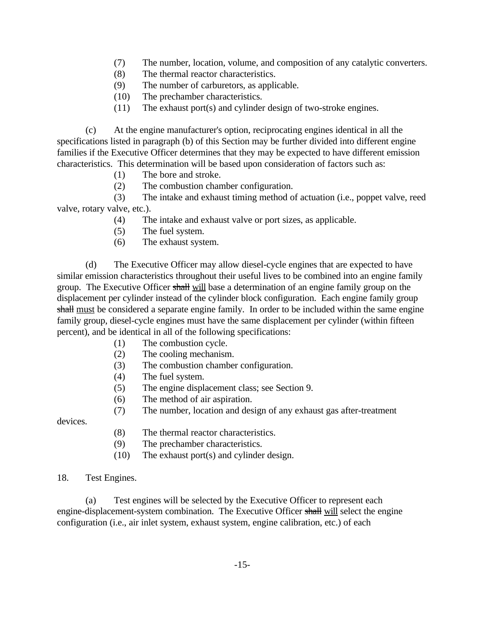- (7) The number, location, volume, and composition of any catalytic converters.
- (8) The thermal reactor characteristics.
- (9) The number of carburetors, as applicable.
- (10) The prechamber characteristics.
- (11) The exhaust port(s) and cylinder design of two-stroke engines.

(c) At the engine manufacturer's option, reciprocating engines identical in all the specifications listed in paragraph (b) of this Section may be further divided into different engine families if the Executive Officer determines that they may be expected to have different emission characteristics. This determination will be based upon consideration of factors such as:

- (1) The bore and stroke.
- (2) The combustion chamber configuration.

(3) The intake and exhaust timing method of actuation (i.e., poppet valve, reed valve, rotary valve, etc.).

- (4) The intake and exhaust valve or port sizes, as applicable.
- (5) The fuel system.
- (6) The exhaust system.

(d) The Executive Officer may allow diesel-cycle engines that are expected to have similar emission characteristics throughout their useful lives to be combined into an engine family group. The Executive Officer shall will base a determination of an engine family group on the displacement per cylinder instead of the cylinder block configuration. Each engine family group shall must be considered a separate engine family. In order to be included within the same engine family group, diesel-cycle engines must have the same displacement per cylinder (within fifteen percent), and be identical in all of the following specifications:

- (1) The combustion cycle.
- (2) The cooling mechanism.
- (3) The combustion chamber configuration.
- (4) The fuel system.
- (5) The engine displacement class; see Section 9.
- (6) The method of air aspiration.
- (7) The number, location and design of any exhaust gas after-treatment

devices.

- (8) The thermal reactor characteristics.
- (9) The prechamber characteristics.
- (10) The exhaust port(s) and cylinder design.

## Test Engines.

18. Test Engines.<br>
(a) Test engines will be selected by the Executive Officer to represent each engine-displacement-system combination. The Executive Officer shall will select the engine configuration (i.e., air inlet system, exhaust system, engine calibration, etc.) of each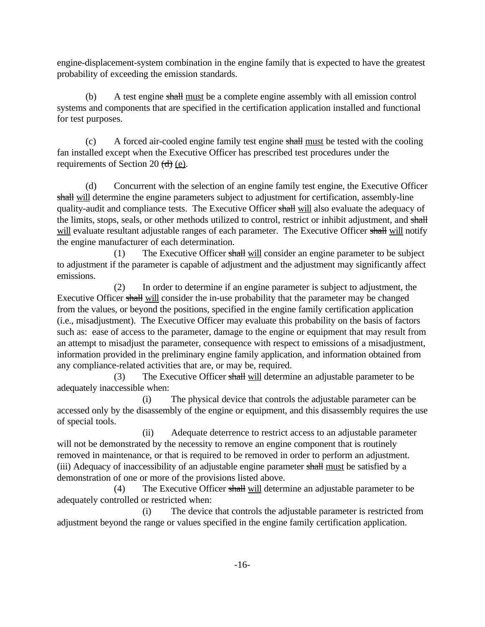engine-displacement-system combination in the engine family that is expected to have the greatest probability of exceeding the emission standards.

(b) A test engine shall must be a complete engine assembly with all emission control systems and components that are specified in the certification application installed and functional for test purposes.

(c) A forced air-cooled engine family test engine  $\frac{\text{shall must}}{\text{d} \cdot \text{d} \cdot \text{d} \cdot \text{d} \cdot \text{d} \cdot \text{d} \cdot \text{d} \cdot \text{d} \cdot \text{d} \cdot \text{d} \cdot \text{d} \cdot \text{d} \cdot \text{d} \cdot \text{d} \cdot \text{d} \cdot \text{d} \cdot \text{d} \cdot \text{d} \cdot \text{d} \cdot \text{d} \cdot \text{d} \cdot \text{d} \cdot \text{d} \cdot \$ fan installed except when the Executive Officer has prescribed test procedures under the requirements of Section 20  $(\frac{d}{d})$  (e).

(d) Concurrent with the selection of an engine family test engine, the Executive Officer shall will determine the engine parameters subject to adjustment for certification, assembly-line quality-audit and compliance tests. The Executive Officer shall will also evaluate the adequacy of the limits, stops, seals, or other methods utilized to control, restrict or inhibit adjustment, and shall will evaluate resultant adjustable ranges of each parameter. The Executive Officer shall will notify the engine manufacturer of each determination.

(1) The Executive Officer shall will consider an engine parameter to be subject to adjustment if the parameter is capable of adjustment and the adjustment may significantly affect emissions.

(2) In order to determine if an engine parameter is subject to adjustment, the Executive Officer shall will consider the in-use probability that the parameter may be changed from the values, or beyond the positions, specified in the engine family certification application (i.e., misadjustment). The Executive Officer may evaluate this probability on the basis of factors such as: ease of access to the parameter, damage to the engine or equipment that may result from an attempt to misadjust the parameter, consequence with respect to emissions of a misadjustment, information provided in the preliminary engine family application, and information obtained from any compliance-related activities that are, or may be, required.

(3) The Executive Officer shall will determine an adjustable parameter to be adequately inaccessible when:

(i) The physical device that controls the adjustable parameter can be accessed only by the disassembly of the engine or equipment, and this disassembly requires the use of special tools.

(ii) Adequate deterrence to restrict access to an adjustable parameter will not be demonstrated by the necessity to remove an engine component that is routinely removed in maintenance, or that is required to be removed in order to perform an adjustment. (iii) Adequacy of inaccessibility of an adjustable engine parameter shall must be satisfied by a demonstration of one or more of the provisions listed above.

(4) The Executive Officer shall will determine an adjustable parameter to be adequately controlled or restricted when:

(i) The device that controls the adjustable parameter is restricted from adjustment beyond the range or values specified in the engine family certification application.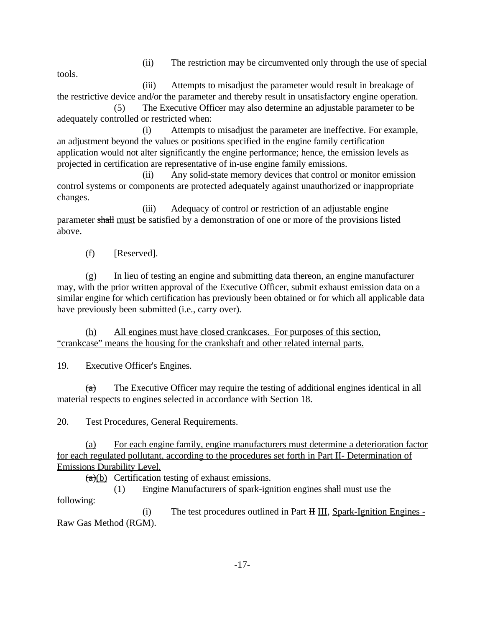(ii) The restriction may be circumvented only through the use of special

tools.

(iii) Attempts to misadjust the parameter would result in breakage of the restrictive device and/or the parameter and thereby result in unsatisfactory engine operation.

(5) The Executive Officer may also determine an adjustable parameter to be adequately controlled or restricted when:

(i) Attempts to misadjust the parameter are ineffective. For example, an adjustment beyond the values or positions specified in the engine family certification application would not alter significantly the engine performance; hence, the emission levels as projected in certification are representative of in-use engine family emissions.

(ii) Any solid-state memory devices that control or monitor emission control systems or components are protected adequately against unauthorized or inappropriate changes.

(iii) Adequacy of control or restriction of an adjustable engine parameter shall must be satisfied by a demonstration of one or more of the provisions listed above.

(f) [Reserved].

(g) In lieu of testing an engine and submitting data thereon, an engine manufacturer may, with the prior written approval of the Executive Officer, submit exhaust emission data on a similar engine for which certification has previously been obtained or for which all applicable data have previously been submitted (i.e., carry over).

(h) All engines must have closed crankcases. For purposes of this section, "crankcase" means the housing for the crankshaft and other related internal parts.

**Executive Officer's Engines.** 

19. Executive Officer's Engines.<br>
(a) The Executive Officer may require the testing of additional engines identical in all material respects to engines selected in accordance with Section 18.

Test Procedures, General Requirements.

20. Test Procedures, General Requirements.<br>
(a) For each engine family, engine manufacturers must determine a deterioration factor for each regulated pollutant, according to the procedures set forth in Part II- Determination of Emissions Durability Level.

(a)(b) Certification testing of exhaust emissions.<br>
(1) Engine Manufacturers <u>of spark-ignition engines</u> shall must use the following:

(i) The test procedures outlined in Part  $H \underline{III}$ , Spark-Ignition Engines -Raw Gas Method (RGM).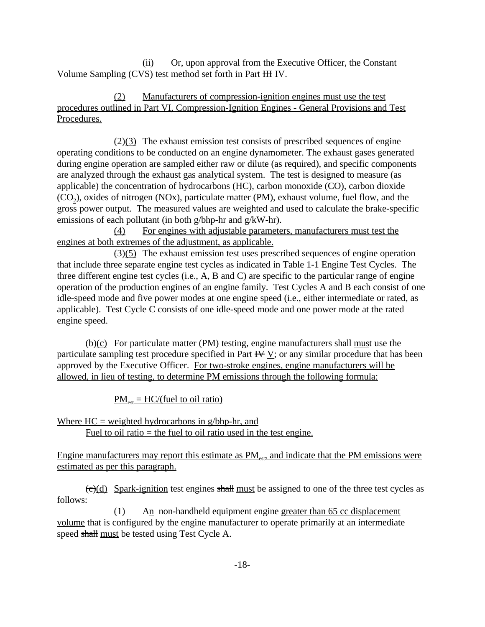(ii) Or, upon approval from the Executive Officer, the Constant Volume Sampling (CVS) test method set forth in Part  $HH$  IV.

(2) Manufacturers of compression-ignition engines must use the test procedures outlined in Part VI, Compression-Ignition Engines - General Provisions and Test Procedures.

 $\left(\frac{2}{3}\right)$  The exhaust emission test consists of prescribed sequences of engine operating conditions to be conducted on an engine dynamometer. The exhaust gases generated during engine operation are sampled either raw or dilute (as required), and specific components are analyzed through the exhaust gas analytical system. The test is designed to measure (as applicable) the concentration of hydrocarbons (HC), carbon monoxide (CO), carbon dioxide  $(CO_2)$ , oxides of nitrogen (NOx), particulate matter (PM), exhaust volume, fuel flow, and the gross power output. The measured values are weighted and used to calculate the brake-specific emissions of each pollutant (in both g/bhp-hr and g/kW-hr).

(4) For engines with adjustable parameters, manufacturers must test the engines at both extremes of the adjustment, as applicable.

 $(3)(5)$  The exhaust emission test uses prescribed sequences of engine operation that include three separate engine test cycles as indicated in Table 1-1 Engine Test Cycles. The three different engine test cycles (i.e., A, B and C) are specific to the particular range of engine operation of the production engines of an engine family. Test Cycles A and B each consist of one idle-speed mode and five power modes at one engine speed (i.e., either intermediate or rated, as applicable). Test Cycle C consists of one idle-speed mode and one power mode at the rated engine speed.

 $(b)(c)$  For particulate matter (PM) testing, engine manufacturers shall must use the particulate sampling test procedure specified in Part  $\overline{H}V$  v; or any similar procedure that has been approved by the Executive Officer. For two-stroke engines, engine manufacturers will be allowed, in lieu of testing, to determine PM emissions through the following formula:

 $PM_{\text{est}} = \text{HC}/(\text{fuel to oil ratio})$ 

Where  $HC = weighted hydrocarbons in g/bhp-hr$ , and Fuel to oil ratio  $=$  the fuel to oil ratio used in the test engine.

Engine manufacturers may report this estimate as  $PM_{\text{est}}$  and indicate that the PM emissions were estimated as per this paragraph.

 $\left(\frac{\mathbf{c}}{\mathbf{c}}\right)$  Spark-ignition test engines shall must be assigned to one of the three test cycles as follows:

(1) An non-handheld equipment engine greater than 65 cc displacement volume that is configured by the engine manufacturer to operate primarily at an intermediate speed shall must be tested using Test Cycle A.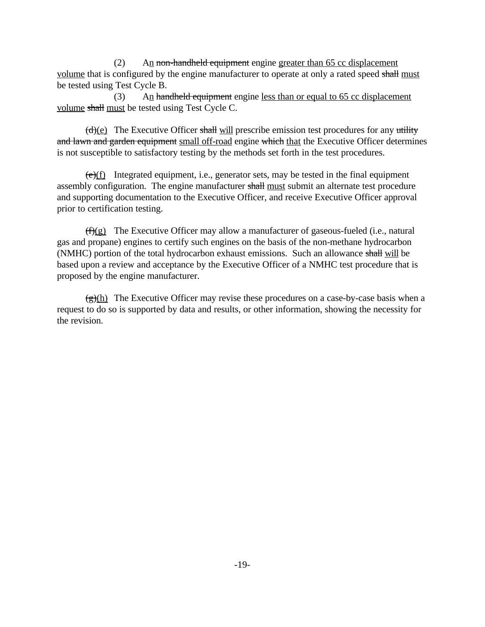$(2)$  An non-handheld equipment engine greater than 65 cc displacement volume that is configured by the engine manufacturer to operate at only a rated speed shall must be tested using Test Cycle B.

volume shall must be tested using Test Cycle C. (3) An hand the lequipment engine less than or equal to  $65 \text{ cc displacement}$ 

 $(d)(e)$  The Executive Officer shall will prescribe emission test procedures for any utility and lawn and garden equipment small off-road engine which that the Executive Officer determines is not susceptible to satisfactory testing by the methods set forth in the test procedures.

 $(e)(f)$  Integrated equipment, i.e., generator sets, may be tested in the final equipment assembly configuration. The engine manufacturer shall must submit an alternate test procedure and supporting documentation to the Executive Officer, and receive Executive Officer approval prior to certification testing.

 $(f)(g)$  The Executive Officer may allow a manufacturer of gaseous-fueled (i.e., natural gas and propane) engines to certify such engines on the basis of the non-methane hydrocarbon (NMHC) portion of the total hydrocarbon exhaust emissions. Such an allowance shall will be based upon a review and acceptance by the Executive Officer of a NMHC test procedure that is proposed by the engine manufacturer.

 $(g)(h)$  The Executive Officer may revise these procedures on a case-by-case basis when a request to do so is supported by data and results, or other information, showing the necessity for the revision.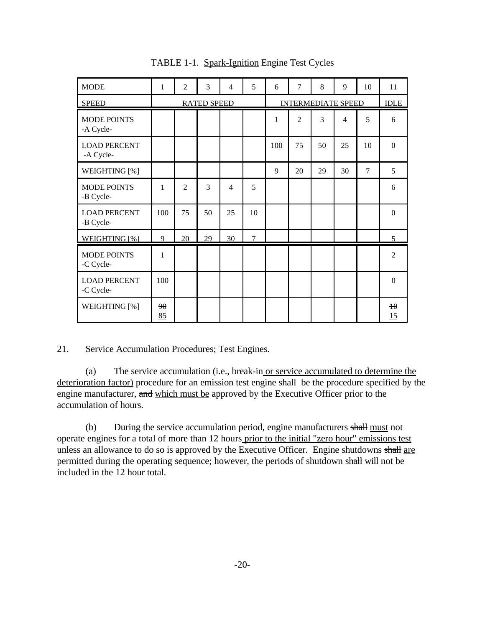| <b>MODE</b>                      | 1            | $\overline{2}$ | 3                  | $\overline{4}$ | 5              | 6                         | $\overline{7}$ | 8  | 9                        | 10             | 11             |
|----------------------------------|--------------|----------------|--------------------|----------------|----------------|---------------------------|----------------|----|--------------------------|----------------|----------------|
| <b>SPEED</b>                     |              |                | <b>RATED SPEED</b> |                |                | <b>INTERMEDIATE SPEED</b> |                |    |                          | <b>IDLE</b>    |                |
| <b>MODE POINTS</b><br>-A Cycle-  |              |                |                    |                |                | 1                         | $\overline{2}$ | 3  | $\overline{\mathcal{A}}$ | 5              | 6              |
| <b>LOAD PERCENT</b><br>-A Cycle- |              |                |                    |                |                | 100                       | 75             | 50 | 25                       | 10             | $\theta$       |
| WEIGHTING [%]                    |              |                |                    |                |                | 9                         | 20             | 29 | 30                       | $\overline{7}$ | 5              |
| <b>MODE POINTS</b><br>-B Cycle-  | 1            | 2              | 3                  | $\overline{4}$ | 5              |                           |                |    |                          |                | 6              |
| <b>LOAD PERCENT</b><br>-B Cycle- | 100          | 75             | 50                 | 25             | 10             |                           |                |    |                          |                | $\theta$       |
| WEIGHTING [%]                    | 9            | 20             | 29                 | 30             | $\overline{7}$ |                           |                |    |                          |                | 5              |
| <b>MODE POINTS</b><br>-C Cycle-  | $\mathbf{1}$ |                |                    |                |                |                           |                |    |                          |                | $\overline{2}$ |
| <b>LOAD PERCENT</b><br>-C Cycle- | 100          |                |                    |                |                |                           |                |    |                          |                | $\theta$       |
| WEIGHTING [%]                    | 90<br>85     |                |                    |                |                |                           |                |    |                          |                | $\theta$<br>15 |

TABLE 1-1. Spark-Ignition Engine Test Cycles

Service Accumulation Procedures; Test Engines.

21. Service Accumulation Procedures; Test Engines.<br>
(a) The service accumulation (i.e., break-in or service accumulated to determine the deterioration factor) procedure for an emission test engine shall be the procedure specified by the engine manufacturer, and which must be approved by the Executive Officer prior to the accumulation of hours.

(b) During the service accumulation period, engine manufacturers shall must not operate engines for a total of more than 12 hours prior to the initial "zero hour" emissions test unless an allowance to do so is approved by the Executive Officer. Engine shutdowns shall are permitted during the operating sequence; however, the periods of shutdown shall will not be included in the 12 hour total.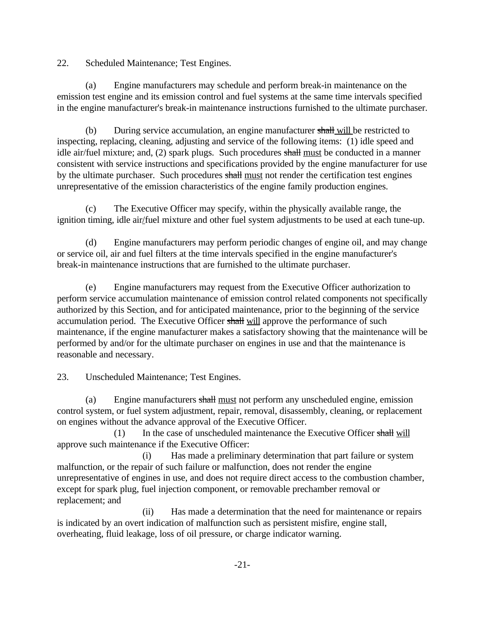**Scheduled Maintenance; Test Engines.** 

22. Scheduled Maintenance; Test Engines.<br>
(a) Engine manufacturers may schedule and perform break-in maintenance on the emission test engine and its emission control and fuel systems at the same time intervals specified in the engine manufacturer's break-in maintenance instructions furnished to the ultimate purchaser.

(b) During service accumulation, an engine manufacturer shall will be restricted to inspecting, replacing, cleaning, adjusting and service of the following items: (1) idle speed and idle air/fuel mixture; and, (2) spark plugs. Such procedures shall must be conducted in a manner consistent with service instructions and specifications provided by the engine manufacturer for use by the ultimate purchaser. Such procedures shall must not render the certification test engines unrepresentative of the emission characteristics of the engine family production engines.

(c) The Executive Officer may specify, within the physically available range, the ignition timing, idle air/fuel mixture and other fuel system adjustments to be used at each tune-up.

(d) Engine manufacturers may perform periodic changes of engine oil, and may change or service oil, air and fuel filters at the time intervals specified in the engine manufacturer's break-in maintenance instructions that are furnished to the ultimate purchaser.

(e) Engine manufacturers may request from the Executive Officer authorization to perform service accumulation maintenance of emission control related components not specifically authorized by this Section, and for anticipated maintenance, prior to the beginning of the service accumulation period. The Executive Officer shall will approve the performance of such maintenance, if the engine manufacturer makes a satisfactory showing that the maintenance will be performed by and/or for the ultimate purchaser on engines in use and that the maintenance is reasonable and necessary.

**Unscheduled Maintenance; Test Engines.** 

23. Unscheduled Maintenance; Test Engines.<br>
(a) Engine manufacturers shall must not perform any unscheduled engine, emission control system, or fuel system adjustment, repair, removal, disassembly, cleaning, or replacement on engines without the advance approval of the Executive Officer.

(1) In the case of unscheduled maintenance the Executive Officer shall will approve such maintenance if the Executive Officer:

(i) Has made a preliminary determination that part failure or system malfunction, or the repair of such failure or malfunction, does not render the engine unrepresentative of engines in use, and does not require direct access to the combustion chamber, except for spark plug, fuel injection component, or removable prechamber removal or replacement; and

(ii) Has made a determination that the need for maintenance or repairs is indicated by an overt indication of malfunction such as persistent misfire, engine stall, overheating, fluid leakage, loss of oil pressure, or charge indicator warning.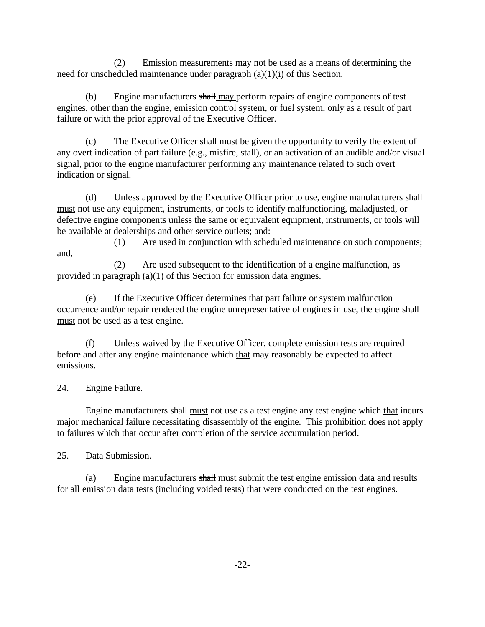(2) Emission measurements may not be used as a means of determining the need for unscheduled maintenance under paragraph (a)(1)(i) of this Section.

(b) Engine manufacturers shall may perform repairs of engine components of test engines, other than the engine, emission control system, or fuel system, only as a result of part failure or with the prior approval of the Executive Officer.

(c) The Executive Officer shall must be given the opportunity to verify the extent of any overt indication of part failure (e.g., misfire, stall), or an activation of an audible and/or visual signal, prior to the engine manufacturer performing any maintenance related to such overt indication or signal.

(d) Unless approved by the Executive Officer prior to use, engine manufacturers shall must not use any equipment, instruments, or tools to identify malfunctioning, maladjusted, or defective engine components unless the same or equivalent equipment, instruments, or tools will be available at dealerships and other service outlets; and:

(1) Are used in conjunction with scheduled maintenance on such components; and,

(2) Are used subsequent to the identification of a engine malfunction, as provided in paragraph (a)(1) of this Section for emission data engines.

(e) If the Executive Officer determines that part failure or system malfunction occurrence and/or repair rendered the engine unrepresentative of engines in use, the engine shall must not be used as a test engine.

(f) Unless waived by the Executive Officer, complete emission tests are required before and after any engine maintenance which that may reasonably be expected to affect emissions.

Engine Failure.

24. Engine Failure.<br>
Engine manufacturers shall must not use as a test engine any test engine which that incurs major mechanical failure necessitating disassembly of the engine. This prohibition does not apply to failures which that occur after completion of the service accumulation period.

Data Submission

25. Data Submission.<br>
(a) Engine manufacturers shall must submit the test engine emission data and results for all emission data tests (including voided tests) that were conducted on the test engines.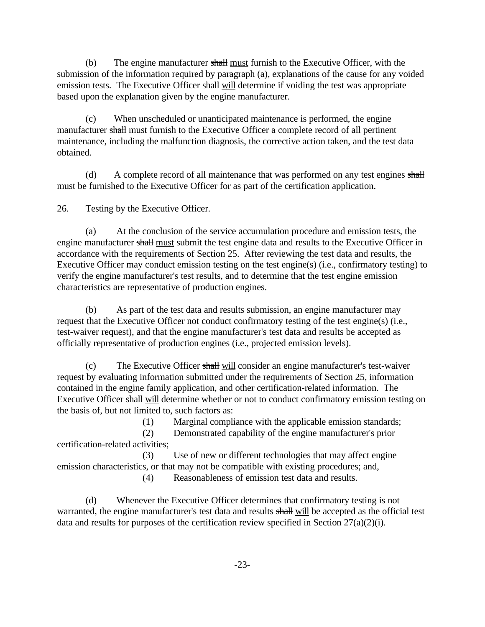(b) The engine manufacturer  $\frac{1}{2}$  must furnish to the Executive Officer, with the submission of the information required by paragraph (a), explanations of the cause for any voided emission tests. The Executive Officer shall will determine if voiding the test was appropriate based upon the explanation given by the engine manufacturer.

(c) When unscheduled or unanticipated maintenance is performed, the engine manufacturer shall must furnish to the Executive Officer a complete record of all pertinent maintenance, including the malfunction diagnosis, the corrective action taken, and the test data obtained.

(d) A complete record of all maintenance that was performed on any test engines shall must be furnished to the Executive Officer for as part of the certification application.

Testing by the Executive Officer.

26. Testing by the Executive Officer.<br>
(a) At the conclusion of the service accumulation procedure and emission tests, the engine manufacturer shall must submit the test engine data and results to the Executive Officer in accordance with the requirements of Section 25. After reviewing the test data and results, the Executive Officer may conduct emission testing on the test engine(s) (i.e., confirmatory testing) to verify the engine manufacturer's test results, and to determine that the test engine emission characteristics are representative of production engines.

(b) As part of the test data and results submission, an engine manufacturer may request that the Executive Officer not conduct confirmatory testing of the test engine(s) (i.e., test-waiver request), and that the engine manufacturer's test data and results be accepted as officially representative of production engines (i.e., projected emission levels).

(c) The Executive Officer shall will consider an engine manufacturer's test-waiver request by evaluating information submitted under the requirements of Section 25, information contained in the engine family application, and other certification-related information. The Executive Officer shall will determine whether or not to conduct confirmatory emission testing on the basis of, but not limited to, such factors as:

(1) Marginal compliance with the applicable emission standards;

(2) Demonstrated capability of the engine manufacturer's prior certification-related activities;

(3) Use of new or different technologies that may affect engine emission characteristics, or that may not be compatible with existing procedures; and,

(4) Reasonableness of emission test data and results.

(d) Whenever the Executive Officer determines that confirmatory testing is not warranted, the engine manufacturer's test data and results shall will be accepted as the official test data and results for purposes of the certification review specified in Section 27(a)(2)(i).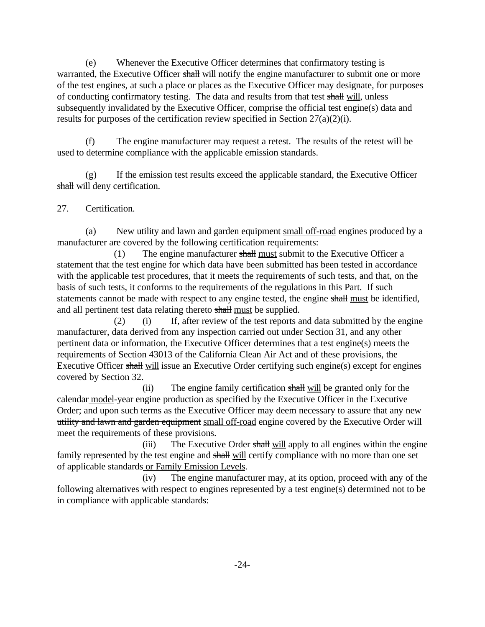(e) Whenever the Executive Officer determines that confirmatory testing is warranted, the Executive Officer shall will notify the engine manufacturer to submit one or more of the test engines, at such a place or places as the Executive Officer may designate, for purposes of conducting confirmatory testing. The data and results from that test shall will, unless subsequently invalidated by the Executive Officer, comprise the official test engine(s) data and results for purposes of the certification review specified in Section 27(a)(2)(i).

(f) The engine manufacturer may request a retest. The results of the retest will be used to determine compliance with the applicable emission standards.

(g) If the emission test results exceed the applicable standard, the Executive Officer shall will deny certification.

## Certification.

27. Certification.<br>(a) New utility and lawn and garden equipment small off-road engines produced by a manufacturer are covered by the following certification requirements:

and all pertinent test data relating thereto  $\frac{\text{shall must be supplied}}{\text{of the total number}}$ . (1) The engine manufacturer shall must submit to the Executive Officer a statement that the test engine for which data have been submitted has been tested in accordance with the applicable test procedures, that it meets the requirements of such tests, and that, on the basis of such tests, it conforms to the requirements of the regulations in this Part. If such statements cannot be made with respect to any engine tested, the engine shall must be identified,

(2) (i) If, after review of the test reports and data submitted by the engine manufacturer, data derived from any inspection carried out under Section 31, and any other pertinent data or information, the Executive Officer determines that a test engine(s) meets the requirements of Section 43013 of the California Clean Air Act and of these provisions, the Executive Officer shall will issue an Executive Order certifying such engine(s) except for engines covered by Section 32.

(ii) The engine family certification shall will be granted only for the calendar model-year engine production as specified by the Executive Officer in the Executive Order; and upon such terms as the Executive Officer may deem necessary to assure that any new utility and lawn and garden equipment small off-road engine covered by the Executive Order will meet the requirements of these provisions.

(iii) The Executive Order shall will apply to all engines within the engine family represented by the test engine and shall will certify compliance with no more than one set of applicable standards or Family Emission Levels.

(iv) The engine manufacturer may, at its option, proceed with any of the following alternatives with respect to engines represented by a test engine(s) determined not to be in compliance with applicable standards: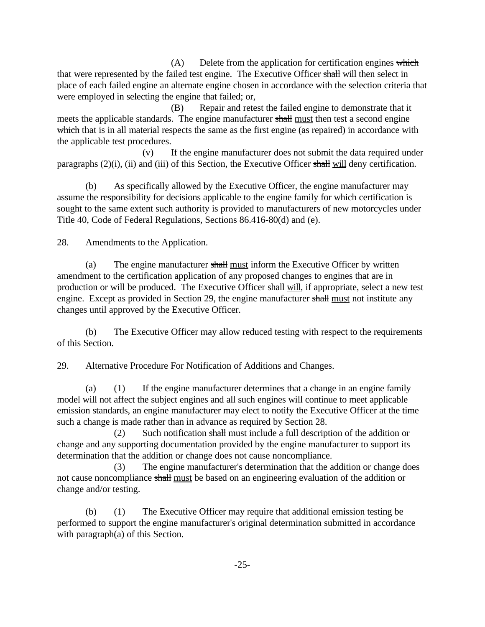$(A)$  Delete from the application for certification engines which that were represented by the failed test engine. The Executive Officer shall will then select in place of each failed engine an alternate engine chosen in accordance with the selection criteria that were employed in selecting the engine that failed; or,

(B) Repair and retest the failed engine to demonstrate that it meets the applicable standards. The engine manufacturer shall must then test a second engine which that is in all material respects the same as the first engine (as repaired) in accordance with the applicable test procedures.

paragraphs (2)(i), (ii) and (iii) of this Section, the Executive Officer shall will deny certification. (v) If the engine manufacturer does not submit the data required under

(b) As specifically allowed by the Executive Officer, the engine manufacturer may assume the responsibility for decisions applicable to the engine family for which certification is sought to the same extent such authority is provided to manufacturers of new motorcycles under Title 40, Code of Federal Regulations, Sections 86.416-80(d) and (e).

Amendments to the Application.

28. Amendments to the Application.<br>
(a) The engine manufacturer shall must inform the Executive Officer by written amendment to the certification application of any proposed changes to engines that are in production or will be produced. The Executive Officer shall will, if appropriate, select a new test engine. Except as provided in Section 29, the engine manufacturer shall must not institute any changes until approved by the Executive Officer.

(b) The Executive Officer may allow reduced testing with respect to the requirements of this Section.

Alternative Procedure For Notification of Additions and Changes.

29. Alternative Procedure For Notification of Additions and Changes.<br>(a) (1) If the engine manufacturer determines that a change in an engine family model will not affect the subject engines and all such engines will continue to meet applicable emission standards, an engine manufacturer may elect to notify the Executive Officer at the time such a change is made rather than in advance as required by Section 28.

(2) Such notification shall must include a full description of the addition or change and any supporting documentation provided by the engine manufacturer to support its determination that the addition or change does not cause noncompliance.

(3) The engine manufacturer's determination that the addition or change does not cause noncompliance shall must be based on an engineering evaluation of the addition or change and/or testing.

(b) (1) The Executive Officer may require that additional emission testing be performed to support the engine manufacturer's original determination submitted in accordance with paragraph(a) of this Section.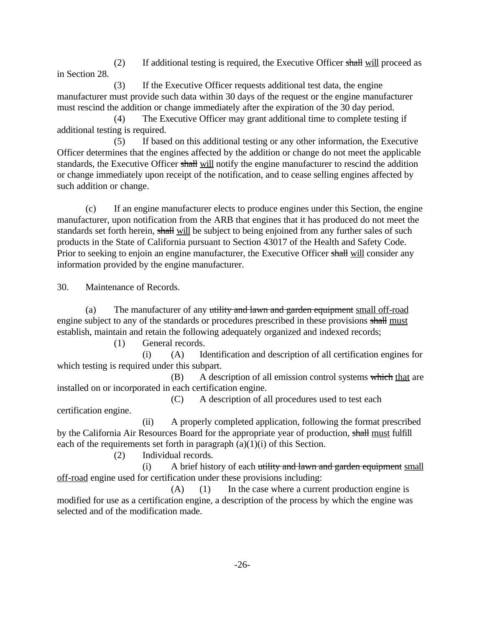(2) If additional testing is required, the Executive Officer shall will proceed as in Section 28.

(3) If the Executive Officer requests additional test data, the engine manufacturer must provide such data within 30 days of the request or the engine manufacturer must rescind the addition or change immediately after the expiration of the 30 day period.

(4) The Executive Officer may grant additional time to complete testing if additional testing is required.

standards, the Executive Officer shall will notify the engine manufacturer to rescind the addition (5) If based on this additional testing or any other information, the Executive Officer determines that the engines affected by the addition or change do not meet the applicable or change immediately upon receipt of the notification, and to cease selling engines affected by such addition or change.

(c) If an engine manufacturer elects to produce engines under this Section, the engine manufacturer, upon notification from the ARB that engines that it has produced do not meet the standards set forth herein, shall will be subject to being enjoined from any further sales of such products in the State of California pursuant to Section 43017 of the Health and Safety Code. Prior to seeking to enjoin an engine manufacturer, the Executive Officer shall will consider any information provided by the engine manufacturer.

**Maintenance of Records.** 

30. Maintenance of Records.<br>
(a) The manufacturer of any utility and lawn and garden equipment small off-road engine subject to any of the standards or procedures prescribed in these provisions shall must establish, maintain and retain the following adequately organized and indexed records;

(1) General records.

(i) (A) Identification and description of all certification engines for which testing is required under this subpart.

(B) A description of all emission control systems which that are installed on or incorporated in each certification engine.

(C) A description of all procedures used to test each certification engine.

(ii) A properly completed application, following the format prescribed by the California Air Resources Board for the appropriate year of production, shall must fulfill each of the requirements set forth in paragraph  $(a)(1)(i)$  of this Section.

(2) Individual records.

(i) A brief history of each utility and lawn and garden equipment small off-road engine used for certification under these provisions including:

 $(A)$  (1) In the case where a current production engine is modified for use as a certification engine, a description of the process by which the engine was selected and of the modification made.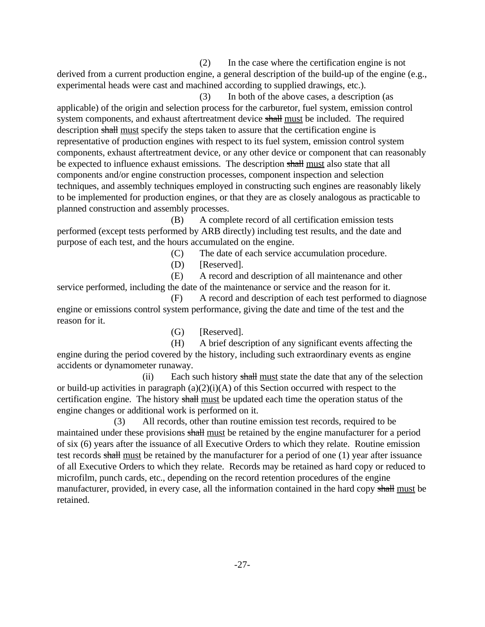(2) In the case where the certification engine is not derived from a current production engine, a general description of the build-up of the engine (e.g., experimental heads were cast and machined according to supplied drawings, etc.).

(3) In both of the above cases, a description (as applicable) of the origin and selection process for the carburetor, fuel system, emission control system components, and exhaust aftertreatment device shall must be included. The required description shall must specify the steps taken to assure that the certification engine is representative of production engines with respect to its fuel system, emission control system components, exhaust aftertreatment device, or any other device or component that can reasonably be expected to influence exhaust emissions. The description shall must also state that all components and/or engine construction processes, component inspection and selection techniques, and assembly techniques employed in constructing such engines are reasonably likely to be implemented for production engines, or that they are as closely analogous as practicable to planned construction and assembly processes.

(B) A complete record of all certification emission tests performed (except tests performed by ARB directly) including test results, and the date and purpose of each test, and the hours accumulated on the engine.

- (C) The date of each service accumulation procedure.
- (D) [Reserved].

(E) A record and description of all maintenance and other service performed, including the date of the maintenance or service and the reason for it.

(F) A record and description of each test performed to diagnose engine or emissions control system performance, giving the date and time of the test and the reason for it.

(G) [Reserved].

(H) A brief description of any significant events affecting the engine during the period covered by the history, including such extraordinary events as engine accidents or dynamometer runaway.

(ii) Each such history shall must state the date that any of the selection or build-up activities in paragraph  $(a)(2)(i)(A)$  of this Section occurred with respect to the certification engine. The history shall must be updated each time the operation status of the engine changes or additional work is performed on it.

(3) All records, other than routine emission test records, required to be maintained under these provisions shall must be retained by the engine manufacturer for a period of six (6) years after the issuance of all Executive Orders to which they relate. Routine emission test records shall must be retained by the manufacturer for a period of one  $(1)$  year after issuance of all Executive Orders to which they relate. Records may be retained as hard copy or reduced to microfilm, punch cards, etc., depending on the record retention procedures of the engine manufacturer, provided, in every case, all the information contained in the hard copy shall must be retained.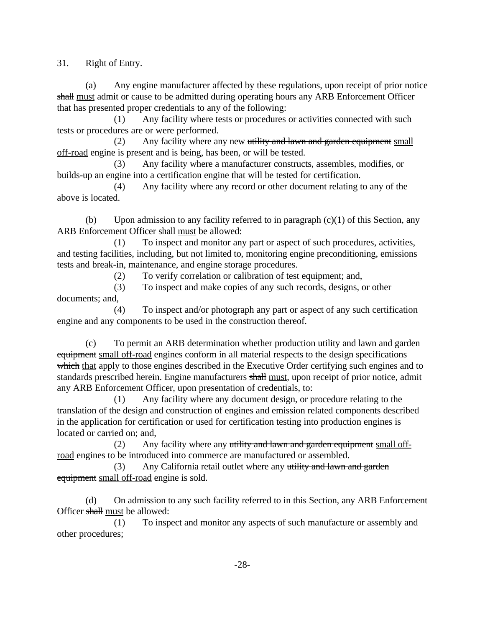31. Right of Entry.

(a) Any engine manufacturer affected by these regulations, upon receipt of prior notice shall must admit or cause to be admitted during operating hours any ARB Enforcement Officer that has presented proper credentials to any of the following:

(1) Any facility where tests or procedures or activities connected with such tests or procedures are or were performed.

 $(2)$  Any facility where any new utility and lawn and garden equipment small off-road engine is present and is being, has been, or will be tested.

(3) Any facility where a manufacturer constructs, assembles, modifies, or builds-up an engine into a certification engine that will be tested for certification.

(4) Any facility where any record or other document relating to any of the above is located.

(b) Upon admission to any facility referred to in paragraph  $(c)(1)$  of this Section, any ARB Enforcement Officer shall must be allowed:

(1) To inspect and monitor any part or aspect of such procedures, activities, and testing facilities, including, but not limited to, monitoring engine preconditioning, emissions tests and break-in, maintenance, and engine storage procedures.

(2) To verify correlation or calibration of test equipment; and,

(3) To inspect and make copies of any such records, designs, or other documents; and,

(4) To inspect and/or photograph any part or aspect of any such certification engine and any components to be used in the construction thereof.

(c) To permit an ARB determination whether production utility and lawn and garden equipment small off-road engines conform in all material respects to the design specifications which that apply to those engines described in the Executive Order certifying such engines and to standards prescribed herein. Engine manufacturers shall must, upon receipt of prior notice, admit any ARB Enforcement Officer, upon presentation of credentials, to:

(1) Any facility where any document design, or procedure relating to the translation of the design and construction of engines and emission related components described in the application for certification or used for certification testing into production engines is located or carried on; and,

(2) Any facility where any utility and lawn and garden equipment small offroad engines to be introduced into commerce are manufactured or assembled.

(3) Any California retail outlet where any utility and lawn and garden equipment small off-road engine is sold.

(d) On admission to any such facility referred to in this Section, any ARB Enforcement Officer shall must be allowed:

(1) To inspect and monitor any aspects of such manufacture or assembly and other procedures;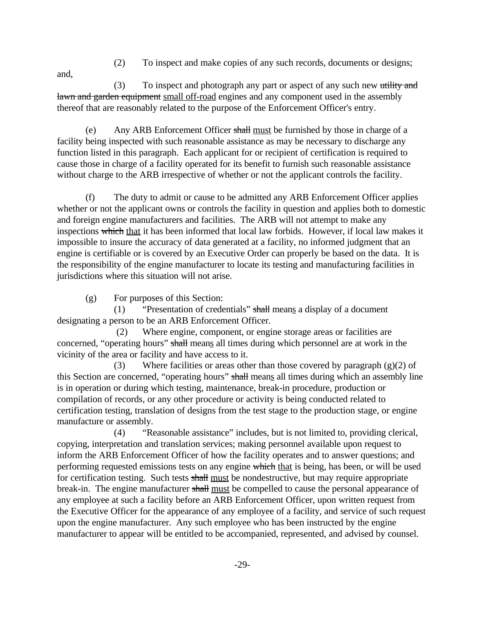(2) To inspect and make copies of any such records, documents or designs;

and, (3) To inspect and photograph any part or aspect of any such new utility and lawn and garden equipment small off-road engines and any component used in the assembly thereof that are reasonably related to the purpose of the Enforcement Officer's entry.

(e) Any ARB Enforcement Officer shall must be furnished by those in charge of a facility being inspected with such reasonable assistance as may be necessary to discharge any function listed in this paragraph. Each applicant for or recipient of certification is required to cause those in charge of a facility operated for its benefit to furnish such reasonable assistance without charge to the ARB irrespective of whether or not the applicant controls the facility.

(f) The duty to admit or cause to be admitted any ARB Enforcement Officer applies whether or not the applicant owns or controls the facility in question and applies both to domestic and foreign engine manufacturers and facilities. The ARB will not attempt to make any inspections which that it has been informed that local law forbids. However, if local law makes it impossible to insure the accuracy of data generated at a facility, no informed judgment that an engine is certifiable or is covered by an Executive Order can properly be based on the data. It is the responsibility of the engine manufacturer to locate its testing and manufacturing facilities in jurisdictions where this situation will not arise.

(g) For purposes of this Section:

(1) "Presentation of credentials" shall means a display of a document designating a person to be an ARB Enforcement Officer.

 (2) Where engine, component, or engine storage areas or facilities are concerned, "operating hours" shall means all times during which personnel are at work in the vicinity of the area or facility and have access to it.

(3) Where facilities or areas other than those covered by paragraph (g)(2) of this Section are concerned, "operating hours" shall means all times during which an assembly line is in operation or during which testing, maintenance, break-in procedure, production or compilation of records, or any other procedure or activity is being conducted related to certification testing, translation of designs from the test stage to the production stage, or engine manufacture or assembly.

performing requested emissions tests on any engine which that is being, has been, or will be used (4) "Reasonable assistance" includes, but is not limited to, providing clerical, copying, interpretation and translation services; making personnel available upon request to inform the ARB Enforcement Officer of how the facility operates and to answer questions; and for certification testing. Such tests shall must be nondestructive, but may require appropriate break-in. The engine manufacturer shall must be compelled to cause the personal appearance of any employee at such a facility before an ARB Enforcement Officer, upon written request from the Executive Officer for the appearance of any employee of a facility, and service of such request upon the engine manufacturer. Any such employee who has been instructed by the engine manufacturer to appear will be entitled to be accompanied, represented, and advised by counsel.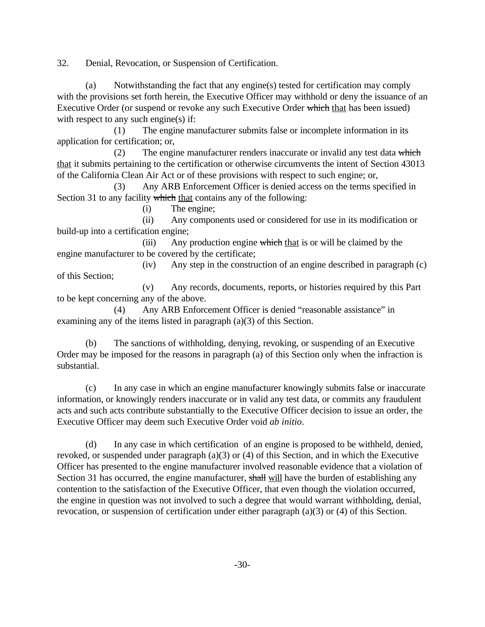32. Denial, Revocation, or Suspension of Certification.

(a) Notwithstanding the fact that any engine(s) tested for certification may comply with the provisions set forth herein, the Executive Officer may withhold or deny the issuance of an Executive Order (or suspend or revoke any such Executive Order which that has been issued) with respect to any such engine(s) if:

(1) The engine manufacturer submits false or incomplete information in its application for certification; or,

(2) The engine manufacturer renders inaccurate or invalid any test data which that it submits pertaining to the certification or otherwise circumvents the intent of Section 43013 of the California Clean Air Act or of these provisions with respect to such engine; or,

(3) Any ARB Enforcement Officer is denied access on the terms specified in Section 31 to any facility which that contains any of the following:

(i) The engine;

(ii) Any components used or considered for use in its modification or build-up into a certification engine;

(iii) Any production engine which that is or will be claimed by the engine manufacturer to be covered by the certificate;

(iv) Any step in the construction of an engine described in paragraph (c) of this Section;

(v) Any records, documents, reports, or histories required by this Part to be kept concerning any of the above.

(4) Any ARB Enforcement Officer is denied "reasonable assistance" in examining any of the items listed in paragraph (a)(3) of this Section.

(b) The sanctions of withholding, denying, revoking, or suspending of an Executive Order may be imposed for the reasons in paragraph (a) of this Section only when the infraction is substantial.

(c) In any case in which an engine manufacturer knowingly submits false or inaccurate information, or knowingly renders inaccurate or in valid any test data, or commits any fraudulent acts and such acts contribute substantially to the Executive Officer decision to issue an order, the Executive Officer may deem such Executive Order void *ab initio*.

(d) In any case in which certification of an engine is proposed to be withheld, denied, revoked, or suspended under paragraph (a)(3) or (4) of this Section, and in which the Executive Officer has presented to the engine manufacturer involved reasonable evidence that a violation of Section 31 has occurred, the engine manufacturer, shall will have the burden of establishing any contention to the satisfaction of the Executive Officer, that even though the violation occurred, the engine in question was not involved to such a degree that would warrant withholding, denial, revocation, or suspension of certification under either paragraph (a)(3) or (4) of this Section.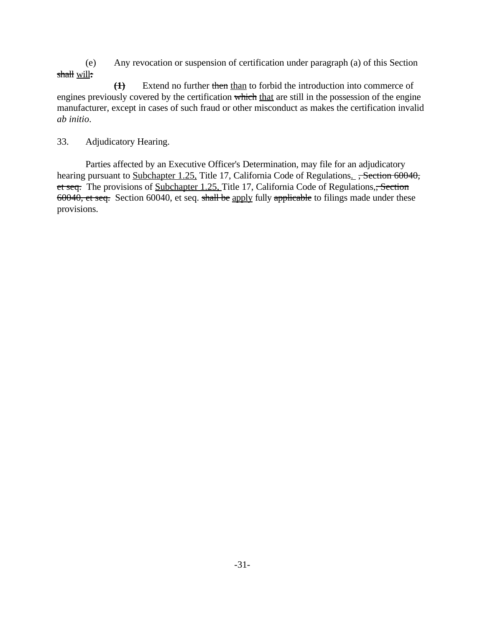(e) Any revocation or suspension of certification under paragraph (a) of this Section shall will**:** 

**(1)** - Extend no further then than to forbid the introduction into commerce of engines previously covered by the certification which that are still in the possession of the engine manufacturer, except in cases of such fraud or other misconduct as makes the certification invalid *ab initio*.

# 33. Adjudicatory Hearing.

Parties affected by an Executive Officer's Determination, may file for an adjudicatory hearing pursuant to Subchapter 1.25, Title 17, California Code of Regulations. , Section 60040, et seq. The provisions of Subchapter 1.25, Title 17, California Code of Regulations, Section 60040, et seq. Section 60040, et seq. shall be apply fully applicable to filings made under these provisions.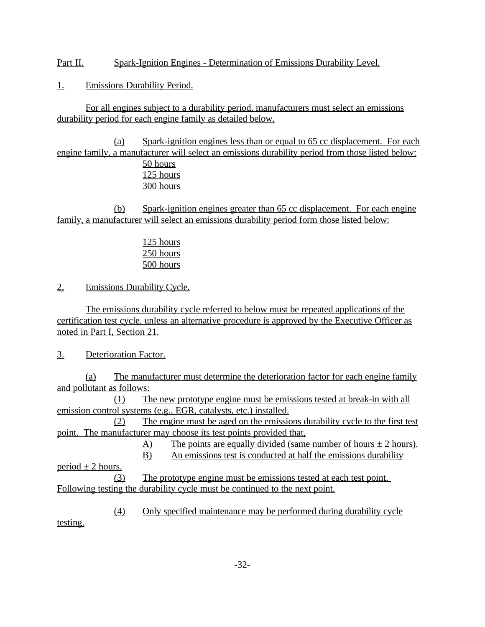Part II. Spark-Ignition Engines - Determination of Emissions Durability Level.

1. Emissions Durability Period.

For all engines subject to a durability period, manufacturers must select an emissions durability period for each engine family as detailed below.

(a) Spark-ignition engines less than or equal to 65 cc displacement. For each engine family, a manufacturer will select an emissions durability period from those listed below: 50 hours

125 hours 300 hours

(b) Spark-ignition engines greater than 65 cc displacement. For each engine family, a manufacturer will select an emissions durability period form those listed below:

> 125 hours 250 hours 500 hours

2. Emissions Durability Cycle.

The emissions durability cycle referred to below must be repeated applications of the certification test cycle, unless an alternative procedure is approved by the Executive Officer as noted in Part I, Section 21.

3. Deterioration Factor.

(a) The manufacturer must determine the deterioration factor for each engine family and pollutant as follows:

(1) The new prototype engine must be emissions tested at break-in with all emission control systems (e.g., EGR, catalysts, etc.) installed.

(2) The engine must be aged on the emissions durability cycle to the first test point. The manufacturer may choose its test points provided that,

 $\overline{A}$  The points are equally divided (same number of hours  $\pm$  2 hours).

B) An emissions test is conducted at half the emissions durability

period  $\pm$  2 hours. (3) The prototype engine must be emissions tested at each test point. Following testing the durability cycle must be continued to the next point.

(4) Only specified maintenance may be performed during durability cycle

testing.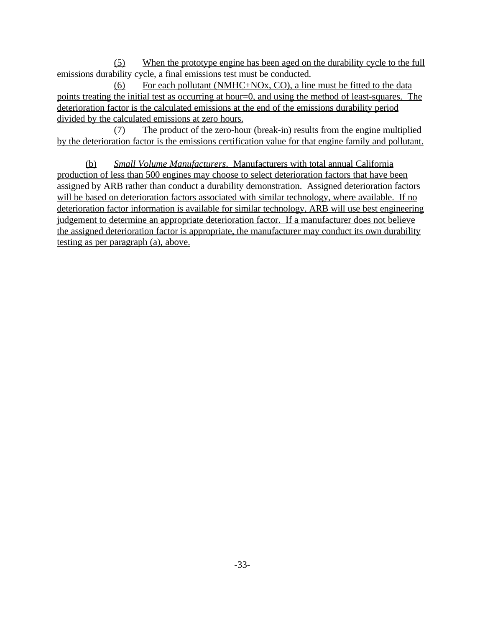(5) When the prototype engine has been aged on the durability cycle to the full emissions durability cycle, a final emissions test must be conducted.

(6) For each pollutant (NMHC+NOx, CO), a line must be fitted to the data points treating the initial test as occurring at hour=0, and using the method of least-squares. The deterioration factor is the calculated emissions at the end of the emissions durability period divided by the calculated emissions at zero hours.

(7) The product of the zero-hour (break-in) results from the engine multiplied by the deterioration factor is the emissions certification value for that engine family and pollutant.

(b) *Small Volume Manufacturers*. Manufacturers with total annual California production of less than 500 engines may choose to select deterioration factors that have been assigned by ARB rather than conduct a durability demonstration. Assigned deterioration factors will be based on deterioration factors associated with similar technology, where available. If no deterioration factor information is available for similar technology, ARB will use best engineering judgement to determine an appropriate deterioration factor. If a manufacturer does not believe the assigned deterioration factor is appropriate, the manufacturer may conduct its own durability testing as per paragraph (a), above.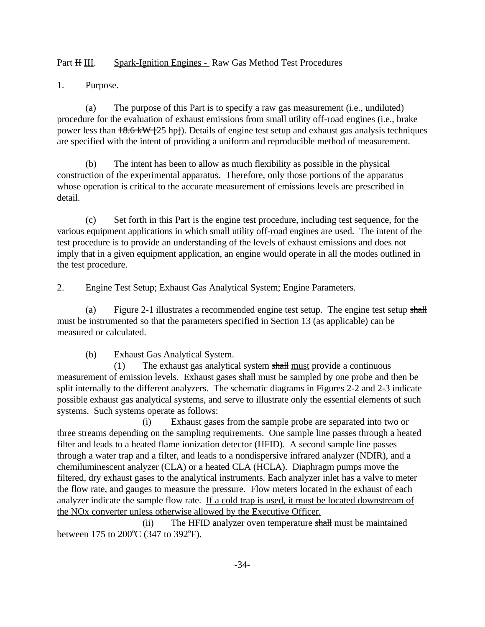Part H III. Spark-Ignition Engines - Raw Gas Method Test Procedures

Purpose.

1. Purpose.<br>
(a) The purpose of this Part is to specify a raw gas measurement (i.e., undiluted) procedure for the evaluation of exhaust emissions from small utility off-road engines (i.e., brake power less than  $18.6 \text{ kW}$  [25 hp]). Details of engine test setup and exhaust gas analysis techniques are specified with the intent of providing a uniform and reproducible method of measurement.

(b) The intent has been to allow as much flexibility as possible in the physical construction of the experimental apparatus. Therefore, only those portions of the apparatus whose operation is critical to the accurate measurement of emissions levels are prescribed in detail.

(c) Set forth in this Part is the engine test procedure, including test sequence, for the various equipment applications in which small utility off-road engines are used. The intent of the test procedure is to provide an understanding of the levels of exhaust emissions and does not imply that in a given equipment application, an engine would operate in all the modes outlined in the test procedure.

Engine Test Setup; Exhaust Gas Analytical System; Engine Parameters.

2. Engine Test Setup; Exhaust Gas Analytical System; Engine Parameters.<br>
(a) Figure 2-1 illustrates a recommended engine test setup. The engine test setup shall must be instrumented so that the parameters specified in Section 13 (as applicable) can be measured or calculated.

(b) Exhaust Gas Analytical System.

(1) The exhaust gas analytical system shall must provide a continuous measurement of emission levels. Exhaust gases shall must be sampled by one probe and then be split internally to the different analyzers. The schematic diagrams in Figures 2-2 and 2-3 indicate possible exhaust gas analytical systems, and serve to illustrate only the essential elements of such systems. Such systems operate as follows:

(i) Exhaust gases from the sample probe are separated into two or three streams depending on the sampling requirements. One sample line passes through a heated filter and leads to a heated flame ionization detector (HFID). A second sample line passes through a water trap and a filter, and leads to a nondispersive infrared analyzer (NDIR), and a chemiluminescent analyzer (CLA) or a heated CLA (HCLA). Diaphragm pumps move the filtered, dry exhaust gases to the analytical instruments. Each analyzer inlet has a valve to meter the flow rate, and gauges to measure the pressure. Flow meters located in the exhaust of each analyzer indicate the sample flow rate. If a cold trap is used, it must be located downstream of the NOx converter unless otherwise allowed by the Executive Officer.

(ii) The HFI<br>between 175 to 200°C (347 to 392°F). The HFID analyzer oven temperature shall must be maintained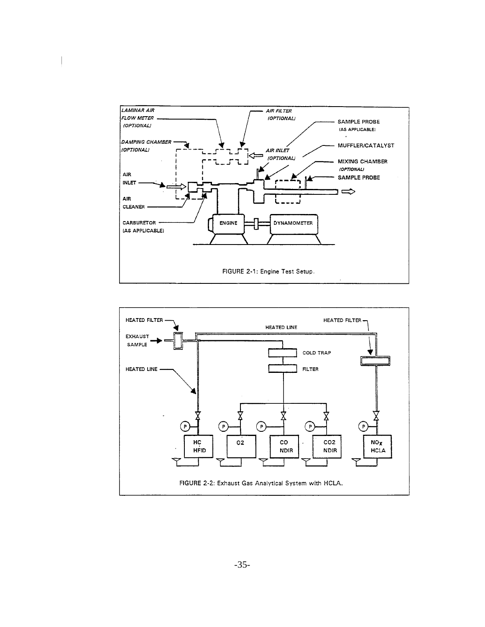

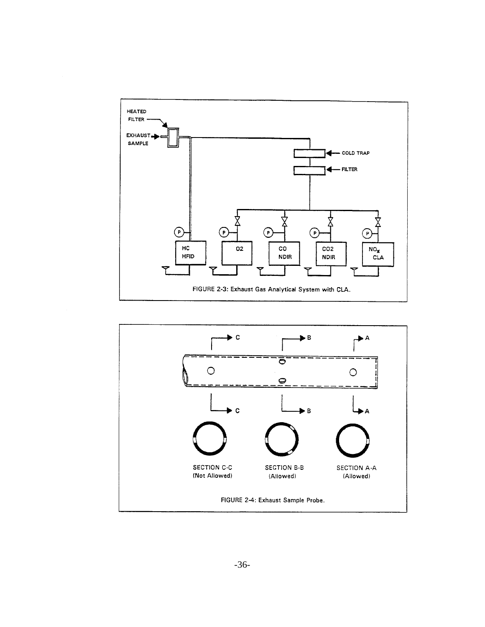

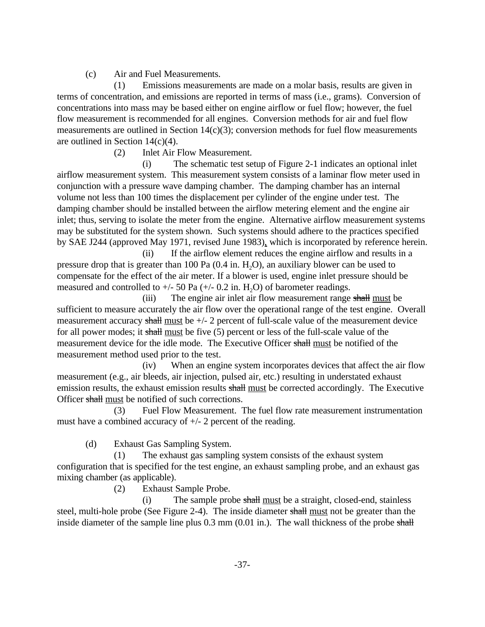(c) Air and Fuel Measurements.

(1) Emissions measurements are made on a molar basis, results are given in terms of concentration, and emissions are reported in terms of mass (i.e., grams). Conversion of concentrations into mass may be based either on engine airflow or fuel flow; however, the fuel flow measurement is recommended for all engines. Conversion methods for air and fuel flow measurements are outlined in Section 14(c)(3); conversion methods for fuel flow measurements are outlined in Section 14(c)(4).

(2) Inlet Air Flow Measurement.

(i) The schematic test setup of Figure 2-1 indicates an optional inlet airflow measurement system. This measurement system consists of a laminar flow meter used in conjunction with a pressure wave damping chamber. The damping chamber has an internal volume not less than 100 times the displacement per cylinder of the engine under test. The damping chamber should be installed between the airflow metering element and the engine air inlet; thus, serving to isolate the meter from the engine. Alternative airflow measurement systems may be substituted for the system shown. Such systems should adhere to the practices specified by SAE J244 (approved May 1971, revised June 1983), which is incorporated by reference herein.

(ii) If the airflow element reduces the engine airflow and results in a pressure drop that is greater than 100 Pa  $(0.4 \text{ in. H}, 0)$ , an auxiliary blower can be used to compensate for the effect of the air meter. If a blower is used, engine inlet pressure should be measured and controlled to  $+/- 50$  Pa ( $+/- 0.2$  in. H<sub>2</sub>O) of barometer readings.

(iii) The engine air inlet air flow measurement range shall must be sufficient to measure accurately the air flow over the operational range of the test engine. Overall measurement accuracy shall must be  $+/-2$  percent of full-scale value of the measurement device for all power modes; it shall must be five (5) percent or less of the full-scale value of the measurement device for the idle mode. The Executive Officer shall must be notified of the measurement method used prior to the test.

(iv) When an engine system incorporates devices that affect the air flow measurement (e.g., air bleeds, air injection, pulsed air, etc.) resulting in understated exhaust emission results, the exhaust emission results shall must be corrected accordingly. The Executive Officer shall must be notified of such corrections.

(3) Fuel Flow Measurement. The fuel flow rate measurement instrumentation must have a combined accuracy of +/- 2 percent of the reading.

(d) Exhaust Gas Sampling System.

(1) The exhaust gas sampling system consists of the exhaust system configuration that is specified for the test engine, an exhaust sampling probe, and an exhaust gas mixing chamber (as applicable).

(2) Exhaust Sample Probe.

(i) The sample probe shall must be a straight, closed-end, stainless steel, multi-hole probe (See Figure 2-4). The inside diameter shall must not be greater than the inside diameter of the sample line plus 0.3 mm (0.01 in.). The wall thickness of the probe shall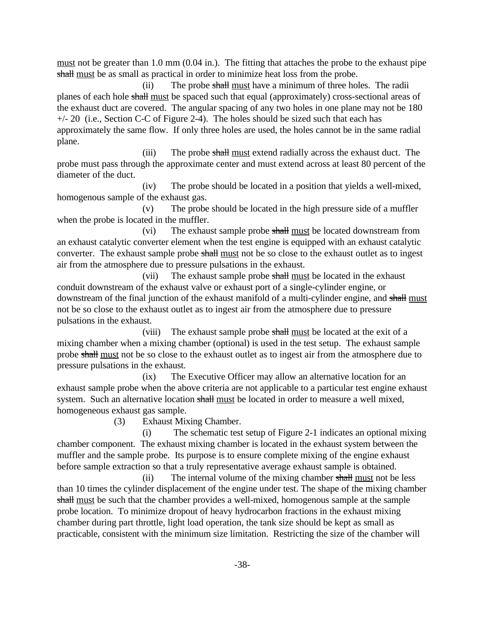must not be greater than 1.0 mm (0.04 in.). The fitting that attaches the probe to the exhaust pipe shall must be as small as practical in order to minimize heat loss from the probe.

(ii) The probe shall must have a minimum of three holes. The radii planes of each hole shall must be spaced such that equal (approximately) cross-sectional areas of the exhaust duct are covered. The angular spacing of any two holes in one plane may not be 180  $+/- 20$  (i.e., Section C-C of Figure 2-4). The holes should be sized such that each has approximately the same flow. If only three holes are used, the holes cannot be in the same radial plane.

(iii) The probe shall must extend radially across the exhaust duct. The probe must pass through the approximate center and must extend across at least 80 percent of the diameter of the duct.

(iv) The probe should be located in a position that yields a well-mixed, homogenous sample of the exhaust gas.

(v) The probe should be located in the high pressure side of a muffler when the probe is located in the muffler.

(vi) The exhaust sample probe shall must be located downstream from an exhaust catalytic converter element when the test engine is equipped with an exhaust catalytic converter. The exhaust sample probe shall must not be so close to the exhaust outlet as to ingest air from the atmosphere due to pressure pulsations in the exhaust.

(vii) The exhaust sample probe shall must be located in the exhaust conduit downstream of the exhaust valve or exhaust port of a single-cylinder engine, or downstream of the final junction of the exhaust manifold of a multi-cylinder engine, and shall must not be so close to the exhaust outlet as to ingest air from the atmosphere due to pressure pulsations in the exhaust.

(viii) The exhaust sample probe shall must be located at the exit of a mixing chamber when a mixing chamber (optional) is used in the test setup. The exhaust sample probe shall must not be so close to the exhaust outlet as to ingest air from the atmosphere due to pressure pulsations in the exhaust.

(ix) The Executive Officer may allow an alternative location for an exhaust sample probe when the above criteria are not applicable to a particular test engine exhaust system. Such an alternative location shall must be located in order to measure a well mixed, homogeneous exhaust gas sample.

(3) Exhaust Mixing Chamber.

(i) The schematic test setup of Figure 2-1 indicates an optional mixing chamber component. The exhaust mixing chamber is located in the exhaust system between the muffler and the sample probe. Its purpose is to ensure complete mixing of the engine exhaust before sample extraction so that a truly representative average exhaust sample is obtained.

 $(ii)$  The internal volume of the mixing chamber shall must not be less than 10 times the cylinder displacement of the engine under test. The shape of the mixing chamber shall must be such that the chamber provides a well-mixed, homogenous sample at the sample probe location. To minimize dropout of heavy hydrocarbon fractions in the exhaust mixing chamber during part throttle, light load operation, the tank size should be kept as small as practicable, consistent with the minimum size limitation. Restricting the size of the chamber will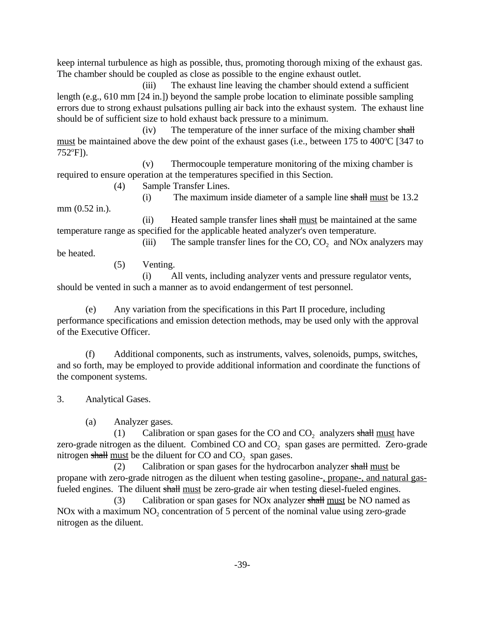keep internal turbulence as high as possible, thus, promoting thorough mixing of the exhaust gas. The chamber should be coupled as close as possible to the engine exhaust outlet.

(iii) The exhaust line leaving the chamber should extend a sufficient length (e.g., 610 mm [24 in.]) beyond the sample probe location to eliminate possible sampling errors due to strong exhaust pulsations pulling air back into the exhaust system. The exhaust line should be of sufficient size to hold exhaust back pressure to a minimum.

(iv) The temperature of the inner surface of the mixing chamber shall must be maintained above the dew point of the exhaust gases (i.e., between 175 to 400 $^{\circ}$ C [347 to 752 $^{\circ}$ F]).

(v) Thermocouple temperature monitoring of the mixing chamber is required to ensure operation at the temperatures specified in this Section.

(4) Sample Transfer Lines.

(i) The maximum inside diameter of a sample line shall must be 13.2 mm (0.52 in.).

(ii) Heated sample transfer lines shall must be maintained at the same temperature range as specified for the applicable heated analyzer's oven temperature.

(iii) The sample transfer lines for the  $CO$ ,  $CO<sub>2</sub>$  and NOx analyzers may be heated.

(5) Venting.

(i) All vents, including analyzer vents and pressure regulator vents, should be vented in such a manner as to avoid endangerment of test personnel.

(e) Any variation from the specifications in this Part II procedure, including performance specifications and emission detection methods, may be used only with the approval of the Executive Officer.

(f) Additional components, such as instruments, valves, solenoids, pumps, switches, and so forth, may be employed to provide additional information and coordinate the functions of the component systems.

 3. Analytical Gases. (a) Analyzer gases.

(1) Calibration or span gases for the CO and  $CO<sub>2</sub>$  analyzers shall must have zero-grade nitrogen as the diluent. Combined  $CO$  and  $CO<sub>2</sub>$  span gases are permitted. Zero-grade nitrogen shall must be the diluent for CO and  $CO<sub>2</sub>$  span gases.

(2) Calibration or span gases for the hydrocarbon analyzer shall must be propane with zero-grade nitrogen as the diluent when testing gasoline-, propane-, and natural gasfueled engines. The diluent shall must be zero-grade air when testing diesel-fueled engines.<br>
(3) Calibration or span gases for NOx analyzer shall must be NO named as

NOx with a maximum  $NO<sub>2</sub>$  concentration of 5 percent of the nominal value using zero-grade nitrogen as the diluent.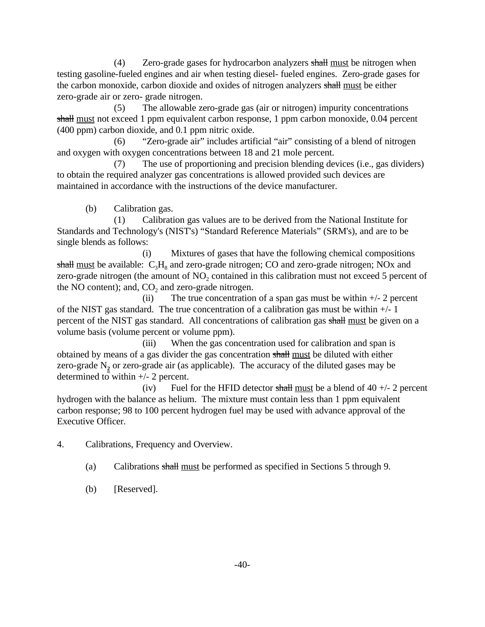$(4)$  Zero-grade gases for hydrocarbon analyzers shall must be nitrogen when testing gasoline-fueled engines and air when testing diesel- fueled engines. Zero-grade gases for the carbon monoxide, carbon dioxide and oxides of nitrogen analyzers shall must be either zero-grade air or zero- grade nitrogen.

(5) The allowable zero-grade gas (air or nitrogen) impurity concentrations shall must not exceed 1 ppm equivalent carbon response, 1 ppm carbon monoxide, 0.04 percent (400 ppm) carbon dioxide, and 0.1 ppm nitric oxide.

(6) "Zero-grade air" includes artificial "air" consisting of a blend of nitrogen and oxygen with oxygen concentrations between 18 and 21 mole percent.

(7) The use of proportioning and precision blending devices (i.e., gas dividers) to obtain the required analyzer gas concentrations is allowed provided such devices are maintained in accordance with the instructions of the device manufacturer.

(b) Calibration gas.

(1) Calibration gas values are to be derived from the National Institute for Standards and Technology's (NIST's) "Standard Reference Materials" (SRM's), and are to be single blends as follows:

(i) Mixtures of gases that have the following chemical compositions shall must be available:  $C_3H_8$  and zero-grade nitrogen; CO and zero-grade nitrogen; NOx and zero-grade nitrogen (the amount of  $NO<sub>2</sub>$  contained in this calibration must not exceed 5 percent of the NO content); and,  $CO<sub>2</sub>$  and zero-grade nitrogen.

(ii) The true concentration of a span gas must be within  $+/- 2$  percent of the NIST gas standard. The true concentration of a calibration gas must be within +/- 1 percent of the NIST gas standard. All concentrations of calibration gas shall must be given on a volume basis (volume percent or volume ppm).

(iii) When the gas concentration used for calibration and span is obtained by means of a gas divider the gas concentration shall must be diluted with either zero-grade  $N_2$  or zero-grade air (as applicable). The accuracy of the diluted gases may be determined to within +/- 2 percent.

(iv) Fuel for the HFID detector shall must be a blend of  $40 +12$  percent hydrogen with the balance as helium. The mixture must contain less than 1 ppm equivalent carbon response; 98 to 100 percent hydrogen fuel may be used with advance approval of the Executive Officer.

Calibrations, Frequency and Overview.

4. Calibrations, Frequency and Overview.<br>
(a) Calibrations shall must be performed as specified in Sections 5 through 9.

(b) [Reserved].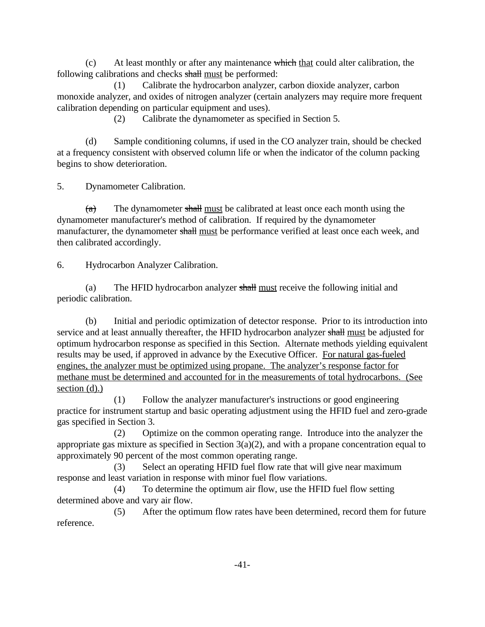$(c)$  At least monthly or after any maintenance which that could alter calibration, the following calibrations and checks shall must be performed:

(1) Calibrate the hydrocarbon analyzer, carbon dioxide analyzer, carbon monoxide analyzer, and oxides of nitrogen analyzer (certain analyzers may require more frequent calibration depending on particular equipment and uses).

(2) Calibrate the dynamometer as specified in Section 5.

(d) Sample conditioning columns, if used in the CO analyzer train, should be checked at a frequency consistent with observed column life or when the indicator of the column packing begins to show deterioration.

**Dynamometer Calibration.** 

5. Dynamometer Calibration.<br>  $\frac{1}{3}$  The dynamometer shall must be calibrated at least once each month using the dynamometer manufacturer's method of calibration. If required by the dynamometer manufacturer, the dynamometer shall must be performance verified at least once each week, and then calibrated accordingly.

**Hydrocarbon Analyzer Calibration.** 

6. Hydrocarbon Analyzer Calibration.<br>
(a) The HFID hydrocarbon analyzer shall must receive the following initial and periodic calibration.

(b) Initial and periodic optimization of detector response. Prior to its introduction into service and at least annually thereafter, the HFID hydrocarbon analyzer shall must be adjusted for optimum hydrocarbon response as specified in this Section. Alternate methods yielding equivalent results may be used, if approved in advance by the Executive Officer. For natural gas-fueled engines, the analyzer must be optimized using propane. The analyzer's response factor for methane must be determined and accounted for in the measurements of total hydrocarbons. (See section (d).)

(1) Follow the analyzer manufacturer's instructions or good engineering practice for instrument startup and basic operating adjustment using the HFID fuel and zero-grade gas specified in Section 3.

(2) Optimize on the common operating range. Introduce into the analyzer the appropriate gas mixture as specified in Section 3(a)(2), and with a propane concentration equal to approximately 90 percent of the most common operating range.

(3) Select an operating HFID fuel flow rate that will give near maximum response and least variation in response with minor fuel flow variations.

(4) To determine the optimum air flow, use the HFID fuel flow setting determined above and vary air flow.

(5) After the optimum flow rates have been determined, record them for future reference.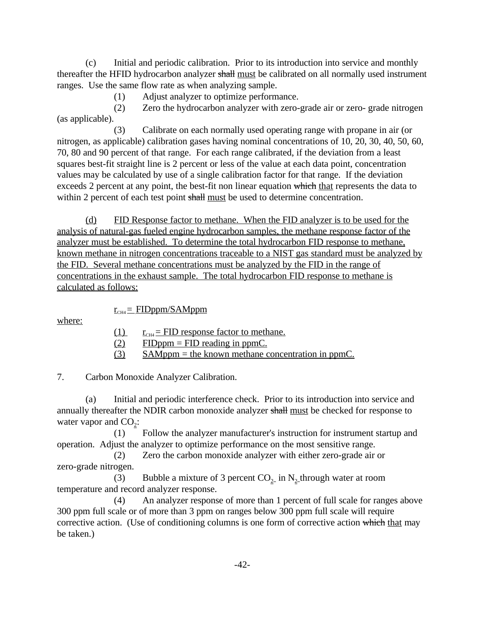(c) Initial and periodic calibration. Prior to its introduction into service and monthly thereafter the HFID hydrocarbon analyzer shall must be calibrated on all normally used instrument ranges. Use the same flow rate as when analyzing sample.

(1) Adjust analyzer to optimize performance.

(2) Zero the hydrocarbon analyzer with zero-grade air or zero- grade nitrogen (as applicable).

(3) Calibrate on each normally used operating range with propane in air (or nitrogen, as applicable) calibration gases having nominal concentrations of 10, 20, 30, 40, 50, 60, 70, 80 and 90 percent of that range. For each range calibrated, if the deviation from a least squares best-fit straight line is 2 percent or less of the value at each data point, concentration values may be calculated by use of a single calibration factor for that range. If the deviation exceeds 2 percent at any point, the best-fit non linear equation which that represents the data to within 2 percent of each test point shall must be used to determine concentration.

(d) FID Response factor to methane. When the FID analyzer is to be used for the analysis of natural-gas fueled engine hydrocarbon samples, the methane response factor of the analyzer must be established. To determine the total hydrocarbon FID response to methane, known methane in nitrogen concentrations traceable to a NIST gas standard must be analyzed by the FID. Several methane concentrations must be analyzed by the FID in the range of concentrations in the exhaust sample. The total hydrocarbon FID response to methane is calculated as follows:

 $r_{\text{CH4}} =$  FIDppm/SAMppm

where:

- (1)  $r_{\text{CH4}} =$  FID response factor to methane.
- $(2)$  FIDppm = FID reading in ppmC.
- (3) SAMppm = the known methane concentration in ppmC.

**Carbon Monoxide Analyzer Calibration.** 

7. Carbon Monoxide Analyzer Calibration.<br>
(a) Initial and periodic interference check. Prior to its introduction into service and annually thereafter the NDIR carbon monoxide analyzer shall must be checked for response to water vapor and  $CO_2$ :

(1) Follow the analyzer manufacturer's instruction for instrument startup and operation. Adjust the analyzer to optimize performance on the most sensitive range.

(2) Zero the carbon monoxide analyzer with either zero-grade air or zero-grade nitrogen.

(3) Bubble a mixture of 3 percent  $CO_2$  in N<sub>2</sub> through water at room temperature and record analyzer response.

(4) An analyzer response of more than 1 percent of full scale for ranges above 300 ppm full scale or of more than 3 ppm on ranges below 300 ppm full scale will require corrective action. (Use of conditioning columns is one form of corrective action which that may be taken.)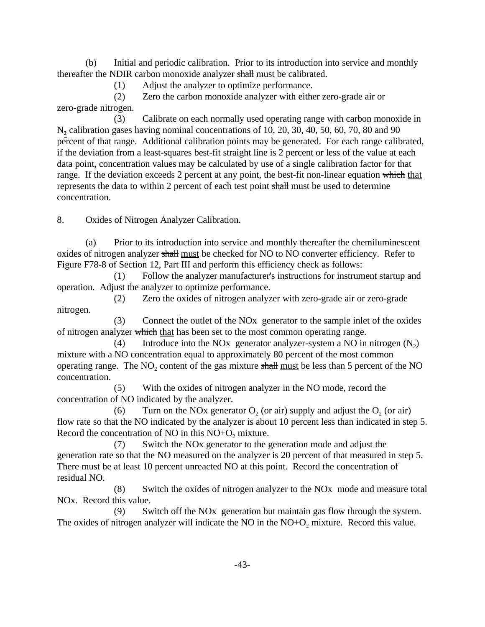(b) Initial and periodic calibration. Prior to its introduction into service and monthly thereafter the NDIR carbon monoxide analyzer shall must be calibrated.

(1) Adjust the analyzer to optimize performance.

(2) Zero the carbon monoxide analyzer with either zero-grade air or zero-grade nitrogen.

(3) Calibrate on each normally used operating range with carbon monoxide in N**2** calibration gases having nominal concentrations of 10, 20, 30, 40, 50, 60, 70, 80 and 90 percent of that range. Additional calibration points may be generated. For each range calibrated, if the deviation from a least-squares best-fit straight line is 2 percent or less of the value at each data point, concentration values may be calculated by use of a single calibration factor for that range. If the deviation exceeds 2 percent at any point, the best-fit non-linear equation which that represents the data to within 2 percent of each test point shall must be used to determine concentration.

**Oxides of Nitrogen Analyzer Calibration.** 

8. Oxides of Nitrogen Analyzer Calibration.<br>
(a) Prior to its introduction into service and monthly thereafter the chemiluminescent oxides of nitrogen analyzer shall <u>must</u> be checked for NO to NO converter efficiency. Refer to Figure F78-8 of Section 12, Part III and perform this efficiency check as follows:

(1) Follow the analyzer manufacturer's instructions for instrument startup and operation. Adjust the analyzer to optimize performance.

(2) Zero the oxides of nitrogen analyzer with zero-grade air or zero-grade nitrogen.

(3) Connect the outlet of the NOx generator to the sample inlet of the oxides of nitrogen analyzer which that has been set to the most common operating range.<br>  $(4)$  Introduce into the NOx generator analyzer-system a NO in

Introduce into the NO<sub>x</sub> generator analyzer-system a NO in nitrogen  $(N_2)$ mixture with a NO concentration equal to approximately 80 percent of the most common operating range. The  $NO<sub>2</sub>$  content of the gas mixture  $\frac{1}{2}$  must be less than 5 percent of the NO concentration.

(5) With the oxides of nitrogen analyzer in the NO mode, record the concentration of NO indicated by the analyzer.

(6) Turn on the NOx generator  $O_2$  (or air) supply and adjust the  $O_2$  (or air) flow rate so that the NO indicated by the analyzer is about 10 percent less than indicated in step 5. Record the concentration of NO in this  $NO+O<sub>2</sub>$  mixture.

(7) Switch the NOx generator to the generation mode and adjust the generation rate so that the NO measured on the analyzer is 20 percent of that measured in step 5. There must be at least 10 percent unreacted NO at this point. Record the concentration of residual NO.

(8) Switch the oxides of nitrogen analyzer to the NOx mode and measure total NOx. Record this value.

(9) Switch off the NOx generation but maintain gas flow through the system. The oxides of nitrogen analyzer will indicate the NO in the  $NO+O<sub>2</sub>$  mixture. Record this value.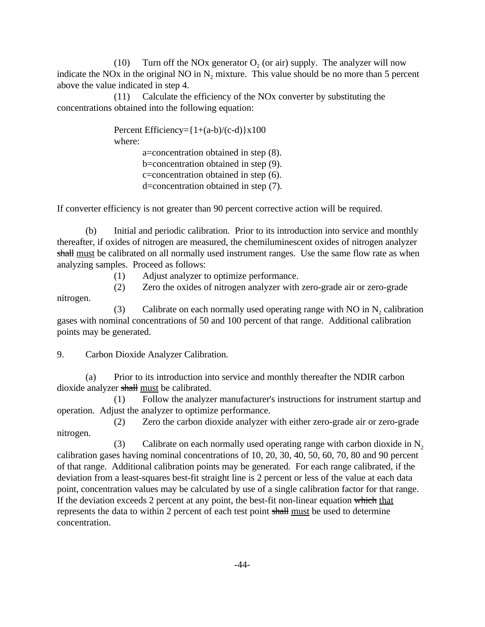(10) Turn off the NOx generator  $O_2$  (or air) supply. The analyzer will now indicate the NO<sub>x</sub> in the original NO in  $N_2$  mixture. This value should be no more than 5 percent above the value indicated in step 4.

(11) Calculate the efficiency of the NOx converter by substituting the concentrations obtained into the following equation:

> Percent Efficiency= $\{1+(a-b)/(c-d)\}\times 100$ where: a=concentration obtained in step (8).

b=concentration obtained in step (9). c=concentration obtained in step (6). d=concentration obtained in step (7).

If converter efficiency is not greater than 90 percent corrective action will be required.

(b) Initial and periodic calibration. Prior to its introduction into service and monthly thereafter, if oxides of nitrogen are measured, the chemiluminescent oxides of nitrogen analyzer shall must be calibrated on all normally used instrument ranges. Use the same flow rate as when analyzing samples. Proceed as follows:

(1) Adjust analyzer to optimize performance.

(2) Zero the oxides of nitrogen analyzer with zero-grade air or zero-grade

nitrogen.

(3) Calibrate on each normally used operating range with NO in  $N_2$  calibration gases with nominal concentrations of 50 and 100 percent of that range. Additional calibration points may be generated.

 9. Carbon Dioxide Analyzer Calibration.

(a) Prior to its introduction into service and monthly thereafter the NDIR carbon dioxide analyzer shall must be calibrated.

(1) Follow the analyzer manufacturer's instructions for instrument startup and operation. Adjust the analyzer to optimize performance.

(2) Zero the carbon dioxide analyzer with either zero-grade air or zero-grade nitrogen.

(3) Calibrate on each normally used operating range with carbon dioxide in  $N<sub>2</sub>$ calibration gases having nominal concentrations of 10, 20, 30, 40, 50, 60, 70, 80 and 90 percent of that range. Additional calibration points may be generated. For each range calibrated, if the deviation from a least-squares best-fit straight line is 2 percent or less of the value at each data point, concentration values may be calculated by use of a single calibration factor for that range. If the deviation exceeds 2 percent at any point, the best-fit non-linear equation which that represents the data to within 2 percent of each test point shall must be used to determine concentration.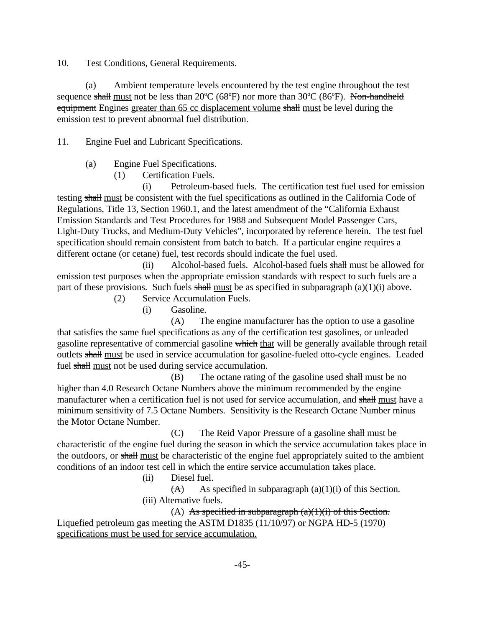**Test Conditions, General Requirements.** 

10. Test Conditions, General Requirements.<br>
(a) Ambient temperature levels encountered by the test engine throughout the test sequence shall <u>must</u> not be less than 20 $^{\circ}C$  (68 $^{\circ}F$ ) nor more than 30 $^{\circ}C$  (86 $^{\circ}F$ equipment Engines greater than 65 cc displacement volume shall must be level during the emission test to prevent abnormal fuel distribution.

11. Engine Fuel and Lubricant Specifications.<br>
(a) Engine Fuel Specifications.

(1) Certification Fuels.

(i) Petroleum-based fuels. The certification test fuel used for emission testing shall must be consistent with the fuel specifications as outlined in the California Code of Regulations, Title 13, Section 1960.1, and the latest amendment of the "California Exhaust Emission Standards and Test Procedures for 1988 and Subsequent Model Passenger Cars, Light-Duty Trucks, and Medium-Duty Vehicles", incorporated by reference herein. The test fuel specification should remain consistent from batch to batch. If a particular engine requires a different octane (or cetane) fuel, test records should indicate the fuel used.

(ii) Alcohol-based fuels. Alcohol-based fuels shall must be allowed for emission test purposes when the appropriate emission standards with respect to such fuels are a part of these provisions. Such fuels  $\frac{1}{\sqrt{2}}$  and  $\frac{1}{\sqrt{2}}$  as specified in subparagraph (a)(1)(i) above.

(2) Service Accumulation Fuels.

(i) Gasoline.

(A) The engine manufacturer has the option to use a gasoline that satisfies the same fuel specifications as any of the certification test gasolines, or unleaded gasoline representative of commercial gasoline which that will be generally available through retail outlets shall must be used in service accumulation for gasoline-fueled otto-cycle engines. Leaded fuel shall must not be used during service accumulation.

 $(B)$  The octane rating of the gasoline used shall must be no higher than 4.0 Research Octane Numbers above the minimum recommended by the engine manufacturer when a certification fuel is not used for service accumulation, and shall must have a minimum sensitivity of 7.5 Octane Numbers. Sensitivity is the Research Octane Number minus the Motor Octane Number.

(C) The Reid Vapor Pressure of a gasoline shall must be characteristic of the engine fuel during the season in which the service accumulation takes place in the outdoors, or shall must be characteristic of the engine fuel appropriately suited to the ambient conditions of an indoor test cell in which the entire service accumulation takes place.

(ii) Diesel fuel.

 $(A)$  As specified in subparagraph (a)(1)(i) of this Section. (iii) Alternative fuels.

(A) As specified in subparagraph  $(a)(1)(i)$  of this Section. Liquefied petroleum gas meeting the ASTM D1835  $(11/10/97)$  or NGPA HD-5  $(1970)$ specifications must be used for service accumulation.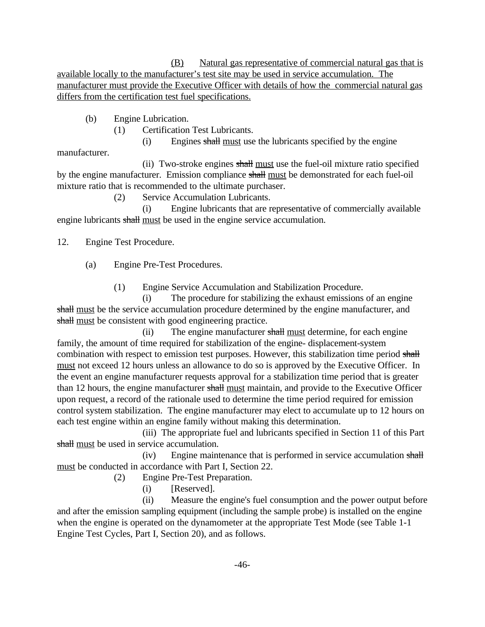(B) Natural gas representative of commercial natural gas that is available locally to the manufacturer's test site may be used in service accumulation. The manufacturer must provide the Executive Officer with details of how the commercial natural gas differs from the certification test fuel specifications.

(b) Engine Lubrication.

(1) Certification Test Lubricants.

(i) Engines shall must use the lubricants specified by the engine

(ii) Two-stroke engines shall must use the fuel-oil mixture ratio specified by the engine manufacturer. Emission compliance shall must be demonstrated for each fuel-oil mixture ratio that is recommended to the ultimate purchaser.

(2) Service Accumulation Lubricants.

(i) Engine lubricants that are representative of commercially available engine lubricants shall must be used in the engine service accumulation.

12. Engine Test Procedure.

manufacturer.

(a) Engine Pre-Test Procedures.

(1) Engine Service Accumulation and Stabilization Procedure.

(i) The procedure for stabilizing the exhaust emissions of an engine shall must be the service accumulation procedure determined by the engine manufacturer, and shall must be consistent with good engineering practice.

(ii) The engine manufacturer shall must determine, for each engine family, the amount of time required for stabilization of the engine- displacement-system combination with respect to emission test purposes. However, this stabilization time period shall must not exceed 12 hours unless an allowance to do so is approved by the Executive Officer. In the event an engine manufacturer requests approval for a stabilization time period that is greater than 12 hours, the engine manufacturer shall must maintain, and provide to the Executive Officer upon request, a record of the rationale used to determine the time period required for emission control system stabilization. The engine manufacturer may elect to accumulate up to 12 hours on each test engine within an engine family without making this determination.

(iii) The appropriate fuel and lubricants specified in Section 11 of this Part shall must be used in service accumulation.

(iv) Engine maintenance that is performed in service accumulation shall must be conducted in accordance with Part I, Section 22.

(2) Engine Pre-Test Preparation.

(i) [Reserved].

(ii) Measure the engine's fuel consumption and the power output before and after the emission sampling equipment (including the sample probe) is installed on the engine when the engine is operated on the dynamometer at the appropriate Test Mode (see Table 1-1 Engine Test Cycles, Part I, Section 20), and as follows.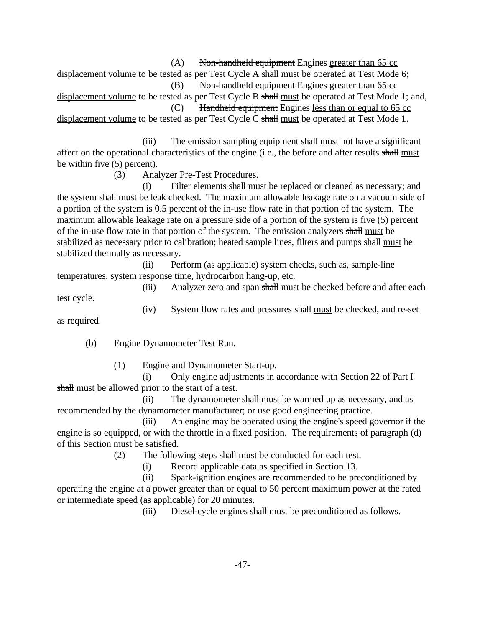$(A)$  Non-handheld equipment Engines greater than 65 cc displacement volume to be tested as per Test Cycle A shall must be operated at Test Mode 6; (B) Non-handheld equipment Engines greater than 65 cc

displacement volume to be tested as per Test Cycle B shall must be operated at Test Mode 1; and, (C) Handheld equipment Engines less than or equal to 65 cc

displacement volume to be tested as per Test Cycle C shall must be operated at Test Mode 1.

(iii) The emission sampling equipment shall must not have a significant affect on the operational characteristics of the engine (i.e., the before and after results shall must be within five (5) percent).

(3) Analyzer Pre-Test Procedures.

(i) Filter elements  $\frac{\text{shall must}}{\text{must}}$  be replaced or cleaned as necessary; and  $\frac{\text{shal}}{\text{must}}$  The maximum allowship lagly as no  $\frac{\text{shal}}{\text{must}}$  and  $\frac{\text{shal}}{\text{must}}$ the system shall must be leak checked. The maximum allowable leakage rate on a vacuum side of a portion of the system is 0.5 percent of the in-use flow rate in that portion of the system. The maximum allowable leakage rate on a pressure side of a portion of the system is five (5) percent of the in-use flow rate in that portion of the system. The emission analyzers shall must be stabilized as necessary prior to calibration; heated sample lines, filters and pumps shall must be stabilized thermally as necessary.

(ii) Perform (as applicable) system checks, such as, sample-line temperatures, system response time, hydrocarbon hang-up, etc.

(iii) Analyzer zero and span shall must be checked before and after each

test cycle.

 $(iv)$ System flow rates and pressures shall must be checked, and re-set

as required.

(b) Engine Dynamometer Test Run.

(1) Engine and Dynamometer Start-up.

(i) Only engine adjustments in accordance with Section 22 of Part I shall must be allowed prior to the start of a test.

(ii) The dynamometer shall must be warmed up as necessary, and as recommended by the dynamometer manufacturer; or use good engineering practice.

(iii) An engine may be operated using the engine's speed governor if the engine is so equipped, or with the throttle in a fixed position. The requirements of paragraph (d) of this Section must be satisfied.

(2) The following steps shall must be conducted for each test.<br>  $(i)$  Record applicable data as specified in Section 13.

Record applicable data as specified in Section 13.

(ii) Spark-ignition engines are recommended to be preconditioned by operating the engine at a power greater than or equal to 50 percent maximum power at the rated or intermediate speed (as applicable) for 20 minutes.

(iii) Diesel-cycle engines shall must be preconditioned as follows.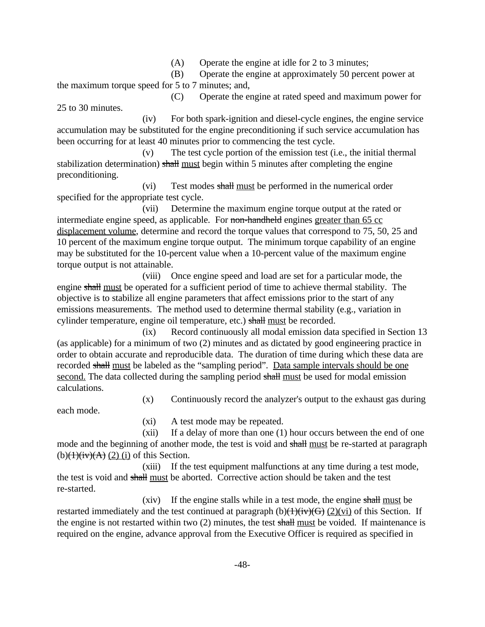(A) Operate the engine at idle for 2 to 3 minutes;

(B) Operate the engine at approximately 50 percent power at the maximum torque speed for 5 to 7 minutes; and,

(C) Operate the engine at rated speed and maximum power for 25 to 30 minutes.

(iv) For both spark-ignition and diesel-cycle engines, the engine service accumulation may be substituted for the engine preconditioning if such service accumulation has been occurring for at least 40 minutes prior to commencing the test cycle.

(v) The test cycle portion of the emission test (i.e., the initial thermal stabilization determination) shall must begin within 5 minutes after completing the engine preconditioning.

(vi) Test modes shall must be performed in the numerical order specified for the appropriate test cycle.

(vii) Determine the maximum engine torque output at the rated or intermediate engine speed, as applicable. For non-handheld engines greater than 65 cc displacement volume, determine and record the torque values that correspond to 75, 50, 25 and 10 percent of the maximum engine torque output. The minimum torque capability of an engine may be substituted for the 10-percent value when a 10-percent value of the maximum engine torque output is not attainable.

engine shall must be operated for a sufficient period of time to achieve thermal stability. The (viii) Once engine speed and load are set for a particular mode, the objective is to stabilize all engine parameters that affect emissions prior to the start of any emissions measurements. The method used to determine thermal stability (e.g., variation in cylinder temperature, engine oil temperature, etc.) shall must be recorded.

recorded shall must be labeled as the "sampling period". Data sample intervals should be one<br>second. The data collected during the sampling period shall must be used for modal emission (ix) Record continuously all modal emission data specified in Section 13 (as applicable) for a minimum of two (2) minutes and as dictated by good engineering practice in order to obtain accurate and reproducible data. The duration of time during which these data are second. The data collected during the sampling period shall must be used for modal emission calculations.

(x) Continuously record the analyzer's output to the exhaust gas during

each mode.

(xi) A test mode may be repeated.

(xii) If a delay of more than one (1) hour occurs between the end of one mode and the beginning of another mode, the test is void and shall <u>must</u> be re-started at paragraph  $(2)(1)(1)(2)(1)$  $(b)(1)(iv)(A)$  (2) (i) of this Section.

(xiii) If the test equipment malfunctions at any time during a test mode, the test is void and shall must be aborted. Corrective action should be taken and the test re-started.

(xiv) If the engine stalls while in a test mode, the engine shall must be restarted immediately and the test continued at paragraph  $(b)(1)(iv)(G)$  (2)(vi) of this Section. If the engine is not restarted within two (2) minutes, the test shall must be voided. If maintenance is required on the engine, advance approval from the Executive Officer is required as specified in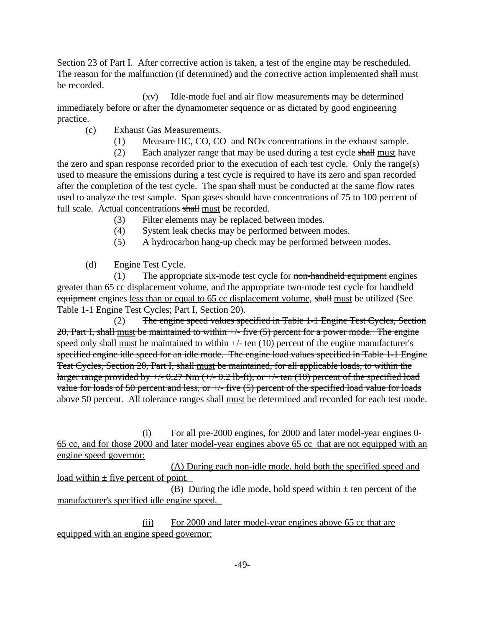Section 23 of Part I. After corrective action is taken, a test of the engine may be rescheduled. The reason for the malfunction (if determined) and the corrective action implemented shall must be recorded.

(xv) Idle-mode fuel and air flow measurements may be determined immediately before or after the dynamometer sequence or as dictated by good engineering practice.

- (c) Exhaust Gas Measurements.
	- (1) Measure HC, CO, CO and NOx concentrations in the exhaust sample.

(2) Each analyzer range that may be used during a test cycle  $shall$  must have the zero and span response recorded prior to the execution of each test cycle. Only the range(s) used to measure the emissions during a test cycle is required to have its zero and span recorded after the completion of the test cycle. The span shall must be conducted at the same flow rates used to analyze the test sample. Span gases should have concentrations of 75 to 100 percent of full scale. Actual concentrations shall must be recorded.

- (3) Filter elements may be replaced between modes.
- (4) System leak checks may be performed between modes.
- (5) A hydrocarbon hang-up check may be performed between modes.
- (d) Engine Test Cycle.

(1) The appropriate six-mode test cycle for non-handheld equipment engines greater than 65 cc displacement volume, and the appropriate two-mode test cycle for handheld equipment engines less than or equal to 65 cc displacement volume, shall must be utilized (See Table 1-1 Engine Test Cycles; Part I, Section 20).

(2) The engine speed values specified in Table 1-1 Engine Test Cycles, Section 20, Part I, shall must be maintained to within  $\neq$ -five (5) percent for a power mode. The engine speed only shall must be maintained to within  $+/-$  ten (10) percent of the engine manufacturer's specified engine idle speed for an idle mode. The engine load values specified in Table 1-1 Engine Test Cycles, Section 20, Part I, shall must be maintained, for all applicable loads, to within the larger range provided by  $\neq$  -0.27 Nm ( $\neq$  -0.2 lb-ft), or  $\neq$  ten (10) percent of the specified load value for loads of 50 percent and less, or  $\pm$ - five (5) percent of the specified load value for loads above 50 percent. All tolerance ranges shall must be determined and recorded for each test mode.

(i) For all pre-2000 engines, for 2000 and later model-year engines 0- 65 cc, and for those 2000 and later model-year engines above 65 cc that are not equipped with an engine speed governor:

(A) During each non-idle mode, hold both the specified speed and load within  $\pm$  five percent of point.

(B) During the idle mode, hold speed within  $\pm$  ten percent of the manufacturer's specified idle engine speed.

(ii) For 2000 and later model-year engines above 65 cc that are equipped with an engine speed governor: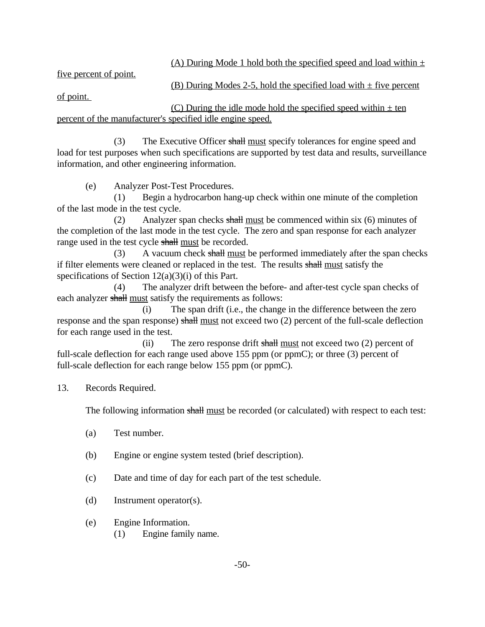(A) During Mode 1 hold both the specified speed and load within  $\pm$ 

five percent of point.

(B) During Modes 2-5, hold the specified load with  $\pm$  five percent

of point.

(C) During the idle mode hold the specified speed within  $\pm$  ten percent of the manufacturer's specified idle engine speed.

(3) The Executive Officer shall must specify tolerances for engine speed and load for test purposes when such specifications are supported by test data and results, surveillance information, and other engineering information.

(e) Analyzer Post-Test Procedures.

(1) Begin a hydrocarbon hang-up check within one minute of the completion of the last mode in the test cycle.

(2) Analyzer span checks shall must be commenced within six  $(6)$  minutes of the completion of the last mode in the test cycle. The zero and span response for each analyzer range used in the test cycle shall must be recorded.

(3) A vacuum check shall must be performed immediately after the span checks if filter elements were cleaned or replaced in the test. The results shall must satisfy the specifications of Section 12(a)(3)(i) of this Part.

(4) The analyzer drift between the before- and after-test cycle span checks of each analyzer shall must satisfy the requirements as follows:

(i) The span drift (i.e., the change in the difference between the zero response and the span response) shall must not exceed two (2) percent of the full-scale deflection for each range used in the test.

(ii) The zero response drift shall must not exceed two  $(2)$  percent of full-scale deflection for each range used above 155 ppm (or ppmC); or three (3) percent of full-scale deflection for each range below 155 ppm (or ppmC).

# **Records Required.**

13. Records Required.<br>The following information shall must be recorded (or calculated) with respect to each test:

- (a) Test number.
- (b) Engine or engine system tested (brief description).
- (c) Date and time of day for each part of the test schedule.
- (d) Instrument operator(s).
- (e) Engine Information.
	- (1) Engine family name.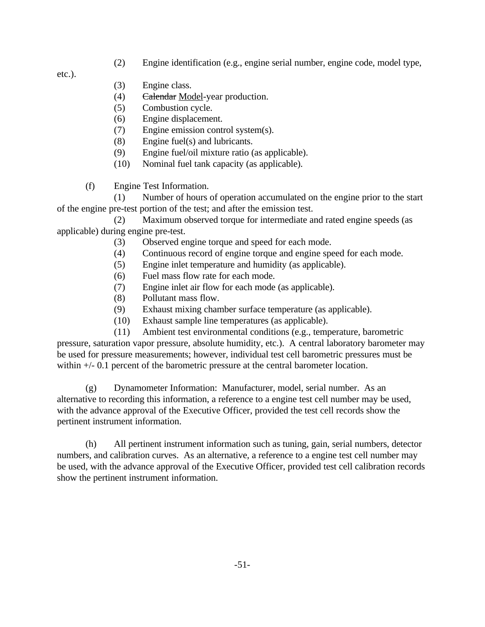(2) Engine identification (e.g., engine serial number, engine code, model type,

etc.).

- (3) Engine class.
- (4) Calendar Model-year production.
- (5) Combustion cycle.
- (6) Engine displacement.
- (7) Engine emission control system(s).
- (8) Engine fuel(s) and lubricants.
- (9) Engine fuel/oil mixture ratio (as applicable).
- (10) Nominal fuel tank capacity (as applicable).
- (f) Engine Test Information.

(1) Number of hours of operation accumulated on the engine prior to the start of the engine pre-test portion of the test; and after the emission test.

(2) Maximum observed torque for intermediate and rated engine speeds (as applicable) during engine pre-test.

- (3) Observed engine torque and speed for each mode.
- (4) Continuous record of engine torque and engine speed for each mode.
- (5) Engine inlet temperature and humidity (as applicable).
- (6) Fuel mass flow rate for each mode.
- (7) Engine inlet air flow for each mode (as applicable).
- (8) Pollutant mass flow.
- (9) Exhaust mixing chamber surface temperature (as applicable).
- (10) Exhaust sample line temperatures (as applicable).

(11) Ambient test environmental conditions (e.g., temperature, barometric pressure, saturation vapor pressure, absolute humidity, etc.). A central laboratory barometer may be used for pressure measurements; however, individual test cell barometric pressures must be within  $+/- 0.1$  percent of the barometric pressure at the central barometer location.

(g) Dynamometer Information: Manufacturer, model, serial number. As an alternative to recording this information, a reference to a engine test cell number may be used, with the advance approval of the Executive Officer, provided the test cell records show the pertinent instrument information.

(h) All pertinent instrument information such as tuning, gain, serial numbers, detector numbers, and calibration curves. As an alternative, a reference to a engine test cell number may be used, with the advance approval of the Executive Officer, provided test cell calibration records show the pertinent instrument information.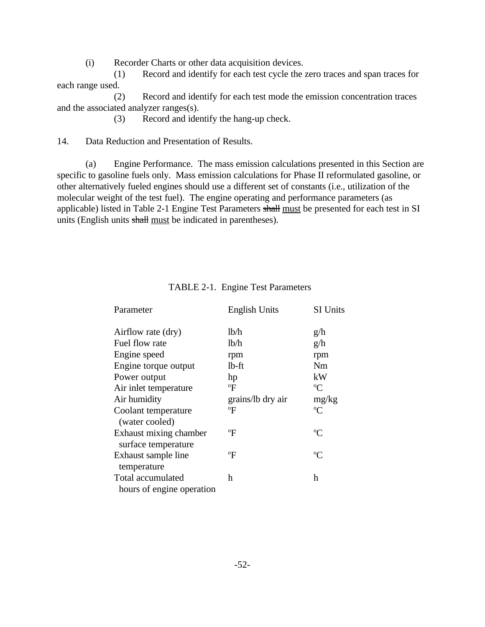(i) Recorder Charts or other data acquisition devices.

(1) Record and identify for each test cycle the zero traces and span traces for each range used.

(2) Record and identify for each test mode the emission concentration traces and the associated analyzer ranges(s).

(3) Record and identify the hang-up check.

Data Reduction and Presentation of Results.

14. Data Reduction and Presentation of Results.<br>
(a) Engine Performance. The mass emission calculations presented in this Section are specific to gasoline fuels only. Mass emission calculations for Phase II reformulated gasoline, or other alternatively fueled engines should use a different set of constants (i.e., utilization of the molecular weight of the test fuel). The engine operating and performance parameters (as applicable) listed in Table 2-1 Engine Test Parameters shall must be presented for each test in SI units (English units shall must be indicated in parentheses).

| Parameter                                      | <b>English Units</b> | SI Units    |
|------------------------------------------------|----------------------|-------------|
| Airflow rate (dry)                             | lb/h                 | g/h         |
| Fuel flow rate                                 | lb/h                 | g/h         |
| Engine speed                                   | rpm                  | rpm         |
| Engine torque output                           | $lb$ -ft             | Nm          |
| Power output                                   | hp                   | kW          |
| Air inlet temperature                          | $\mathrm{^oF}$       | $\rm ^{o}C$ |
| Air humidity                                   | grains/lb dry air    | mg/kg       |
| Coolant temperature                            | °F                   | $\rm ^{o}C$ |
| (water cooled)                                 |                      |             |
| Exhaust mixing chamber<br>surface temperature  | °F                   | $\rm ^{o}C$ |
| Exhaust sample line<br>temperature             | ºF                   | $\rm ^{o}C$ |
| Total accumulated<br>hours of engine operation | h                    | h           |

## TABLE 2-1. Engine Test Parameters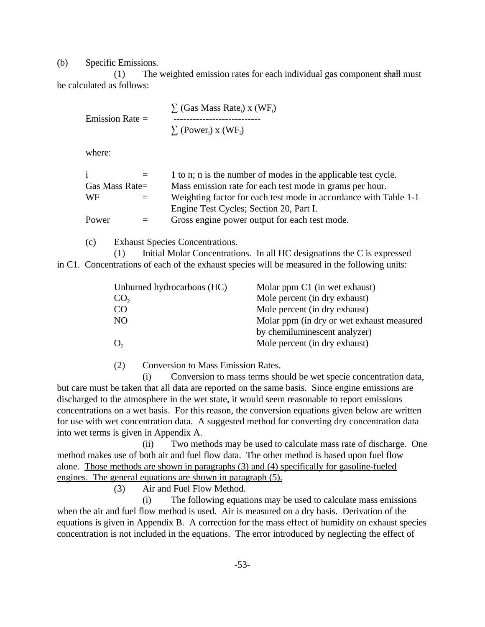(b) Specific Emissions.

(1) The weighted emission rates for each individual gas component  $shall must$ be calculated as follows:

$$
\sum_{\text{L}} (\text{Gas Mass Rate}_i) \times (\text{WF}_i)
$$
\n
$$
\sum_{\text{L}} (\text{Gas Mass Rate}_i) \times (\text{WF}_i)
$$
\n
$$
\sum_{\text{L}} (\text{Power}_i) \times (\text{WF}_i)
$$

where:

|                | $=$ | 1 to n; n is the number of modes in the applicable test cycle.   |
|----------------|-----|------------------------------------------------------------------|
| Gas Mass Rate= |     | Mass emission rate for each test mode in grams per hour.         |
| WF             | $=$ | Weighting factor for each test mode in accordance with Table 1-1 |
|                |     | Engine Test Cycles; Section 20, Part I.                          |
| Power          | $=$ | Gross engine power output for each test mode.                    |
|                |     |                                                                  |

(c) Exhaust Species Concentrations.

(1) Initial Molar Concentrations. In all HC designations the C is expressed in C1. Concentrations of each of the exhaust species will be measured in the following units:

| Unburned hydrocarbons (HC) | Molar ppm C1 (in wet exhaust)             |
|----------------------------|-------------------------------------------|
| CO <sub>2</sub>            | Mole percent (in dry exhaust)             |
| CO                         | Mole percent (in dry exhaust)             |
| NO.                        | Molar ppm (in dry or wet exhaust measured |
|                            | by chemiluminescent analyzer)             |
| O <sub>2</sub>             | Mole percent (in dry exhaust)             |
|                            |                                           |

(2) Conversion to Mass Emission Rates.

(i) Conversion to mass terms should be wet specie concentration data, but care must be taken that all data are reported on the same basis. Since engine emissions are discharged to the atmosphere in the wet state, it would seem reasonable to report emissions concentrations on a wet basis. For this reason, the conversion equations given below are written for use with wet concentration data. A suggested method for converting dry concentration data into wet terms is given in Appendix A.

(ii) Two methods may be used to calculate mass rate of discharge. One method makes use of both air and fuel flow data. The other method is based upon fuel flow alone. Those methods are shown in paragraphs (3) and (4) specifically for gasoline-fueled engines. The general equations are shown in paragraph (5).

(3) Air and Fuel Flow Method.

(i) The following equations may be used to calculate mass emissions when the air and fuel flow method is used. Air is measured on a dry basis. Derivation of the equations is given in Appendix B. A correction for the mass effect of humidity on exhaust species concentration is not included in the equations. The error introduced by neglecting the effect of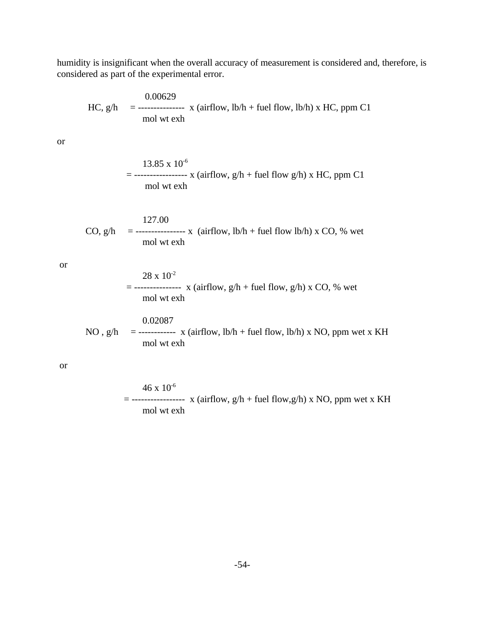humidity is insignificant when the overall accuracy of measurement is considered and, therefore, is considered as part of the experimental error.

$$
HC, g/h = \frac{0.00629}{\text{mol wt} \text{ex}} \text{ x (airflow, lb/h + fuel flow, lb/h) x HC, ppm C1}
$$

or

$$
13.85 \times 10^{-6}
$$
  
= 
$$
13.85 \times 10^{-6}
$$
  
= 
$$
13.85 \times 10^{-6}
$$
  
and 
$$
13.85 \times 10^{-6}
$$
  
= 
$$
13.85 \times 10^{-6}
$$
  
= 
$$
13.85 \times 10^{-6}
$$
  
= 
$$
14.85 \times 10^{-6}
$$
  
= 
$$
14.85 \times 10^{-6}
$$

127.00 CO,  $g/h$  = --------------- x (airflow,  $lb/h$  + fuel flow  $lb/h$ ) x CO, % wet mol wt exh

or

$$
= 28 \times 10^{-2}
$$
  
= 3. (airflow, g/h + fuel flow, g/h) x CO, % we  
and wt exh

0.02087 NO,  $g/h$  = ----------- x (airflow,  $lb/h$  + fuel flow,  $lb/h$ ) x NO, ppm wet x KH mol wt exh

or

$$
46 \times 10^{-6}
$$
  
= **-----**  $\times$  (airflow, g/h + fuel flow,g/h) x NO, ppm wet x KH  
mol wt exh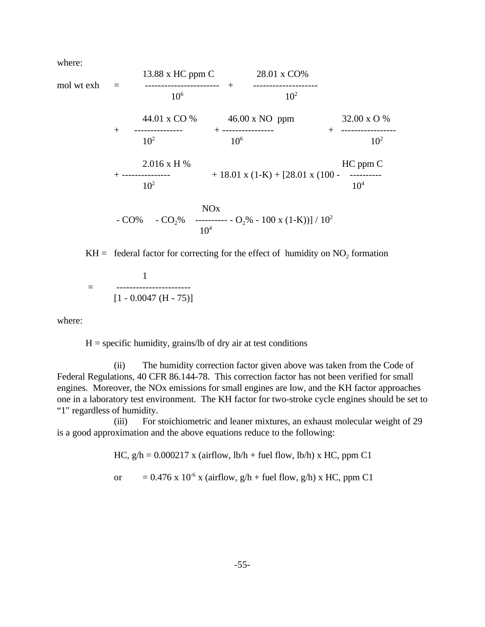where:



 $KH =$  federal factor for correcting for the effect of humidity on  $NO<sub>2</sub>$  formation

1 = -----------------------  $[1 - 0.0047$  (H - 75)]

where:

 $H =$  specific humidity, grains/lb of dry air at test conditions

(ii) The humidity correction factor given above was taken from the Code of Federal Regulations, 40 CFR 86.144-78. This correction factor has not been verified for small engines. Moreover, the NOx emissions for small engines are low, and the KH factor approaches one in a laboratory test environment. The KH factor for two-stroke cycle engines should be set to "1" regardless of humidity.

(iii) For stoichiometric and leaner mixtures, an exhaust molecular weight of 29 is a good approximation and the above equations reduce to the following:

HC,  $g/h = 0.000217$  x (airflow,  $lb/h + fuel$  flow,  $lb/h$ ) x HC, ppm C1

or =  $0.476 \times 10^{-6} \times (airflow, g/h + fuel flow, g/h) \times HC$ , ppm C1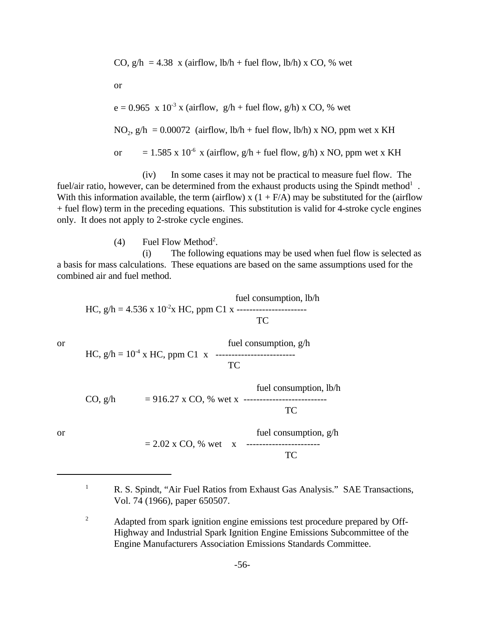CO, 
$$
g/h = 4.38
$$
 x (airflow,  $lb/h$  + fuel flow,  $lb/h$ ) x CO, % wet

or

e = 0.965 x 10-3 x (airflow, g/h + fuel flow, g/h) x CO, % wet NO 2 , g/h = 0.00072 (airflow, lb/h + fuel flow, lb/h) x NO, ppm wet x KH or = 1.585 x 10-6 x (airflow, g/h + fuel flow, g/h) x NO, ppm wet x KH

(iv) In some cases it may not be practical to measure fuel flow. The fuel/air ratio, however, can be determined from the exhaust products using the Spindt method<sup>1</sup>. With this information available, the term (airflow) x  $(1 + F/A)$  may be substituted for the (airflow + fuel flow) term in the preceding equations. This substitution is valid for 4-stroke cycle engines only. It does not apply to 2-stroke cycle engines.

 $(4)$  Fuel Flow Method<sup>2</sup>.

(i) The following equations may be used when fuel flow is selected as a basis for mass calculations. These equations are based on the same assumptions used for the combined air and fuel method.

fuel consumption, lb/h HC, g/h = 4.536 x 10-2x HC, ppm C1 x ---------------------- TC or fuel consumption, g/h HC, g/h = 10-4 x HC, ppm C1 x ------------------------- TC fuel consumption, lb/h CO, g/h = 916.27 x CO, % wet x -------------------------- TC or fuel consumption, g/h = 2.02 x CO, % wet x ----------------------- TC

<sup>&</sup>lt;sup>1</sup> R. S. Spindt, "Air Fuel Ratios from Exhaust Gas Analysis." SAE Transactions, Vol. 74 (1966), paper 650507.

<sup>&</sup>lt;sup>2</sup> Adapted from spark ignition engine emissions test procedure prepared by Off-Highway and Industrial Spark Ignition Engine Emissions Subcommittee of the Engine Manufacturers Association Emissions Standards Committee.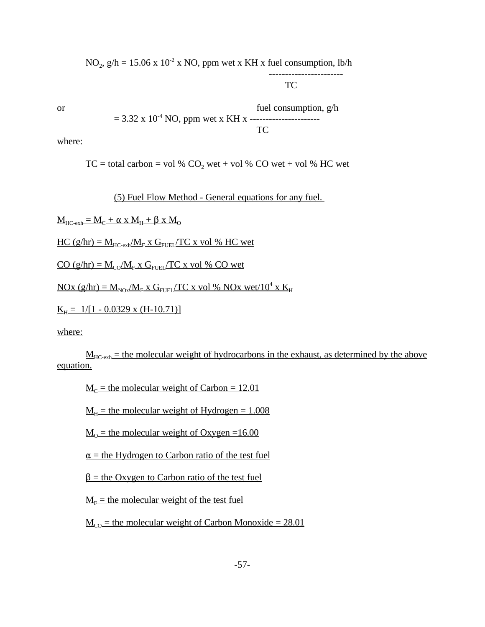$NO_2$ ,  $g/h = 15.06 \times 10^{-2} \times NO$ , ppm wet x KH x fuel consumption, lb/h ----------------------- TC or fuel consumption,  $g/h$ 

= 3.32 x 10-4 NO, ppm wet x KH x ---------------------- TC

where:

 $TC = total carbon = vol % CO<sub>2</sub> wet + vol % CO wet + vol % HC wet$ 

(5) Fuel Flow Method - General equations for any fuel.

 $\underline{M}_{\text{HC-exh}} = \underline{M}_{\text{C}} + \alpha \times \underline{M}_{\text{H}} + \beta \times \underline{M}_{\text{O}}$ 

 $HC (g/hr) = M_{HC-exh}/M_{F} x G_{FUE}/TC x vol % HC wet$ 

 $CO (g/hr) = M_{CO}/M_F x G_{FUEL}/TC x vol % CO wet$ 

 $NOX (g/hr) = M_{NOX} / M_F X G_{FUE} / TC X vol % NOx wet/10<sup>4</sup> x K<sub>H</sub>$ 

 $K_H = 1/[1 - 0.0329 \text{ x } (H - 10.71)]$ 

where:

 $M_{HC,evh}$  = the molecular weight of hydrocarbons in the exhaust, as determined by the above equation.

 $M<sub>C</sub>$  = the molecular weight of Carbon = 12.01

 $M_H$  = the molecular weight of Hydrogen = 1.008

 $M<sub>0</sub>$  = the molecular weight of Oxygen =16.00

 $\alpha$  = the Hydrogen to Carbon ratio of the test fuel

 $\beta$  = the Oxygen to Carbon ratio of the test fuel

 $M<sub>E</sub>$  = the molecular weight of the test fuel

 $M_{\text{CO}}$  = the molecular weight of Carbon Monoxide = 28.01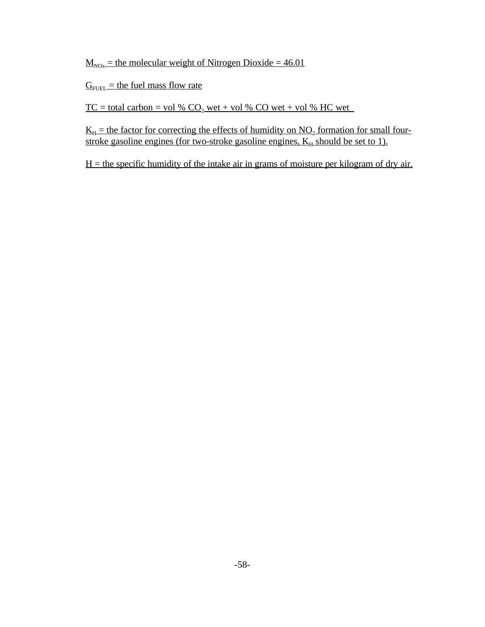$M_{\text{NOx}}$  = the molecular weight of Nitrogen Dioxide = 46.01

 $G<sub>FUEL</sub> =$  the fuel mass flow rate

 $TC = total carbon = vol % CO<sub>2</sub> wet + vol % CO wet + vol % CHC wet$ 

 $K_H$  = the factor for correcting the effects of humidity on  $NO_2$  formation for small fourstroke gasoline engines (for two-stroke gasoline engines,  $K_H$  should be set to 1).

 $H =$  the specific humidity of the intake air in grams of moisture per kilogram of dry air.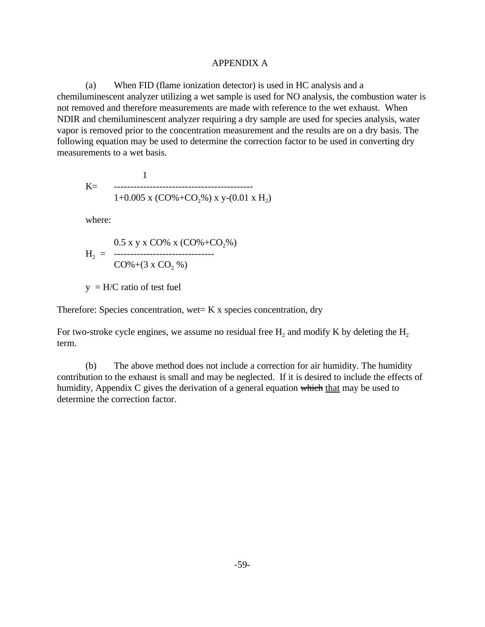## **APPENDIX A**

 $(a)$  When FID (flame ionization detector) is used in HC analysis and a chemiluminescent analyzer utilizing a wet sample is used for NO analysis, the combustion water is not removed and therefore measurements are made with reference to the wet exhaust. When NDIR and chemiluminescent analyzer requiring a dry sample are used for species analysis, water vapor is removed prior to the concentration measurement and the results are on a dry basis. The following equation may be used to determine the correction factor to be used in converting dry measurements to a wet basis.

$$
K= 1
$$
  
1+0.005 x (CO% +CO<sub>2</sub>%) x y-(0.01 x H<sub>2</sub>)

where:

$$
H_2 = \frac{0.5 \times y \times CO\% \times (CO\% + CO_2\%)}{CO\% + (3 \times CO_2\%)}
$$

 $y = H/C$  ratio of test fuel

Therefore: Species concentration, wet=  $K \times$  species concentration, dry

For two-stroke cycle engines, we assume no residual free  $H_2$  and modify K by deleting the  $H_2$ term.

humidity, Appendix C gives the derivation of a general equation which that may be used to (b) The above method does not include a correction for air humidity. The humidity contribution to the exhaust is small and may be neglected. If it is desired to include the effects of determine the correction factor.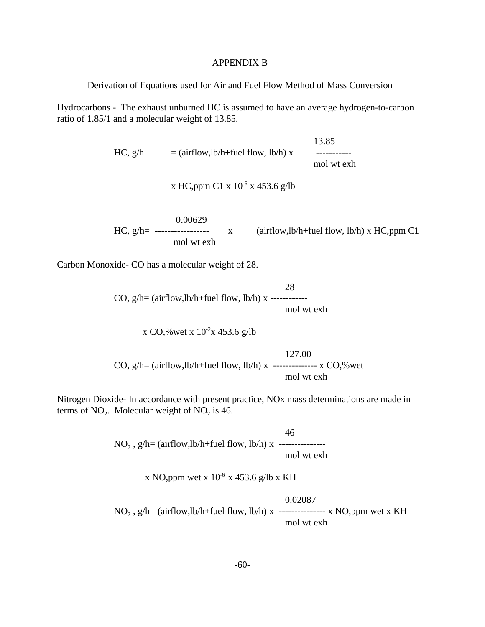#### APPENDIX B

Derivation of Equations used for Air and Fuel Flow Method of Mass Conversion

Hydrocarbons - The exhaust unburned HC is assumed to have an average hydrogen-to-carbon ratio of 1.85/1 and a molecular weight of 13.85.

> 13.85  $HC, g/h = (airflow, lb/h + fuel flow, lb/h) x$  ----------mol wt exh

> > x HC,ppm C1 x 10<sup>-6</sup> x 453.6 g/lb

0.00629  $x = (airflow, lb/h + fuel flow, lb/h) \times HC, ppm \, Cl$ mol wt exh

Carbon Monoxide- CO has a molecular weight of 28.

28 CO,  $g/h = (airflow, lb/h + fuel flow, lb/h)$  x -----------mol wt exh

x CO,% wet x  $10^{-2}x$  453.6 g/lb

127.00 CO,  $g/h = (airflow, lb/h + fuel flow, lb/h)$  x -------------- x CO,%wet mol wt exh

terms of  $NO_2$ . Molecular weight of  $NO_2$  is 46. Nitrogen Dioxide- In accordance with present practice, NOx mass determinations are made in

> 46 NO2 , g/h= (airflow,lb/h+fuel flow, lb/h) x -------------- mol wt exh

> > x NO,ppm wet x  $10^{-6}$  x 453.6 g/lb x KH

0.02087  $NO<sub>2</sub>$ , g/h= (airflow,lb/h+fuel flow, lb/h) x --------------- x NO,ppm wet x KH mol wt exh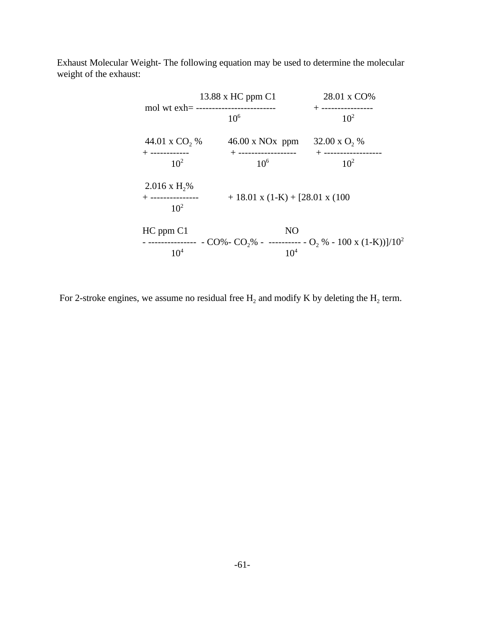Exhaust Molecular Weight- The following equation may be used to determine the molecular weight of the exhaust:

| 13.88 x HC ppm C1             |                                  | 28.01 x CO%                                                                       |  |
|-------------------------------|----------------------------------|-----------------------------------------------------------------------------------|--|
|                               | $10^{6}$                         | + ----------------<br>$10^2$                                                      |  |
| 44.01 x CO <sub>2</sub> %     | $46.00 \times NOx$ ppm           | 32.00 x $O_2$ %                                                                   |  |
| + ------------<br>$10^{2}$    | + ------------------<br>$10^{6}$ | $+$ -------------------<br>$10^{2}$                                               |  |
| $2.016 \text{ x H},\%$        |                                  |                                                                                   |  |
| + ---------------<br>$10^{2}$ | $+18.01$ x (1-K) + [28.01 x (100 |                                                                                   |  |
| HC ppm C1                     | N <sub>O</sub>                   |                                                                                   |  |
| 10 <sup>4</sup>               | 10 <sup>4</sup>                  | - --------------- - CO%- CO,% - ---------- - O, % - 100 x (1-K))]/10 <sup>2</sup> |  |

For 2-stroke engines, we assume no residual free  $H_2$  and modify K by deleting the  $H_2$  term.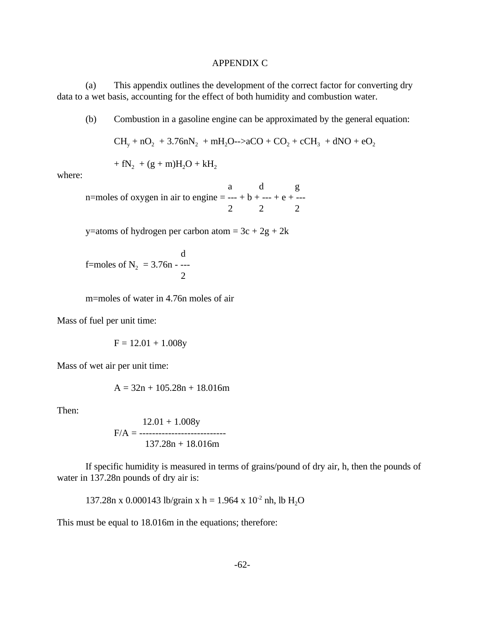### **APPENDIX C**

(a) This appendix outlines the development of the correct factor for converting dry data to a wet basis, accounting for the effect of both humidity and combustion water.

(b) Combustion in a gasoline engine can be approximated by the general equation:

$$
CH_y + nO_2 + 3.76nN_2 + mH_2O \rightarrow 2CO + CO_2 + cCH_3 + dNO + eO_2
$$

$$
+ fN_2 + (g+m)H_2O + kH_2
$$

where:

a d g n=moles of oxygen in air to engine = --- +  $b$  + --- +  $e$  + ---2 2 2

y=atoms of hydrogen per carbon atom =  $3c + 2g + 2k$ 

d f=moles of  $N_2 = 3.76n -$ ----2

m=moles of water in 4.76n moles of air

Mass of fuel per unit time:

 $F = 12.01 + 1.008y$ 

Mass of wet air per unit time:

$$
A = 32n + 105.28n + 18.016m
$$

Then:

12.01 + 1.008y F/A = --------------------------- 137.28n + 18.016m

If specific humidity is measured in terms of grains/pound of dry air, h, then the pounds of water in 137.28n pounds of dry air is:

137.28n x 0.000143 lb/grain x h = 1.964 x  $10^{-2}$  nh, lb H<sub>2</sub>O

This must be equal to 18.016m in the equations; therefore: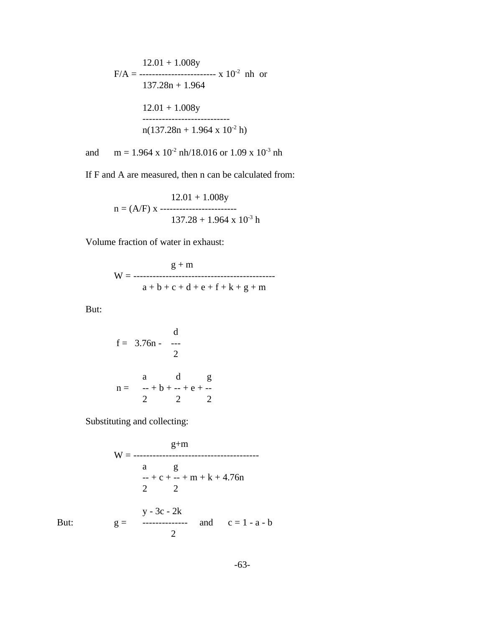$$
F/A = \frac{12.01 + 1.008y}{137.28n + 1.964}
$$
rh or  
 
$$
137.28n + 1.964
$$
  
 
$$
12.01 + 1.008y
$$
  
 
$$
= 12.01 + 1.008y
$$
  
 
$$
= 12.01 + 1.964 \times 10^{-2}
$$
 h

and  $m = 1.964 \times 10^{2}$  nh/18.016 or 1.09 x 10<sup>-3</sup> nh

If F and A are measured, then n can be calculated from:

$$
12.01 + 1.008y
$$
  
n = (A/F) x 337.28 + 1.964 x 10<sup>-3</sup> h

Volume fraction of water in exhaust:

$$
g + m
$$
  
W = 3 + b + c + d + e + f + k + g + m

But:

$$
f = 3.76n - \frac{1}{2}
$$
  
 
$$
n = \frac{a}{-} + b + \frac{1}{2} + e + \frac{1}{2}
$$
  
 
$$
n = \frac{a}{2} + b + \frac{1}{2} + e + \frac{1}{2}
$$

Substituting and collecting:

$$
W = \frac{g+m}{a \qquad g}
$$
  
\n
$$
- + c + - + m + k + 4.76n
$$
  
\n
$$
2 \qquad 2
$$
  
\nBut:  
\n
$$
g = \begin{array}{ccc}\ny - 3c - 2k \\
& - & - & - & - & - \n\end{array}
$$
  
\nand  
\n
$$
c = 1 - a - b
$$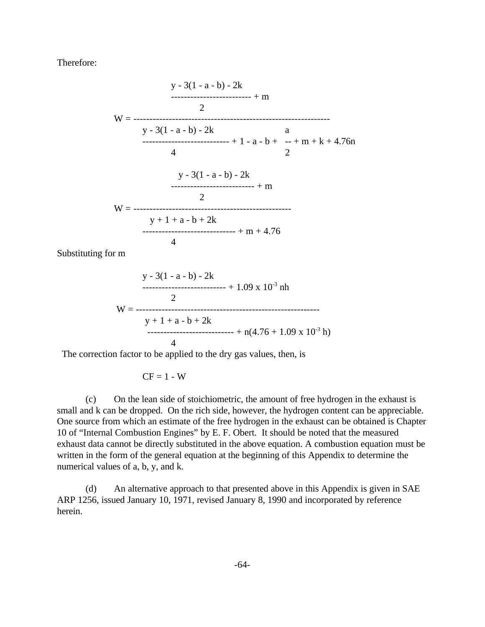Therefore:



Substituting for m

$$
y - 3(1 - a - b) - 2k
$$
  
........  
2  

$$
W =
$$
........  

$$
y + 1 + a - b + 2k
$$
  
........  
3  

$$
y + 1 + 2k
$$
  
........  
4  

$$
y + 1 + 2k
$$

The correction factor to be applied to the dry gas values, then, is

$$
CF = 1 - W
$$

(c) On the lean side of stoichiometric, the amount of free hydrogen in the exhaust is small and k can be dropped. On the rich side, however, the hydrogen content can be appreciable. One source from which an estimate of the free hydrogen in the exhaust can be obtained is Chapter 10 of "Internal Combustion Engines" by E. F. Obert. It should be noted that the measured exhaust data cannot be directly substituted in the above equation. A combustion equation must be written in the form of the general equation at the beginning of this Appendix to determine the numerical values of a, b, y, and k.

(d) An alternative approach to that presented above in this Appendix is given in SAE ARP 1256, issued January 10, 1971, revised January 8, 1990 and incorporated by reference herein.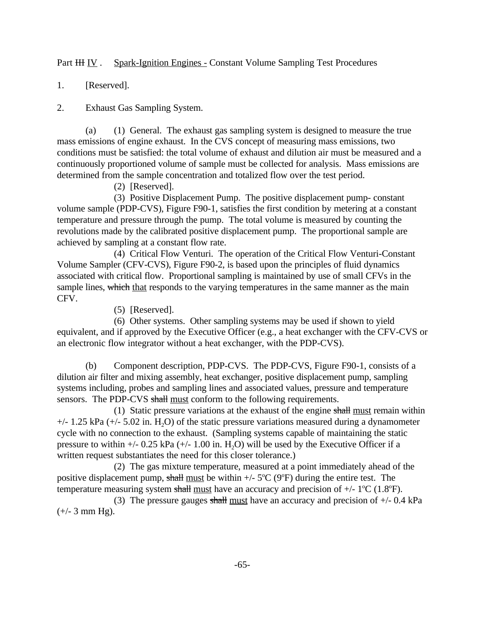Part HH IV . Spark-Ignition Engines - Constant Volume Sampling Test Procedures

1. [Reserved].

**Exhaust Gas Sampling System.** 

2. Exhaust Gas Sampling System.<br>
(a) (1) General. The exhaust gas sampling system is designed to measure the true mass emissions of engine exhaust. In the CVS concept of measuring mass emissions, two conditions must be satisfied: the total volume of exhaust and dilution air must be measured and a continuously proportioned volume of sample must be collected for analysis. Mass emissions are determined from the sample concentration and totalized flow over the test period.

(2) [Reserved].

(3) Positive Displacement Pump. The positive displacement pump- constant volume sample (PDP-CVS), Figure F90-1, satisfies the first condition by metering at a constant temperature and pressure through the pump. The total volume is measured by counting the revolutions made by the calibrated positive displacement pump. The proportional sample are achieved by sampling at a constant flow rate.

sample lines, which that responds to the varying temperatures in the same manner as the main (4) Critical Flow Venturi. The operation of the Critical Flow Venturi-Constant Volume Sampler (CFV-CVS), Figure F90-2, is based upon the principles of fluid dynamics associated with critical flow. Proportional sampling is maintained by use of small CFVs in the CFV.

(5) [Reserved].

(6) Other systems. Other sampling systems may be used if shown to yield equivalent, and if approved by the Executive Officer (e.g., a heat exchanger with the CFV-CVS or an electronic flow integrator without a heat exchanger, with the PDP-CVS).

(b) Component description, PDP-CVS. The PDP-CVS, Figure F90-1, consists of a dilution air filter and mixing assembly, heat exchanger, positive displacement pump, sampling systems including, probes and sampling lines and associated values, pressure and temperature sensors. The PDP-CVS shall must conform to the following requirements.

(1) Static pressure variations at the exhaust of the engine shall must remain within  $+/- 1.25$  kPa ( $+/- 5.02$  in. H<sub>2</sub>O) of the static pressure variations measured during a dynamometer cycle with no connection to the exhaust. (Sampling systems capable of maintaining the static pressure to within  $+/- 0.25$  kPa  $(+/- 1.00$  in. H<sub>2</sub>O) will be used by the Executive Officer if a written request substantiates the need for this closer tolerance.)

(2) The gas mixture temperature, measured at a point immediately ahead of the positive displacement pump, shall <u>must</u> be within  $+/-5^{\circ}C$  (9<sup>o</sup>F) during the entire test. The temperature measuring system shall must have

(3) The pressure gauges shall must have an accuracy and precision of  $+/- 0.4$  kPa  $(+/- 3$  mm Hg).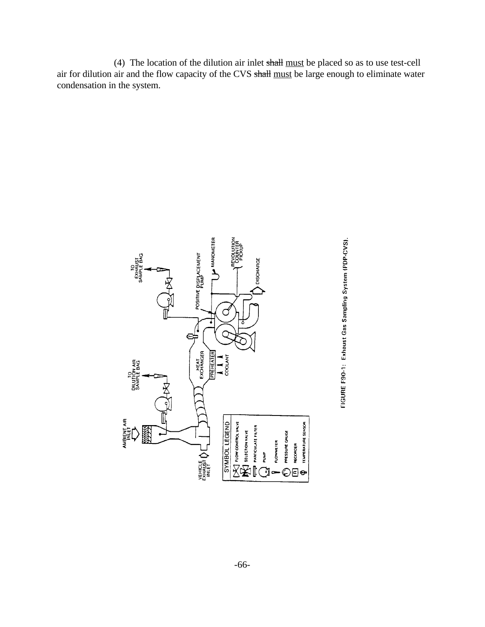(4) The location of the dilution air inlet shall must be placed so as to use test-cell air for dilution air and the flow capacity of the CVS shall must be large enough to eliminate water condensation in the system.



FIGURE F90-1: Exhaust Gas Sampling System (PDP-CVS). FIGURE F90-1: Exhaust Gas Sampling System (PDP-CVS).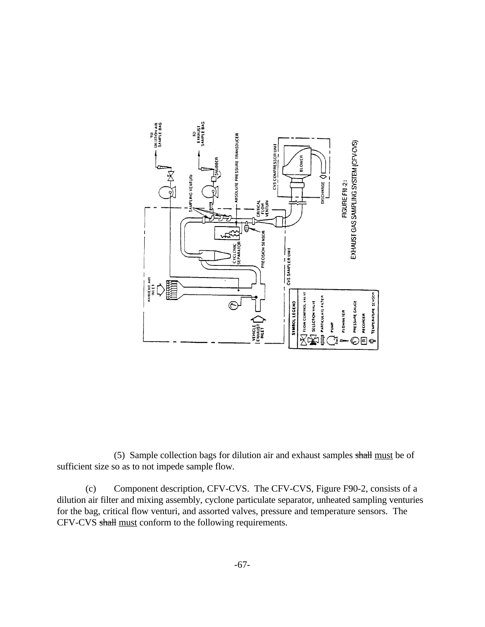

(5) Sample collection bags for dilution air and exhaust samples shall must be of sufficient size so as to not impede sample flow.

(c) Component description, CFV-CVS. The CFV-CVS, Figure F90-2, consists of a dilution air filter and mixing assembly, cyclone particulate separator, unheated sampling venturies for the bag, critical flow venturi, and assorted valves, pressure and temperature sensors. The CFV-CVS shall must conform to the following requirements.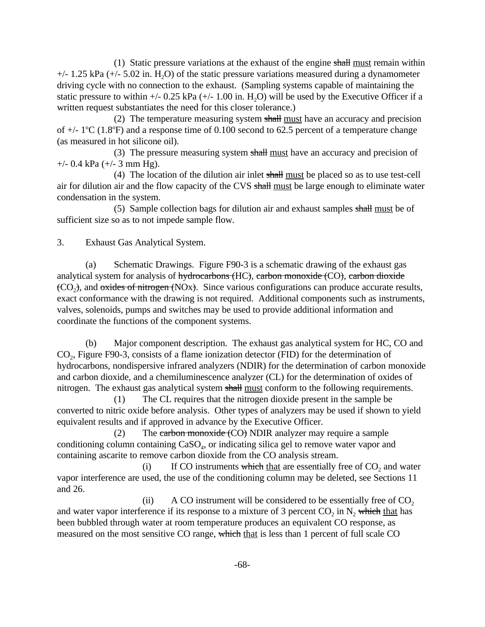(1) Static pressure variations at the exhaust of the engine  $shall$  must remain within  $+/- 1.25$  kPa ( $+/- 5.02$  in. H<sub>2</sub>O) of the static pressure variations measured during a dynamometer driving cycle with no connection to the exhaust. (Sampling systems capable of maintaining the static pressure to within  $+/- 0.25$  kPa  $(+/- 1.00$  in. H<sub>2</sub>O) will be used by the Executive Officer if a

written request substantiates the need for this closer tolerance.)<br>(2) The temperature measuring system shall must have an accuracy and precision of  $+/- 1$ <sup>o</sup>C (1.8<sup>o</sup>F) and a response time of 0.100 second to 62.5 percent of a temperature change (as measured in hot silicone oil).

(3) The pressure measuring system shall must have an accuracy and precision of  $+/-$  0.4 kPa ( $+/-$  3 mm Hg).

(4) The location of the dilution air inlet shall must be placed so as to use test-cell air for dilution air and the flow capacity of the CVS shall must be large enough to eliminate water condensation in the system.

(5) Sample collection bags for dilution air and exhaust samples shall must be of sufficient size so as to not impede sample flow.

**Exhaust Gas Analytical System.** 

3. Exhaust Gas Analytical System.<br>
(a) Schematic Drawings. Figure F90-3 is a schematic drawing of the exhaust gas analytical system for analysis of  $~~hydrocarbons (~~HC), carbon monoxide  $(CO)$ , carbon dioxide$  $(CO<sub>2</sub>)$ , and oxides of nitrogen  $(NOx)$ . Since various configurations can produce accurate results, exact conformance with the drawing is not required. Additional components such as instruments, valves, solenoids, pumps and switches may be used to provide additional information and coordinate the functions of the component systems.

(b) Major component description. The exhaust gas analytical system for HC, CO and  $CO<sub>2</sub>$ , Figure F90-3, consists of a flame ionization detector (FID) for the determination of hydrocarbons, nondispersive infrared analyzers (NDIR) for the determination of carbon monoxide and carbon dioxide, and a chemiluminescence analyzer (CL) for the determination of oxides of nitrogen. The exhaust gas analytical system shall <u>must</u> conform to the following requirements.<br>  $(1)$  The CL requires that the nitrogen dioxide present in the sample be

The CL requires that the nitrogen dioxide present in the sample be converted to nitric oxide before analysis. Other types of analyzers may be used if shown to yield equivalent results and if approved in advance by the Executive Officer.

(2) The carbon monoxide (CO) NDIR analyzer may require a sample conditioning column containing  $CaSO<sub>4</sub>$ , or indicating silica gel to remove water vapor and containing ascarite to remove carbon dioxide from the CO analysis stream.

(i) If CO instruments which that are essentially free of  $CO<sub>2</sub>$  and water vapor interference are used, the use of the conditioning column may be deleted, see Sections 11 and 26.

and water vapor interference if its response to a mixture of 3 percent  $CO_2$  in  $N_2$  which that has (ii) A CO instrument will be considered to be essentially free of  $CO<sub>2</sub>$ been bubbled through water at room temperature produces an equivalent CO response, as measured on the most sensitive CO range, which that is less than 1 percent of full scale CO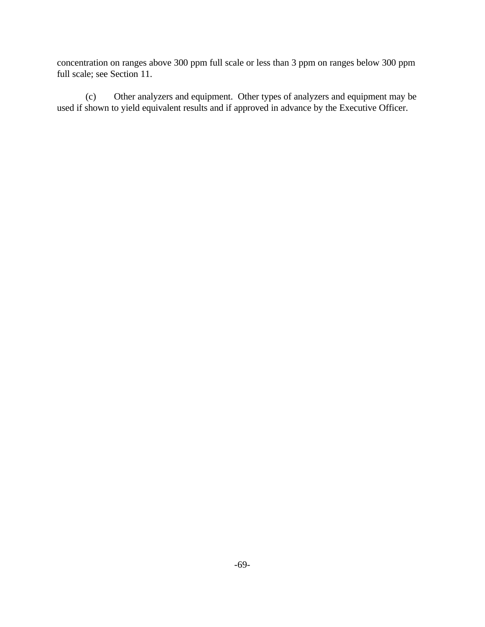concentration on ranges above 300 ppm full scale or less than 3 ppm on ranges below 300 ppm full scale; see Section 11.

(c) Other analyzers and equipment. Other types of analyzers and equipment may be used if shown to yield equivalent results and if approved in advance by the Executive Officer.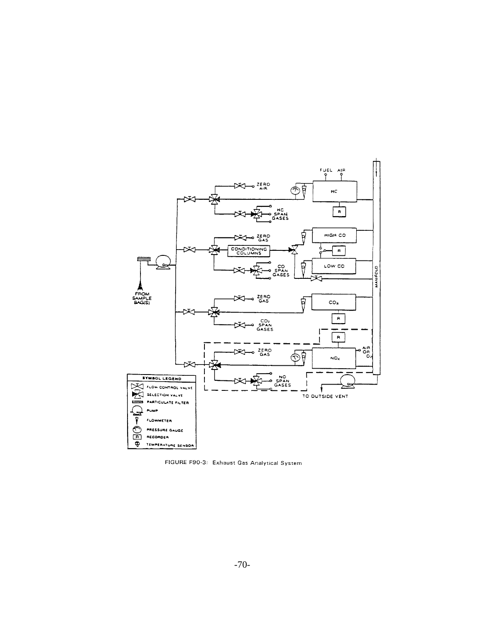

FIGURE F90-3: Exhaust Gas Analytical System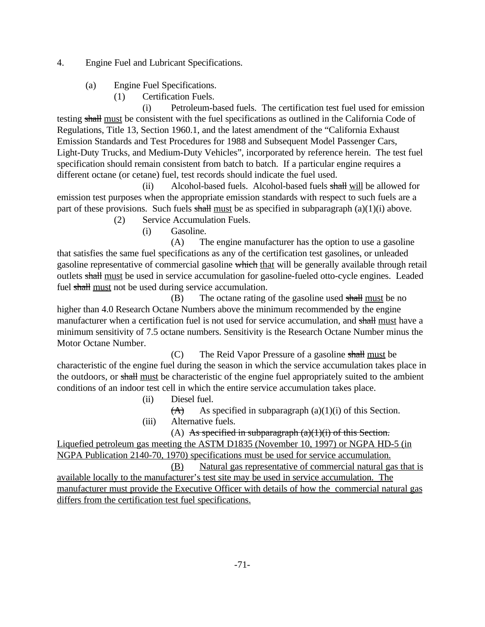4. Engine Fuel and Lubricant Specifications.

(a) Engine Fuel Specifications.

(1) Certification Fuels.

(i) Petroleum-based fuels. The certification test fuel used for emission testing shall must be consistent with the fuel specifications as outlined in the California Code of Regulations, Title 13, Section 1960.1, and the latest amendment of the "California Exhaust Emission Standards and Test Procedures for 1988 and Subsequent Model Passenger Cars, Light-Duty Trucks, and Medium-Duty Vehicles", incorporated by reference herein. The test fuel specification should remain consistent from batch to batch. If a particular engine requires a different octane (or cetane) fuel, test records should indicate the fuel used.

(ii) Alcohol-based fuels. Alcohol-based fuels  $\frac{\text{shall will}}{\text{all}}$  be allowed for emission test purposes when the appropriate emission standards with respect to such fuels are a part of these provisions. Such fuels  $\frac{1}{2}$  shall must be as specified in subparagraph (a)(1)(i) above.

(2) Service Accumulation Fuels.

(i) Gasoline.

(A) The engine manufacturer has the option to use a gasoline that satisfies the same fuel specifications as any of the certification test gasolines, or unleaded gasoline representative of commercial gasoline which that will be generally available through retail outlets shall must be used in service accumulation for gasoline-fueled otto-cycle engines. Leaded fuel shall must not be used during service accumulation.

 $(B)$  The octane rating of the gasoline used shall must be no higher than 4.0 Research Octane Numbers above the minimum recommended by the engine manufacturer when a certification fuel is not used for service accumulation, and shall must have a minimum sensitivity of 7.5 octane numbers. Sensitivity is the Research Octane Number minus the Motor Octane Number.

 $(C)$  The Reid Vapor Pressure of a gasoline shall must be characteristic of the engine fuel during the season in which the service accumulation takes place in the outdoors, or shall must be characteristic of the engine fuel appropriately suited to the ambient conditions of an indoor test cell in which the entire service accumulation takes place.

(ii) Diesel fuel.

- $(A)$  As specified in subparagraph (a)(1)(i) of this Section.
- (iii) Alternative fuels.

(A) As specified in subparagraph  $(a)(1)(i)$  of this Section.

Liquefied petroleum gas meeting the ASTM D1835 (November 10, 1997) or NGPA HD-5 (in NGPA Publication 2140-70, 1970) specifications must be used for service accumulation.

(B) Natural gas representative of commercial natural gas that is available locally to the manufacturer's test site may be used in service accumulation. The manufacturer must provide the Executive Officer with details of how the commercial natural gas differs from the certification test fuel specifications.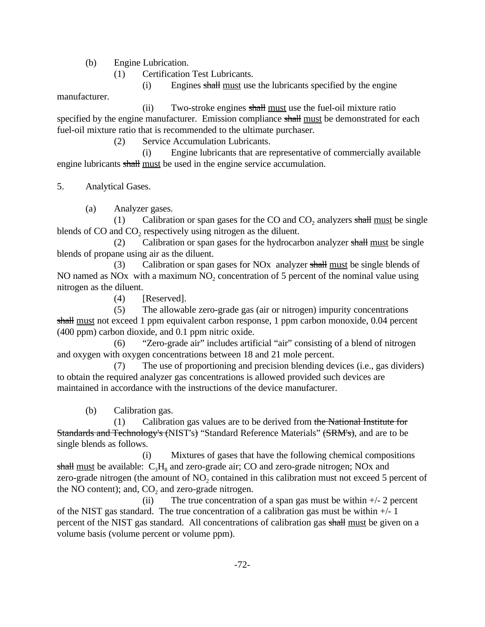(b) Engine Lubrication.

(1) Certification Test Lubricants.

(i) Engines shall must use the lubricants specified by the engine

manufacturer.

(ii) Two-stroke engines shall must use the fuel-oil mixture ratio specified by the engine manufacturer. Emission compliance shall must be demonstrated for each fuel-oil mixture ratio that is recommended to the ultimate purchaser.

(2) Service Accumulation Lubricants.

engine lubricants shall must be used in the engine service accumulation. (i) Engine lubricants that are representative of commercially available

5. Analytical Gases.<br>
(a) Analyzer gases.

(1) Calibration or span gases for the CO and  $CO<sub>2</sub>$  analyzers shall must be single blends of CO and CO<sub>2</sub> respectively using nitrogen as the diluent.

(2) Calibration or span gases for the hydrocarbon analyzer shall must be single blends of propane using air as the diluent.

(3) Calibration or span gases for NO<sub>x</sub> analyzer shall must be single blends of NO named as NO $x$  with a maximum NO<sub>2</sub> concentration of 5 percent of the nominal value using nitrogen as the diluent.

(4) [Reserved].

(5) The allowable zero-grade gas (air or nitrogen) impurity concentrations shall must not exceed 1 ppm equivalent carbon response, 1 ppm carbon monoxide, 0.04 percent (400 ppm) carbon dioxide, and 0.1 ppm nitric oxide.

(6) "Zero-grade air" includes artificial "air" consisting of a blend of nitrogen and oxygen with oxygen concentrations between 18 and 21 mole percent.

(7) The use of proportioning and precision blending devices (i.e., gas dividers) to obtain the required analyzer gas concentrations is allowed provided such devices are maintained in accordance with the instructions of the device manufacturer.

(b) Calibration gas.

 $(1)$  Calibration gas values are to be derived from the National Institute for Standards and Technology's (NIST's) "Standard Reference Materials" (SRM's), and are to be single blends as follows.

(i) Mixtures of gases that have the following chemical compositions shall must be available:  $C_3H_8$  and zero-grade air; CO and zero-grade nitrogen; NOx and zero-grade nitrogen (the amount of  $NO<sub>2</sub>$  contained in this calibration must not exceed 5 percent of the NO content); and,  $CO<sub>2</sub>$  and zero-grade nitrogen.

(ii) The true concentration of a span gas must be within  $+/- 2$  percent of the NIST gas standard. The true concentration of a calibration gas must be within  $+/-1$ percent of the NIST gas standard. All concentrations of calibration gas shall must be given on a volume basis (volume percent or volume ppm).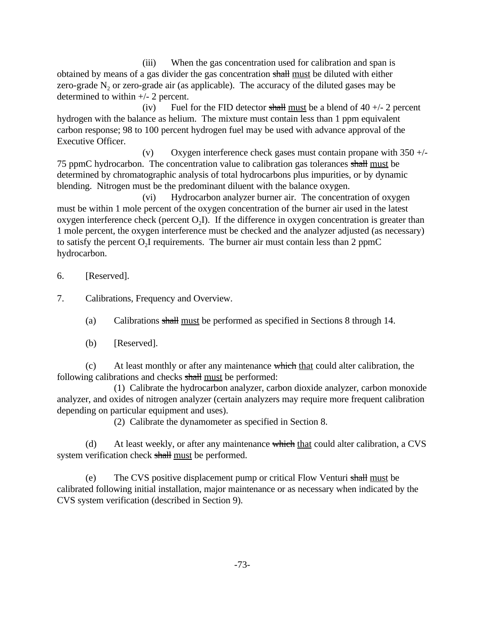(iii) When the gas concentration used for calibration and span is obtained by means of a gas divider the gas concentration shall must be diluted with either zero-grade  $N<sub>2</sub>$  or zero-grade air (as applicable). The accuracy of the diluted gases may be determined to within +/- 2 percent.

(iv) Fuel for the FID detector shall must be a blend of  $40 +12$  percent hydrogen with the balance as helium. The mixture must contain less than 1 ppm equivalent carbon response; 98 to 100 percent hydrogen fuel may be used with advance approval of the Executive Officer.

(v) Oxygen interference check gases must contain propane with  $350 +/-$ 75 ppmC hydrocarbon. The concentration value to calibration gas tolerances shall must be determined by chromatographic analysis of total hydrocarbons plus impurities, or by dynamic blending. Nitrogen must be the predominant diluent with the balance oxygen.

(vi) Hydrocarbon analyzer burner air. The concentration of oxygen must be within 1 mole percent of the oxygen concentration of the burner air used in the latest oxygen interference check (percent  $O<sub>2</sub>I$ ). If the difference in oxygen concentration is greater than 1 mole percent, the oxygen interference must be checked and the analyzer adjusted (as necessary) to satisfy the percent  $O_2I$  requirements. The burner air must contain less than 2 ppmC hydrocarbon.

6. [Reserved].

Calibrations, Frequency and Overview.

- 7. Calibrations, Frequency and Overview.<br>
(a) Calibrations shall must be performed as specified in Sections 8 through 14.
	- (b) [Reserved].

(c) At least monthly or after any maintenance which that could alter calibration, the following calibrations and checks shall must be performed:

(1) Calibrate the hydrocarbon analyzer, carbon dioxide analyzer, carbon monoxide analyzer, and oxides of nitrogen analyzer (certain analyzers may require more frequent calibration depending on particular equipment and uses).

(2) Calibrate the dynamometer as specified in Section 8.

(d) At least weekly, or after any maintenance which that could alter calibration, a CVS system verification check shall must be performed.

(e) The CVS positive displacement pump or critical Flow Venturi shall must be calibrated following initial installation, major maintenance or as necessary when indicated by the CVS system verification (described in Section 9).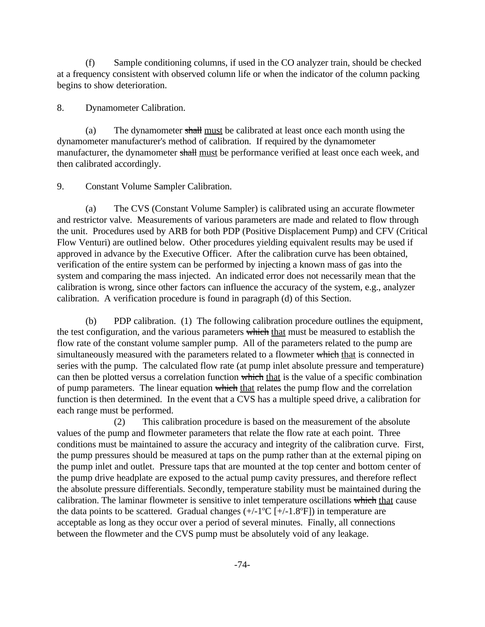(f) Sample conditioning columns, if used in the CO analyzer train, should be checked at a frequency consistent with observed column life or when the indicator of the column packing begins to show deterioration.

**Dynamometer Calibration.** 

8. Dynamometer Calibration.<br>
(a) The dynamometer shall must be calibrated at least once each month using the dynamometer manufacturer's method of calibration. If required by the dynamometer manufacturer, the dynamometer shall must be performance verified at least once each week, and then calibrated accordingly.

9. Constant Volume Sampler Calibration.

(a) The CVS (Constant Volume Sampler) is calibrated using an accurate flowmeter and restrictor valve. Measurements of various parameters are made and related to flow through the unit. Procedures used by ARB for both PDP (Positive Displacement Pump) and CFV (Critical Flow Venturi) are outlined below. Other procedures yielding equivalent results may be used if approved in advance by the Executive Officer. After the calibration curve has been obtained, verification of the entire system can be performed by injecting a known mass of gas into the system and comparing the mass injected. An indicated error does not necessarily mean that the calibration is wrong, since other factors can influence the accuracy of the system, e.g., analyzer calibration. A verification procedure is found in paragraph (d) of this Section.

(b) PDP calibration. (1) The following calibration procedure outlines the equipment, the test configuration, and the various parameters which that must be measured to establish the flow rate of the constant volume sampler pump. All of the parameters related to the pump are simultaneously measured with the parameters related to a flowmeter which that is connected in series with the pump. The calculated flow rate (at pump inlet absolute pressure and temperature) can then be plotted versus a correlation function which that is the value of a specific combination of pump parameters. The linear equation which that relates the pump flow and the correlation function is then determined. In the event that a CVS has a multiple speed drive, a calibration for each range must be performed.

(2) This calibration procedure is based on the measurement of the absolute values of the pump and flowmeter parameters that relate the flow rate at each point. Three conditions must be maintained to assure the accuracy and integrity of the calibration curve. First, the pump pressures should be measured at taps on the pump rather than at the external piping on the pump inlet and outlet. Pressure taps that are mounted at the top center and bottom center of the pump drive headplate are exposed to the actual pump cavity pressures, and therefore reflect the absolute pressure differentials. Secondly, temperature stability must be maintained during the calibration. The laminar flowmeter is sensitive to inlet temperature oscillations which that cause the data points to be scattered. Gradual changes  $(+/-1^{\circ}C$   $[+/-1.8^{\circ}F]$ ) in temperature are acceptable as long as they occur over a period of several minutes. Finally, all connections between the flowmeter and the CVS pump must be absolutely void of any leakage.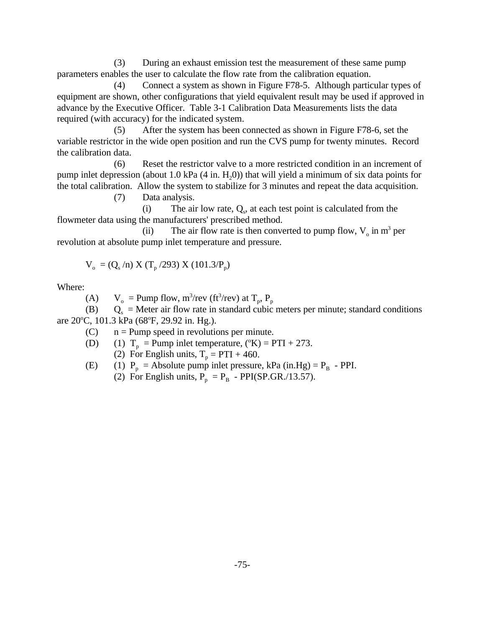(3) During an exhaust emission test the measurement of these same pump parameters enables the user to calculate the flow rate from the calibration equation.

(4) Connect a system as shown in Figure F78-5. Although particular types of equipment are shown, other configurations that yield equivalent result may be used if approved in advance by the Executive Officer. Table 3-1 Calibration Data Measurements lists the data required (with accuracy) for the indicated system.

(5) After the system has been connected as shown in Figure F78-6, set the variable restrictor in the wide open position and run the CVS pump for twenty minutes. Record the calibration data.

(6) Reset the restrictor valve to a more restricted condition in an increment of pump inlet depression (about 1.0 kPa  $(4 \text{ in. } H<sub>2</sub>(0))$ ) that will yield a minimum of six data points for the total calibration. Allow the system to stabilize for 3 minutes and repeat the data acquisition.

(7) Data analysis.

(i) The air low rate,  $Q_s$ , at each test point is calculated from the flowmeter data using the manufacturers' prescribed method.

(ii) The air flow rate is then converted to pump flow,  $V_0$  in  $m^3$  per revolution at absolute pump inlet temperature and pressure.

$$
V_o = (Q_s/n) X (T_p / 293) X (101.3/P_p)
$$

Where:

(A)  $V_o$  = Pump flow, m<sup>3</sup>/rev (ft<sup>3</sup>/rev) at T<sub>p</sub>, P<sub>p</sub>

(B)  $Q_s$  = Meter air flow rate in<br>are 20°C, 101.3 kPa (68°F, 29.92 in. Hg.).  $Q_s$  = Meter air flow rate in standard cubic meters per minute; standard conditions

(C) n = Pump speed in revolutions per minute.<br>(D) (1)  $T_p$  = Pump inlet temperature, ( $K$ ) = PTI + 273.

(2) For English units,  $T_p = PTI + 460$ .

(E) (1) 
$$
P_p
$$
 = Absolute pump inlet pressure, kPa (in.Hg) =  $P_B$  - PPI.

(2) For English units,  $P_p = P_B - PPI(SP.GR./13.57)$  $P_p = P_B - PPI(SP.GR./13.57)$ .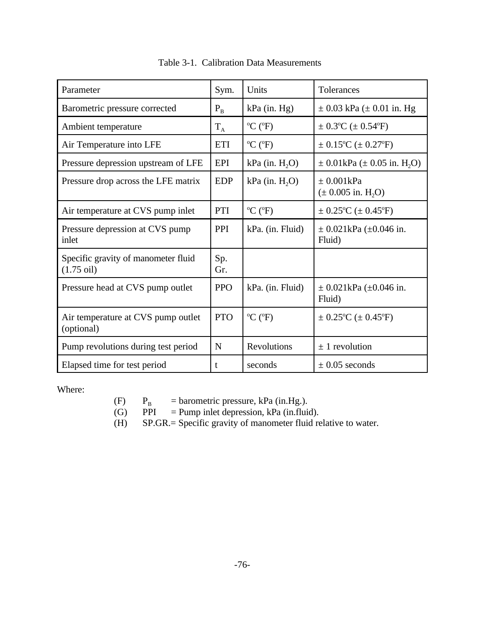| Parameter                                                   | Sym.       | Units                        | Tolerances                                             |  |  |
|-------------------------------------------------------------|------------|------------------------------|--------------------------------------------------------|--|--|
| Barometric pressure corrected                               | $P_{B}$    | $kPa$ (in. Hg)               | $\pm$ 0.03 kPa ( $\pm$ 0.01 in. Hg                     |  |  |
| Ambient temperature                                         | $T_A$      | $^{\circ}C$ ( $^{\circ}F$ )  | $\pm$ 0.3°C ( $\pm$ 0.54°F)                            |  |  |
| Air Temperature into LFE                                    | <b>ETI</b> | $^{\circ}C$ ( $^{\circ}F$ )  | $\pm$ 0.15 <sup>o</sup> C ( $\pm$ 0.27 <sup>o</sup> F) |  |  |
| Pressure depression upstream of LFE                         | <b>EPI</b> | $kPa$ (in. $H2O$ )           | $\pm$ 0.01kPa ( $\pm$ 0.05 in. H <sub>2</sub> O)       |  |  |
| Pressure drop across the LFE matrix                         | <b>EDP</b> | $kPa$ (in. $H_2O$ )          | $\pm 0.001kPa$<br>$(\pm 0.005 \text{ in. H}_2O)$       |  |  |
| Air temperature at CVS pump inlet                           | PTI        | $^{\circ}C$ ( $^{\circ}F$ )  | $\pm$ 0.25°C ( $\pm$ 0.45°F)                           |  |  |
| Pressure depression at CVS pump<br>inlet                    | PPI        | kPa. (in. Fluid)             | $\pm$ 0.021kPa ( $\pm$ 0.046 in.<br>Fluid)             |  |  |
| Specific gravity of manometer fluid<br>$(1.75 \text{ oil})$ | Sp.<br>Gr. |                              |                                                        |  |  |
| Pressure head at CVS pump outlet                            | <b>PPO</b> | kPa. (in. Fluid)             | $\pm$ 0.021kPa ( $\pm$ 0.046 in.<br>Fluid)             |  |  |
| Air temperature at CVS pump outlet<br>(optional)            | <b>PTO</b> | $^{\circ}$ C ( $^{\circ}$ F) | $\pm$ 0.25°C ( $\pm$ 0.45°F)                           |  |  |
| Pump revolutions during test period                         | N          | Revolutions                  | $\pm$ 1 revolution                                     |  |  |
| Elapsed time for test period                                | t          | seconds                      | $\pm$ 0.05 seconds                                     |  |  |

Table 3-1. Calibration Data Measurements

Where:

(F)  $P_B$  = barometric pressure, kPa (in.Hg.).<br>(G) PPI = Pump inlet depression, kPa (in.flui

 $=$  Pump inlet depression, kPa (in.fluid).

(H) SP.GR.= Specific gravity of manometer fluid relative to water.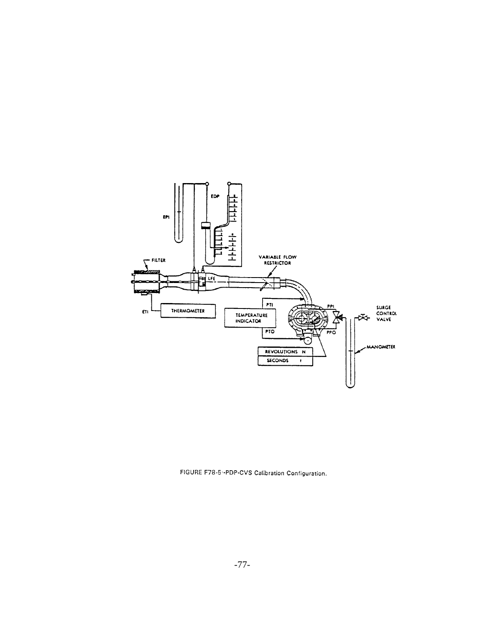

FIGURE F78-5--PDP-CVS Calibration Configuration.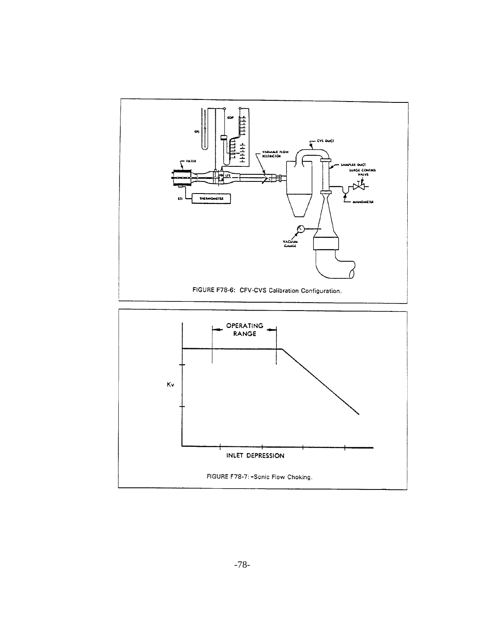

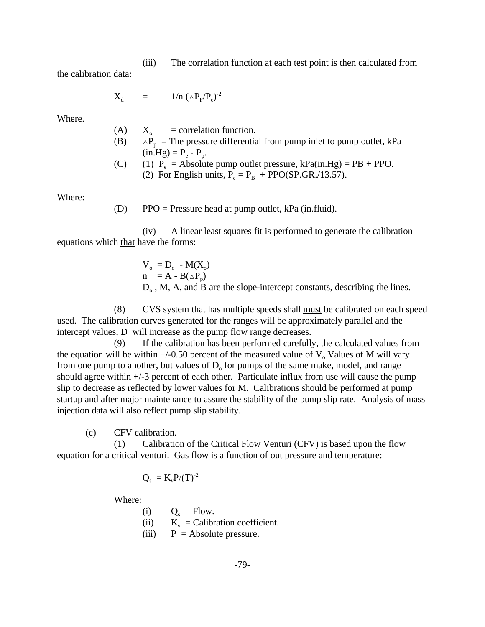(iii) The correlation function at each test point is then calculated from

the calibration data:

$$
X_{d} = 1/n \left( \Delta P_{p} / P_{e} \right)^{-2}
$$

Where.

- $(in.Hg) = P_e P_p.$ (A)  $X_0$  = correlation function.  $(B)$  $X_{\circ}$  $\Delta P_p$  = The pressure differential from pump inlet to pump outlet, kPa
- (C) (1)  $P_e$  = Absolute pump outlet pressure, [kPa\(in.Hg\)](https://kPa(in.Hg) = PB + PPO.
	- (2) For English units,  $P_e = P_B + PPO(SP.GR./13.57)$  $P_e = P_B + PPO(SP.GR./13.57)$  $P_e = P_B + PPO(SP.GR./13.57)$ .

Where:

(D) PPO = Pressure head at pump outlet, kPa (in.fluid).

(iv) A linear least squares fit is performed to generate the calibration equations which that have the forms:

> $V_o = D_o - M(X_o)$  $n = A - B(\triangle P_n)$  $D<sub>o</sub>$ , M, A, and B are the slope-intercept constants, describing the lines.

(8) CVS system that has multiple speeds shall must be calibrated on each speed used. The calibration curves generated for the ranges will be approximately parallel and the intercept values, D will increase as the pump flow range decreases.

(9) If the calibration has been performed carefully, the calculated values from the equation will be within  $+/-0.50$  percent of the measured value of  $V_0$  Values of M will vary from one pump to another, but values of  $D_0$  for pumps of the same make, model, and range should agree within +/-3 percent of each other. Particulate influx from use will cause the pump slip to decrease as reflected by lower values for M. Calibrations should be performed at pump startup and after major maintenance to assure the stability of the pump slip rate. Analysis of mass injection data will also reflect pump slip stability.

(c) CFV calibration.

(1) Calibration of the Critical Flow Venturi (CFV) is based upon the flow equation for a critical venturi. Gas flow is a function of out pressure and temperature:

$$
Q_s = K_v P/(T)^{-2}
$$

Where:

- (i)  $Q_s = Flow.$
- (ii)  $K_v =$  Calibration coefficient.
- (iii)  $P =$  Absolute pressure.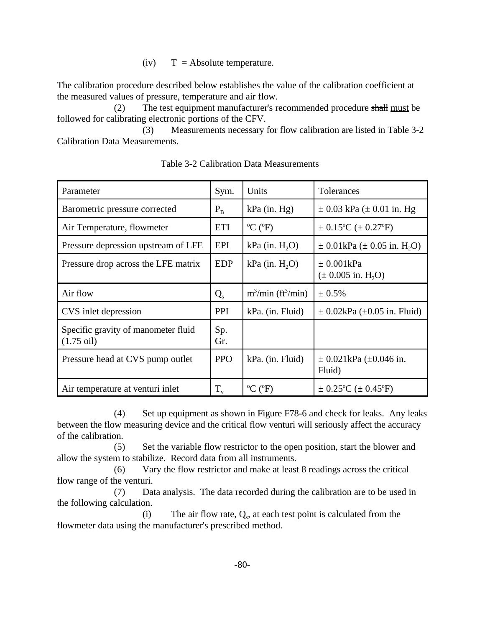$(iv)$  T = Absolute temperature.

The calibration procedure described below establishes the value of the calibration coefficient at the measured values of pressure, temperature and air flow.

(2) The test equipment manufacturer's recommended procedure shall must be followed for calibrating electronic portions of the CFV.

(3) Measurements necessary for flow calibration are listed in Table 3-2 Calibration Data Measurements.

| Parameter                                                   | Sym.        | Units                                   | Tolerances                                             |
|-------------------------------------------------------------|-------------|-----------------------------------------|--------------------------------------------------------|
| Barometric pressure corrected                               | $P_B$       | $kPa$ (in. Hg)                          | $\pm$ 0.03 kPa ( $\pm$ 0.01 in. Hg                     |
| Air Temperature, flowmeter                                  | <b>ETI</b>  | $\rm{^oC}$ ( $\rm{^oF}$ )               | $\pm$ 0.15 <sup>o</sup> C ( $\pm$ 0.27 <sup>o</sup> F) |
| Pressure depression upstream of LFE                         | EPI         | $kPa$ (in. $H2O$ )                      | $\pm$ 0.01kPa ( $\pm$ 0.05 in. H <sub>2</sub> O)       |
| Pressure drop across the LFE matrix                         | <b>EDP</b>  | $kPa$ (in. $H2O$ )                      | $\pm 0.001kPa$<br>$(\pm 0.005 \text{ in. H}2O)$        |
| Air flow                                                    | $Q_{s}$     | $m^3/\text{min}$ (ft <sup>3</sup> /min) | ± 0.5%                                                 |
| CVS inlet depression                                        | <b>PPI</b>  | kPa. (in. Fluid)                        | $\pm$ 0.02kPa ( $\pm$ 0.05 in. Fluid)                  |
| Specific gravity of manometer fluid<br>$(1.75 \text{ oil})$ | Sp.<br>Gr.  |                                         |                                                        |
| Pressure head at CVS pump outlet                            | <b>PPO</b>  | kPa. (in. Fluid)                        | $\pm$ 0.021kPa ( $\pm$ 0.046 in.<br>Fluid)             |
| Air temperature at venturi inlet                            | $T_{\rm v}$ | $\rm{^oC}$ ( $\rm{^oF}$ )               | $\pm$ 0.25°C ( $\pm$ 0.45°F)                           |

Table 3-2 Calibration Data Measurements

(4) Set up equipment as shown in Figure F78-6 and check for leaks. Any leaks between the flow measuring device and the critical flow venturi will seriously affect the accuracy of the calibration.

(5) Set the variable flow restrictor to the open position, start the blower and allow the system to stabilize. Record data from all instruments.

(6) Vary the flow restrictor and make at least 8 readings across the critical flow range of the venturi.

(7) Data analysis. The data recorded during the calibration are to be used in the following calculation.

(i) The air flow rate,  $Q_s$ , at each test point is calculated from the flowmeter data using the manufacturer's prescribed method.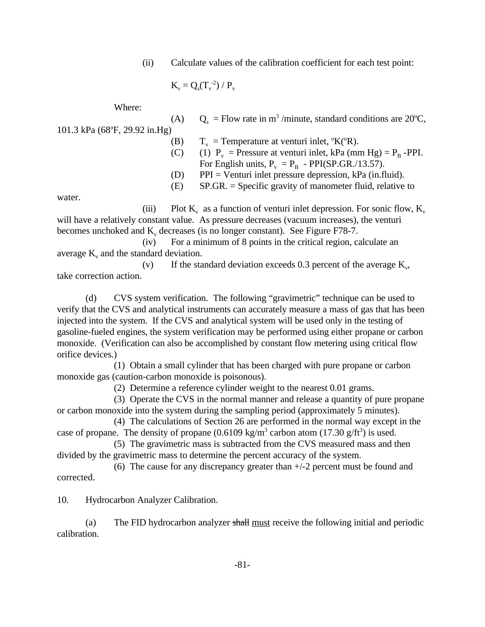(ii) Calculate values of the calibration coefficient for each test point:

$$
K_v=Q_s(T_v^{\text{-}2})\mathbin{/} P_v
$$

Where:

(A)  $Q_s$  = Flow rate in m<sup>3</sup>/minute, standard conditions are 20°C,<br>101.3 kPa (68°F, 29.92 in.Hg) (B)  $T_v$  = Temperature at venturi inlet, °K(°R).

- (C) (1)  $P_v$  = Pressure at venturi inlet, kPa (mm Hg) =  $P_B$  -PPI. For English units,  $P_v = P_B - PPI(SP.GR./13.57)$  $P_v = P_B - PPI(SP.GR./13.57)$ .
- (D) PPI = Venturi inlet pressure depression, kPa (in.fluid).
- (E) SP.GR. = Specific gravity of manometer fluid, relative to

water.

(iii) Plot  $K_v$  as a function of venturi inlet depression. For sonic flow,  $K_v$ will have a relatively constant value. As pressure decreases (vacuum increases), the venturi becomes unchoked and  $K_v$  decreases (is no longer constant). See Figure F78-7.

(iv) For a minimum of 8 points in the critical region, calculate an average  $K_v$  and the standard deviation.

(v) If the standard deviation exceeds 0.3 percent of the average  $K_v$ , take correction action.

(d) CVS system verification. The following "gravimetric" technique can be used to verify that the CVS and analytical instruments can accurately measure a mass of gas that has been injected into the system. If the CVS and analytical system will be used only in the testing of gasoline-fueled engines, the system verification may be performed using either propane or carbon monoxide. (Verification can also be accomplished by constant flow metering using critical flow orifice devices.)

(1) Obtain a small cylinder that has been charged with pure propane or carbon monoxide gas (caution-carbon monoxide is poisonous).

(2) Determine a reference cylinder weight to the nearest 0.01 grams.

(3) Operate the CVS in the normal manner and release a quantity of pure propane or carbon monoxide into the system during the sampling period (approximately 5 minutes).

case of propane. The density of propane  $(0.6109 \text{ kg/m}^3 \text{ carbon atom } (17.30 \text{ g/ft}^3)$  is used. (4) The calculations of Section 26 are performed in the normal way except in the

(5) The gravimetric mass is subtracted from the CVS measured mass and then divided by the gravimetric mass to determine the percent accuracy of the system.

(6) The cause for any discrepancy greater than +/-2 percent must be found and corrected.

10. Hydrocarbon Analyzer Calibration.

(a) The FID hydrocarbon analyzer shall must receive the following initial and periodic calibration.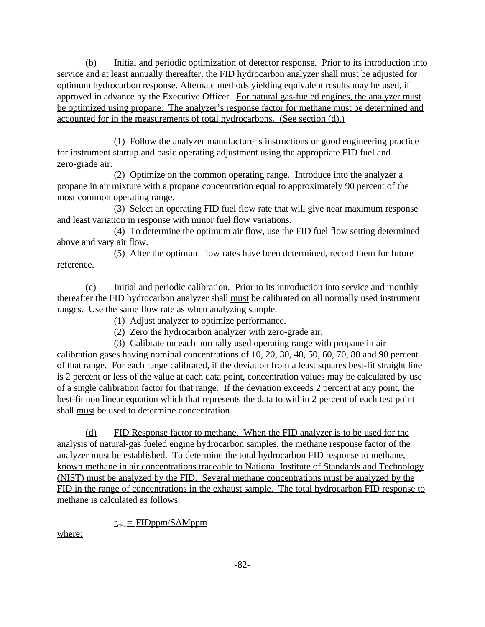(b) Initial and periodic optimization of detector response. Prior to its introduction into service and at least annually thereafter, the FID hydrocarbon analyzer shall must be adjusted for optimum hydrocarbon response. Alternate methods yielding equivalent results may be used, if approved in advance by the Executive Officer. For natural gas-fueled engines, the analyzer must be optimized using propane. The analyzer's response factor for methane must be determined and accounted for in the measurements of total hydrocarbons. (See section (d).)

(1) Follow the analyzer manufacturer's instructions or good engineering practice for instrument startup and basic operating adjustment using the appropriate FID fuel and zero-grade air.

(2) Optimize on the common operating range. Introduce into the analyzer a propane in air mixture with a propane concentration equal to approximately 90 percent of the most common operating range.

(3) Select an operating FID fuel flow rate that will give near maximum response and least variation in response with minor fuel flow variations.

(4) To determine the optimum air flow, use the FID fuel flow setting determined above and vary air flow.

(5) After the optimum flow rates have been determined, record them for future reference.

(c) Initial and periodic calibration. Prior to its introduction into service and monthly thereafter the FID hydrocarbon analyzer shall must be calibrated on all normally used instrument ranges. Use the same flow rate as when analyzing sample.

(1) Adjust analyzer to optimize performance.

(2) Zero the hydrocarbon analyzer with zero-grade air.

(3) Calibrate on each normally used operating range with propane in air calibration gases having nominal concentrations of 10, 20, 30, 40, 50, 60, 70, 80 and 90 percent of that range. For each range calibrated, if the deviation from a least squares best-fit straight line is 2 percent or less of the value at each data point, concentration values may be calculated by use of a single calibration factor for that range. If the deviation exceeds 2 percent at any point, the best-fit non linear equation which that represents the data to within 2 percent of each test point shall must be used to determine concentration.

(d) FID Response factor to methane. When the FID analyzer is to be used for the analysis of natural-gas fueled engine hydrocarbon samples, the methane response factor of the analyzer must be established. To determine the total hydrocarbon FID response to methane, known methane in air concentrations traceable to National Institute of Standards and Technology (NIST) must be analyzed by the FID. Several methane concentrations must be analyzed by the FID in the range of concentrations in the exhaust sample. The total hydrocarbon FID response to methane is calculated as follows:

## $r_{\text{CH4}} =$  FIDppm/SAMppm

where: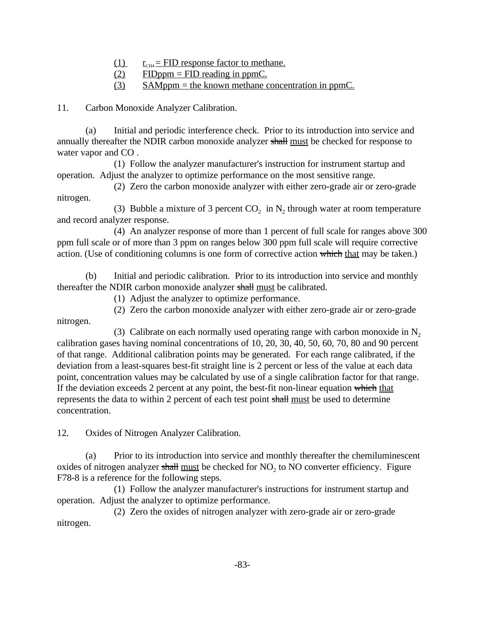- (1)  $r_{CH4} = FID$  response factor to methane.
- $(2)$  FIDppm = FID reading in ppmC.
- $(3)$  SAMppm = the known methane concentration in ppmC.

**Carbon Monoxide Analyzer Calibration.** 

11. Carbon Monoxide Analyzer Calibration.<br>
(a) Initial and periodic interference check. Prior to its introduction into service and annually thereafter the NDIR carbon monoxide analyzer shall must be checked for response to water vapor and CO .

(1) Follow the analyzer manufacturer's instruction for instrument startup and operation. Adjust the analyzer to optimize performance on the most sensitive range.

(2) Zero the carbon monoxide analyzer with either zero-grade air or zero-grade nitrogen.

(3) Bubble a mixture of 3 percent  $CO_2$  in  $N_2$  through water at room temperature and record analyzer response.

(4) An analyzer response of more than 1 percent of full scale for ranges above 300 ppm full scale or of more than 3 ppm on ranges below 300 ppm full scale will require corrective action. (Use of conditioning columns is one form of corrective action which that may be taken.)

(b) Initial and periodic calibration. Prior to its introduction into service and monthly thereafter the NDIR carbon monoxide analyzer shall must be calibrated.

(1) Adjust the analyzer to optimize performance.

(2) Zero the carbon monoxide analyzer with either zero-grade air or zero-grade nitrogen.

If the deviation exceeds 2 percent at any point, the best-fit non-linear equation which that (3) Calibrate on each normally used operating range with carbon monoxide in  $N_2$ calibration gases having nominal concentrations of 10, 20, 30, 40, 50, 60, 70, 80 and 90 percent of that range. Additional calibration points may be generated. For each range calibrated, if the deviation from a least-squares best-fit straight line is 2 percent or less of the value at each data point, concentration values may be calculated by use of a single calibration factor for that range. represents the data to within 2 percent of each test point shall must be used to determine concentration.

**Oxides of Nitrogen Analyzer Calibration.** 

12. Oxides of Nitrogen Analyzer Calibration.<br>
(a) Prior to its introduction into service and monthly thereafter the chemiluminescent oxides of nitrogen analyzer shall must be checked for  $NO<sub>2</sub>$  to NO converter efficiency. Figure F78-8 is a reference for the following steps.

(1) Follow the analyzer manufacturer's instructions for instrument startup and operation. Adjust the analyzer to optimize performance.

(2) Zero the oxides of nitrogen analyzer with zero-grade air or zero-grade nitrogen.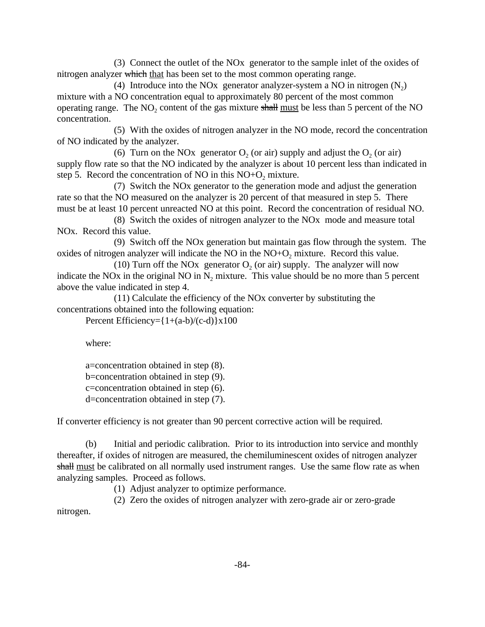(3) Connect the outlet of the NOx generator to the sample inlet of the oxides of nitrogen analyzer which that has been set to the most common operating range.

operating range. The  $NO_2$  content of the gas mixture shall <u>must</u> be less than 5 percent of the NO (4) Introduce into the NO<sub>x</sub> generator analyzer-system a NO in nitrogen  $(N_2)$ mixture with a NO concentration equal to approximately 80 percent of the most common concentration.

(5) With the oxides of nitrogen analyzer in the NO mode, record the concentration of NO indicated by the analyzer.

(6) Turn on the NOx generator  $O_2$  (or air) supply and adjust the  $O_2$  (or air) supply flow rate so that the NO indicated by the analyzer is about 10 percent less than indicated in step 5. Record the concentration of NO in this  $NO+O<sub>2</sub>$  mixture.

(7) Switch the NOx generator to the generation mode and adjust the generation rate so that the NO measured on the analyzer is 20 percent of that measured in step 5. There must be at least 10 percent unreacted NO at this point. Record the concentration of residual NO.

(8) Switch the oxides of nitrogen analyzer to the NOx mode and measure total NOx. Record this value.

(9) Switch off the NOx generation but maintain gas flow through the system. The oxides of nitrogen analyzer will indicate the NO in the  $NO+O<sub>2</sub>$  mixture. Record this value.

(10) Turn off the NOx generator  $O<sub>2</sub>$  (or air) supply. The analyzer will now indicate the NO<sub>x</sub> in the original NO in  $N_2$  mixture. This value should be no more than 5 percent above the value indicated in step 4.

(11) Calculate the efficiency of the NOx converter by substituting the concentrations obtained into the following equation:

Percent Efficiency= $\{1+(a-b)/(c-d)\}\times 100$ 

where:

a=concentration obtained in step (8). b=concentration obtained in step (9). c=concentration obtained in step (6). d=concentration obtained in step (7).

If converter efficiency is not greater than 90 percent corrective action will be required.

(b) Initial and periodic calibration. Prior to its introduction into service and monthly thereafter, if oxides of nitrogen are measured, the chemiluminescent oxides of nitrogen analyzer shall must be calibrated on all normally used instrument ranges. Use the same flow rate as when analyzing samples. Proceed as follows.

(1) Adjust analyzer to optimize performance.

(2) Zero the oxides of nitrogen analyzer with zero-grade air or zero-grade nitrogen.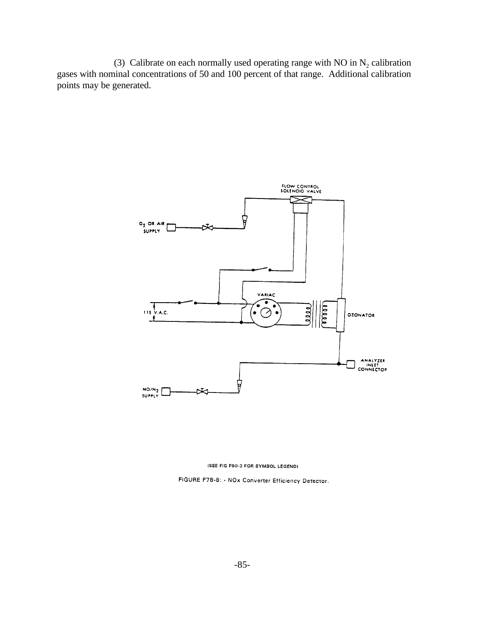(3) Calibrate on each normally used operating range with NO in  $N_2$  calibration gases with nominal concentrations of 50 and 100 percent of that range. Additional calibration points may be generated.





FIGURE F78-8: . NOx Converter Efficiency Detector.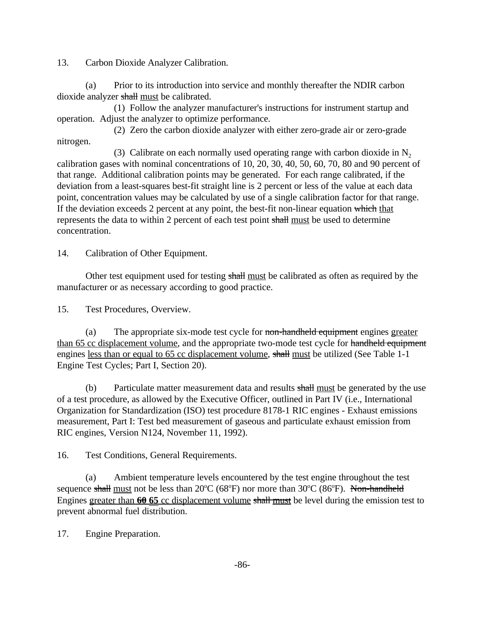13. Carbon Dioxide Analyzer Calibration.

(a) Prior to its introduction into service and monthly thereafter the NDIR carbon dioxide analyzer shall must be calibrated.

(1) Follow the analyzer manufacturer's instructions for instrument startup and operation. Adjust the analyzer to optimize performance.

(2) Zero the carbon dioxide analyzer with either zero-grade air or zero-grade nitrogen.

(3) Calibrate on each normally used operating range with carbon dioxide in  $N<sub>2</sub>$ calibration gases with nominal concentrations of 10, 20, 30, 40, 50, 60, 70, 80 and 90 percent of that range. Additional calibration points may be generated. For each range calibrated, if the deviation from a least-squares best-fit straight line is 2 percent or less of the value at each data point, concentration values may be calculated by use of a single calibration factor for that range. If the deviation exceeds 2 percent at any point, the best-fit non-linear equation which that represents the data to within 2 percent of each test point shall must be used to determine concentration.

14. Calibration of Other Equipment.

Other test equipment used for testing shall must be calibrated as often as required by the manufacturer or as necessary according to good practice.

15. Test Procedures, Overview.

(a) The appropriate six-mode test cycle for non-handheld equipment engines greater than 65 cc displacement volume, and the appropriate two-mode test cycle for handheld equipment engines less than or equal to 65 cc displacement volume, shall must be utilized (See Table 1-1 Engine Test Cycles; Part I, Section 20).

(b) Particulate matter measurement data and results shall must be generated by the use of a test procedure, as allowed by the Executive Officer, outlined in Part IV (i.e., International Organization for Standardization (ISO) test procedure 8178-1 RIC engines - Exhaust emissions measurement, Part I: Test bed measurement of gaseous and particulate exhaust emission from RIC engines, Version N124, November 11, 1992).

16. Test Conditions, General Requirements.

(a) Ambient temperature levels encountered by the test engine throughout the test sequence shall must not be less than  $20^{\circ}C$  (68°F) nor more than 30°C (86°F). Non-handheld Engines greater than 60 65 cc displacement volume shall must be level during the emission test to prevent abnormal fuel distribution.

17. Engine Preparation.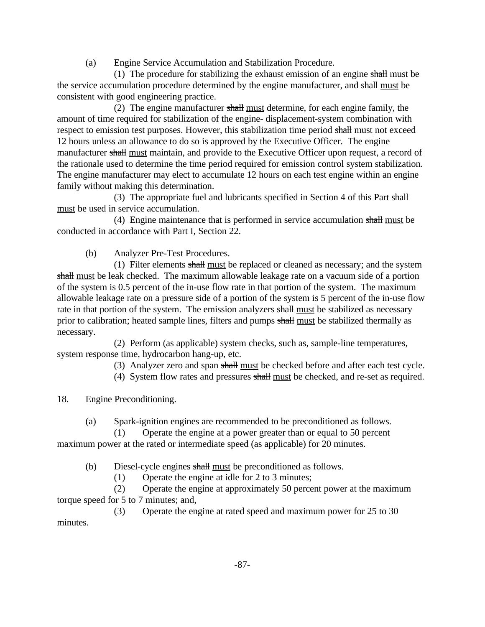(a) Engine Service Accumulation and Stabilization Procedure.

(1) The procedure for stabilizing the exhaust emission of an engine shall must be the service accumulation procedure determined by the engine manufacturer, and shall must be consistent with good engineering practice.

(2) The engine manufacturer shall must determine, for each engine family, the amount of time required for stabilization of the engine- displacement-system combination with respect to emission test purposes. However, this stabilization time period shall must not exceed 12 hours unless an allowance to do so is approved by the Executive Officer. The engine manufacturer shall must maintain, and provide to the Executive Officer upon request, a record of the rationale used to determine the time period required for emission control system stabilization. The engine manufacturer may elect to accumulate 12 hours on each test engine within an engine family without making this determination.

(3) The appropriate fuel and lubricants specified in Section 4 of this Part shall must be used in service accumulation.

(4) Engine maintenance that is performed in service accumulation shall must be conducted in accordance with Part I, Section 22.

(b) Analyzer Pre-Test Procedures.

(1) Filter elements  $\frac{\text{shall must}}{\text{must}}$  be replaced or cleaned as necessary; and the system shall must be leak checked. The maximum allowable leakage rate on a vacuum side of a portion of the system is 0.5 percent of the in-use flow rate in that portion of the system. The maximum allowable leakage rate on a pressure side of a portion of the system is 5 percent of the in-use flow rate in that portion of the system. The emission analyzers shall must be stabilized as necessary prior to calibration; heated sample lines, filters and pumps shall must be stabilized thermally as necessary.

(2) Perform (as applicable) system checks, such as, sample-line temperatures, system response time, hydrocarbon hang-up, etc.

(3) Analyzer zero and span shall must be checked before and after each test cycle.

(4) System flow rates and pressures shall must be checked, and re-set as required.

18. Engine Preconditioning.

(a) Spark-ignition engines are recommended to be preconditioned as follows.

(1) Operate the engine at a power greater than or equal to 50 percent maximum power at the rated or intermediate speed (as applicable) for 20 minutes.

(b) Diesel-cycle engines shall must be preconditioned as follows.<br>(1) Operate the engine at idle for 2 to 3 minutes;

Operate the engine at idle for 2 to 3 minutes;

(2) Operate the engine at approximately 50 percent power at the maximum torque speed for 5 to 7 minutes; and,

(3) Operate the engine at rated speed and maximum power for 25 to 30 minutes.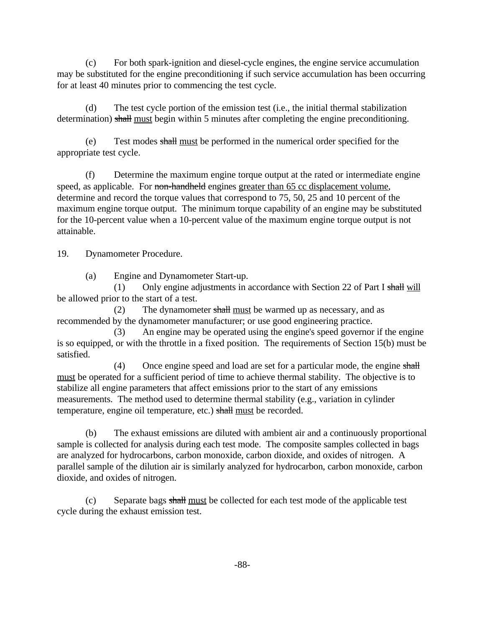(c) For both spark-ignition and diesel-cycle engines, the engine service accumulation may be substituted for the engine preconditioning if such service accumulation has been occurring for at least 40 minutes prior to commencing the test cycle.

(d) The test cycle portion of the emission test (i.e., the initial thermal stabilization determination) shall must begin within 5 minutes after completing the engine preconditioning.

(e) Test modes shall must be performed in the numerical order specified for the appropriate test cycle.

(f) Determine the maximum engine torque output at the rated or intermediate engine speed, as applicable. For non-handheld engines greater than 65 cc displacement volume, determine and record the torque values that correspond to 75, 50, 25 and 10 percent of the maximum engine torque output. The minimum torque capability of an engine may be substituted for the 10-percent value when a 10-percent value of the maximum engine torque output is not attainable.

19. Dynamometer Procedure.

(a) Engine and Dynamometer Start-up.

(1) Only engine adjustments in accordance with Section 22 of Part I shall will be allowed prior to the start of a test.

(2) The dynamometer  $\frac{\text{shall must be warned up as necessary}}{\text{in terms of the following property}}$ , and as recommended by the dynamometer manufacturer; or use good engineering practice.

(3) An engine may be operated using the engine's speed governor if the engine is so equipped, or with the throttle in a fixed position. The requirements of Section 15(b) must be satisfied.

(4) Once engine speed and load are set for a particular mode, the engine shall must be operated for a sufficient period of time to achieve thermal stability. The objective is to stabilize all engine parameters that affect emissions prior to the start of any emissions measurements. The method used to determine thermal stability (e.g., variation in cylinder temperature, engine oil temperature, etc.) shall must be recorded.

(b) The exhaust emissions are diluted with ambient air and a continuously proportional sample is collected for analysis during each test mode. The composite samples collected in bags are analyzed for hydrocarbons, carbon monoxide, carbon dioxide, and oxides of nitrogen. A parallel sample of the dilution air is similarly analyzed for hydrocarbon, carbon monoxide, carbon dioxide, and oxides of nitrogen.

(c) Separate bags shall must be collected for each test mode of the applicable test cycle during the exhaust emission test.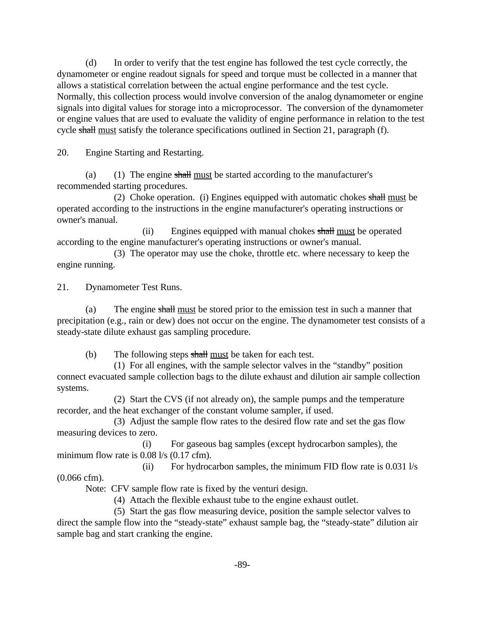(d) In order to verify that the test engine has followed the test cycle correctly, the dynamometer or engine readout signals for speed and torque must be collected in a manner that allows a statistical correlation between the actual engine performance and the test cycle. Normally, this collection process would involve conversion of the analog dynamometer or engine signals into digital values for storage into a microprocessor. The conversion of the dynamometer or engine values that are used to evaluate the validity of engine performance in relation to the test cycle shall must satisfy the tolerance specifications outlined in Section 21, paragraph (f).

20. Engine Starting and Restarting.

(a) (1) The engine shall must be started according to the manufacturer's recommended starting procedures.

(2) Choke operation. (i) Engines equipped with automatic chokes shall must be operated according to the instructions in the engine manufacturer's operating instructions or owner's manual.

(ii) Engines equipped with manual chokes shall must be operated according to the engine manufacturer's operating instructions or owner's manual.

(3) The operator may use the choke, throttle etc. where necessary to keep the engine running.

21. Dynamometer Test Runs.

(a) The engine shall must be stored prior to the emission test in such a manner that precipitation (e.g., rain or dew) does not occur on the engine. The dynamometer test consists of a steady-state dilute exhaust gas sampling procedure.

(b) The following steps shall must be taken for each test.

(1) For all engines, with the sample selector valves in the "standby" position connect evacuated sample collection bags to the dilute exhaust and dilution air sample collection systems.

(2) Start the CVS (if not already on), the sample pumps and the temperature recorder, and the heat exchanger of the constant volume sampler, if used.

(3) Adjust the sample flow rates to the desired flow rate and set the gas flow measuring devices to zero.

(i) For gaseous bag samples (except hydrocarbon samples), the minimum flow rate is 0.08 l/s (0.17 cfm).

(ii) For hydrocarbon samples, the minimum FID flow rate is 0.031 l/s (0.066 cfm).

Note: CFV sample flow rate is fixed by the venturi design.

(4) Attach the flexible exhaust tube to the engine exhaust outlet.

(5) Start the gas flow measuring device, position the sample selector valves to direct the sample flow into the "steady-state" exhaust sample bag, the "steady-state" dilution air sample bag and start cranking the engine.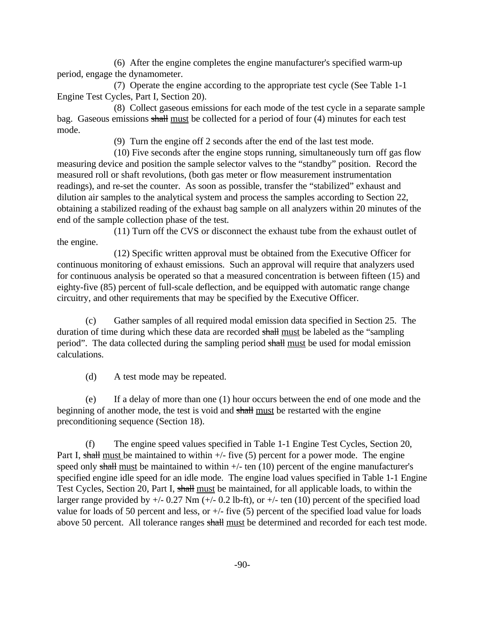(6) After the engine completes the engine manufacturer's specified warm-up period, engage the dynamometer.

(7) Operate the engine according to the appropriate test cycle (See Table 1-1 Engine Test Cycles, Part I, Section 20).

(8) Collect gaseous emissions for each mode of the test cycle in a separate sample bag. Gaseous emissions shall must be collected for a period of four (4) minutes for each test mode.

(9) Turn the engine off 2 seconds after the end of the last test mode.

(10) Five seconds after the engine stops running, simultaneously turn off gas flow measuring device and position the sample selector valves to the "standby" position. Record the measured roll or shaft revolutions, (both gas meter or flow measurement instrumentation readings), and re-set the counter. As soon as possible, transfer the "stabilized" exhaust and dilution air samples to the analytical system and process the samples according to Section 22, obtaining a stabilized reading of the exhaust bag sample on all analyzers within 20 minutes of the end of the sample collection phase of the test.

(11) Turn off the CVS or disconnect the exhaust tube from the exhaust outlet of the engine.

(12) Specific written approval must be obtained from the Executive Officer for continuous monitoring of exhaust emissions. Such an approval will require that analyzers used for continuous analysis be operated so that a measured concentration is between fifteen (15) and eighty-five (85) percent of full-scale deflection, and be equipped with automatic range change circuitry, and other requirements that may be specified by the Executive Officer.

(c) Gather samples of all required modal emission data specified in Section 25. The duration of time during which these data are recorded shall must be labeled as the "sampling period". The data collected during the sampling period shall must be used for modal emission calculations.

(d) A test mode may be repeated.

(e) If a delay of more than one (1) hour occurs between the end of one mode and the beginning of another mode, the test is void and shall must be restarted with the engine preconditioning sequence (Section 18).

(f) The engine speed values specified in Table 1-1 Engine Test Cycles, Section 20, Part I, shall must be maintained to within  $+/-$  five (5) percent for a power mode. The engine speed only shall must be maintained to within  $+/-$  ten (10) percent of the engine manufacturer's specified engine idle speed for an idle mode. The engine load values specified in Table 1-1 Engine Test Cycles, Section 20, Part I, shall must be maintained, for all applicable loads, to within the larger range provided by  $+/- 0.27$  Nm  $(+/- 0.2$  lb-ft), or  $+/-$  ten (10) percent of the specified load value for loads of 50 percent and less, or  $+/-$  five (5) percent of the specified load value for loads above 50 percent. All tolerance ranges shall must be determined and recorded for each test mode.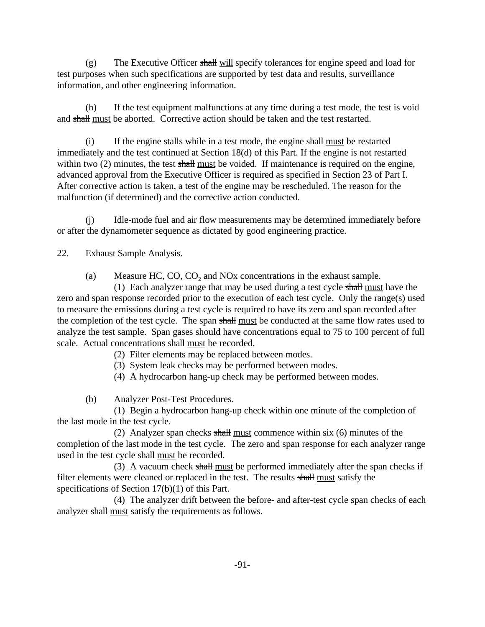(g) The Executive Officer shall will specify tolerances for engine speed and load for test purposes when such specifications are supported by test data and results, surveillance information, and other engineering information.

(h) If the test equipment malfunctions at any time during a test mode, the test is void and shall must be aborted. Corrective action should be taken and the test restarted.

(i) If the engine stalls while in a test mode, the engine shall must be restarted immediately and the test continued at Section 18(d) of this Part. If the engine is not restarted within two (2) minutes, the test shall must be voided. If maintenance is required on the engine, advanced approval from the Executive Officer is required as specified in Section 23 of Part I. After corrective action is taken, a test of the engine may be rescheduled. The reason for the malfunction (if determined) and the corrective action conducted.

(j) Idle-mode fuel and air flow measurements may be determined immediately before or after the dynamometer sequence as dictated by good engineering practice.

22. Exhaust Sample Analysis.

(a) Measure HC,  $CO$ ,  $CO$ <sub>2</sub> and NO<sub>x</sub> concentrations in the exhaust sample.

(1) Each analyzer range that may be used during a test cycle  $\frac{1}{\sqrt{2}}$  shall must have the zero and span response recorded prior to the execution of each test cycle. Only the range(s) used to measure the emissions during a test cycle is required to have its zero and span recorded after the completion of the test cycle. The span shall must be conducted at the same flow rates used to analyze the test sample. Span gases should have concentrations equal to 75 to 100 percent of full scale. Actual concentrations shall must be recorded.

(2) Filter elements may be replaced between modes.

(3) System leak checks may be performed between modes.

(4) A hydrocarbon hang-up check may be performed between modes.

(b) Analyzer Post-Test Procedures.

(1) Begin a hydrocarbon hang-up check within one minute of the completion of the last mode in the test cycle.

(2) Analyzer span checks shall must commence within six (6) minutes of the completion of the last mode in the test cycle. The zero and span response for each analyzer range used in the test cycle shall must be recorded.

(3) A vacuum check shall must be performed immediately after the span checks if filter elements were cleaned or replaced in the test. The results shall must satisfy the specifications of Section 17(b)(1) of this Part.

(4) The analyzer drift between the before- and after-test cycle span checks of each analyzer shall must satisfy the requirements as follows.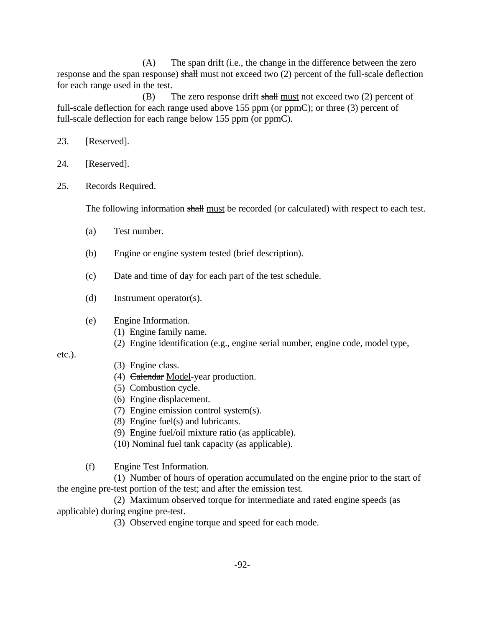(A) The span drift (i.e., the change in the difference between the zero response and the span response) shall must not exceed two (2) percent of the full-scale deflection for each range used in the test.

(B) The zero response drift shall must not exceed two  $(2)$  percent of full-scale deflection for each range used above 155 ppm (or ppmC); or three (3) percent of full-scale deflection for each range below 155 ppm (or ppmC).

- 23. [Reserved].
- 24. [Reserved].
- 25. Records Required.

The following information shall must be recorded (or calculated) with respect to each test.

- (a) Test number.
- (b) Engine or engine system tested (brief description).
- (c) Date and time of day for each part of the test schedule.
- (d) Instrument operator(s).
- (e) Engine Information.
	- (1) Engine family name.
	- (2) Engine identification (e.g., engine serial number, engine code, model type,

etc.).

- (3) Engine class.
- (4) Calendar Model-year production.
- (5) Combustion cycle.
- (6) Engine displacement.
- (7) Engine emission control system(s).
- (8) Engine fuel(s) and lubricants.
- (9) Engine fuel/oil mixture ratio (as applicable).
- (10) Nominal fuel tank capacity (as applicable).

(f) Engine Test Information.

(1) Number of hours of operation accumulated on the engine prior to the start of the engine pre-test portion of the test; and after the emission test.

(2) Maximum observed torque for intermediate and rated engine speeds (as applicable) during engine pre-test.

(3) Observed engine torque and speed for each mode.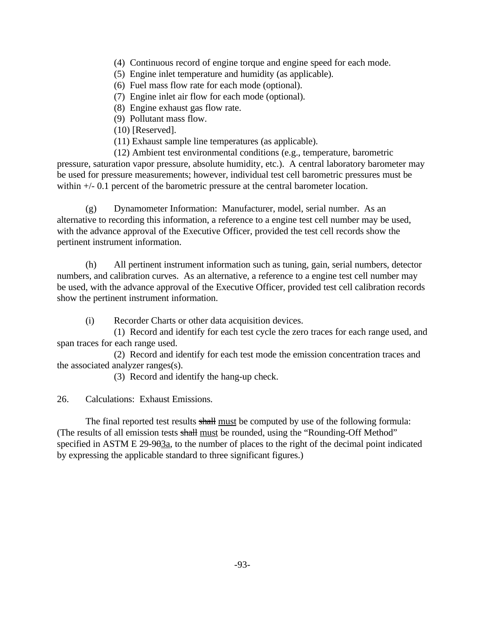- (4) Continuous record of engine torque and engine speed for each mode.
- (5) Engine inlet temperature and humidity (as applicable).
- (6) Fuel mass flow rate for each mode (optional).
- (7) Engine inlet air flow for each mode (optional).
- (8) Engine exhaust gas flow rate.
- (9) Pollutant mass flow.
- (10) [Reserved].
- (11) Exhaust sample line temperatures (as applicable).

(12) Ambient test environmental conditions (e.g., temperature, barometric pressure, saturation vapor pressure, absolute humidity, etc.). A central laboratory barometer may be used for pressure measurements; however, individual test cell barometric pressures must be within  $+/- 0.1$  percent of the barometric pressure at the central barometer location.

(g) Dynamometer Information: Manufacturer, model, serial number. As an alternative to recording this information, a reference to a engine test cell number may be used, with the advance approval of the Executive Officer, provided the test cell records show the pertinent instrument information.

(h) All pertinent instrument information such as tuning, gain, serial numbers, detector numbers, and calibration curves. As an alternative, a reference to a engine test cell number may be used, with the advance approval of the Executive Officer, provided test cell calibration records show the pertinent instrument information.

(i) Recorder Charts or other data acquisition devices.

(1) Record and identify for each test cycle the zero traces for each range used, and span traces for each range used.

(2) Record and identify for each test mode the emission concentration traces and the associated analyzer ranges(s).

(3) Record and identify the hang-up check.

26. Calculations: Exhaust Emissions.

The final reported test results shall must be computed by use of the following formula: (The results of all emission tests shall must be rounded, using the "Rounding-Off Method" specified in ASTM E  $29-90\frac{3a}{6}$ , to the number of places to the right of the decimal point indicated by expressing the applicable standard to three significant figures.)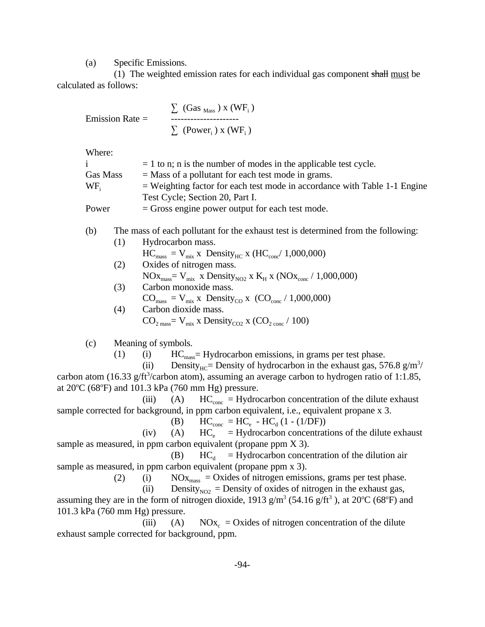(a) Specific Emissions.

(1) The weighted emission rates for each individual gas component shall must be calculated as follows:

$$
\Sigma \text{ (Gas }_{Mass}) \text{ x (WF }_{i})
$$
\n
$$
\Sigma \text{ (Gas }_{Mass}) \text{ x (WF }_{i})
$$
\n
$$
\Sigma \text{ (Power }_{i}) \text{ x (WF }_{i})
$$

Where:

|          | $= 1$ to n; n is the number of modes in the applicable test cycle.          |
|----------|-----------------------------------------------------------------------------|
| Gas Mass | $=$ Mass of a pollutant for each test mode in grams.                        |
| WF.      | $=$ Weighting factor for each test mode in accordance with Table 1-1 Engine |
|          | Test Cycle; Section 20, Part I.                                             |
| Power    | $=$ Gross engine power output for each test mode.                           |

## (b) The mass of each pollutant for the exhaust test is determined from the following:

- $\text{HC}_{\text{mass}} = \text{V}_{\text{mix}}$  x  $\text{Density}_{\text{HC}}$  x ( $\text{HC}_{\text{conc}}$ / 1,000,000) (1) Hydrocarbon mass. (2) Oxides of nitrogen mass.
	- $NOx_{\text{mass}} = V_{\text{mix}}$  x Density $_{NO2}$  x  $K_H$  x ( $NOx_{\text{conc}}$  / 1,000,000)
	- $CO<sub>mass</sub> = V<sub>mix</sub> x Density<sub>CO</sub> x (CO<sub>conc</sub> / 1,000,000)$  $\text{CO}_{2 \text{ mass}} = \text{V}_{\text{mix}}$  x Density<sub>CO2</sub> x (CO<sub>2 conc</sub> / 100) (3) Carbon monoxide mass. (4) Carbon dioxide mass.

(c) Meaning of symbols.

(1) (i)  $\text{HC}_{\text{mass}} = \text{Hydrocarbon emissions},$  in grams per test phase.

(ii) Density<sub>HC</sub>= Density of hydrocarbon in the exhaust gas, 576.8 g/m<sup>3</sup>/ carbon atom (16.33 g/ft<sup>3</sup>/carbon atom), assuming an average carbon to hydrogen ratio of 1:1.85, at 20 $\degree$ C (68 $\degree$ F) and 101.3 kPa (760 mm Hg) pressure.

(iii) (A)  $HC_{\text{conc}} = Hydrocarbon concentration of the dilute exhaust$ sample corrected for background, in ppm carbon equivalent, i.e., equivalent propane x 3.

(B) 
$$
HC_{\text{conc}} = HC_{\text{e}} - HC_{\text{d}} (1 - (1/DF))
$$

(iv) (A)  $HC_e$  = Hydrocarbon concentrations of the dilute exhaust sample as measured, in ppm carbon equivalent (propane ppm X 3).

(B)  $HC_d$  = Hydrocarbon concentration of the dilution air sample as measured, in ppm carbon equivalent (propane ppm x 3).

(2) (i)  $NOx<sub>mass</sub> = Oxides of nitrogen emissions, grams per test phase.$ 

(ii) Density<sub>NO2</sub> = Density of oxides of nitrogen in the exhaust gas,

assuming they are in the form of nitrogen dioxide, 1913  $g/m^3$  (54.16  $g/ft^3$ ), at 20°C (68°F) and 101.3 kPa (760 mm Hg) pressure.

(iii) (A)  $NOx_c = Oxides$  of nitrogen concentration of the dilute exhaust sample corrected for background, ppm.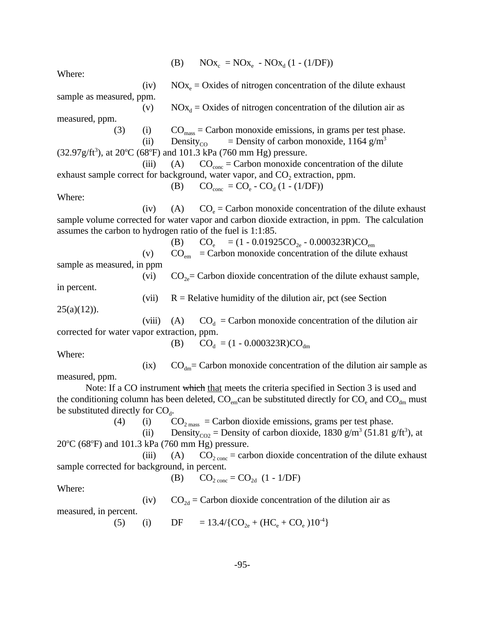(B)  $NOx_c = NOx_e - NOx_d (1 - (1/DF))$ 

Where:

 $(32.97g/ft^3)$ , at 20°C (68°F) and 101.3 kPa (760 mm Hg) pressure. (B)  $CO_{\text{conc}} = CO_{\text{e}} - CO_{\text{d}} (1 - (1/DF))$ (B)  $CO_e = (1 - 0.01925CO_{2e} - 0.000323R)CO_{em}$ (B)  $CO_d = (1 - 0.000323R)CO_{dm}$ the conditioning column has been deleted,  $\rm CO_{em}$  can be substituted directly for  $\rm CO_{e}$  and  $\rm CO_{dm}$  must <sup>(ii)</sup> Density<sub>CO2</sub> = Density of carbon dioxide, 1830 g/m<sup>3</sup> (51.81 g/ft<sup>3</sup>), at 20 °C (68 °F) and 101.3 kPa (760 mm Hg) pressure. (B)  $CO_{2 \text{ conc}} = CO_{2d} (1 - 1/DF)$ (5) (i) DF =  $13.4/{\text{CO}_{2e} + (\text{HC}_e + \text{CO}_e)10^4}$ Note: If a CO instrument which that meets the criteria specified in Section 3 is used and (iv)  $NOx<sub>e</sub> = Oxides$  of nitrogen concentration of the dilute exhaust sample as measured, ppm. (v)  $NOx_d = Oxides$  of nitrogen concentration of the dilution air as measured, ppm. (3) (i)  $CO<sub>mass</sub> = Carbon monoxide emissions, in grams per test phase.$ (ii) Density<sub>CO</sub> = Density of carbon monoxide, 1164 g/m<sup>3</sup> (iii) (A)  $CO<sub>cone</sub> = Carbon monoxide concentration of the dilute$ exhaust sample correct for background, water vapor, and  $CO<sub>2</sub>$  extraction, ppm. Where: (iv) (A)  $CO_e =$  Carbon monoxide concentration of the dilute exhaust sample volume corrected for water vapor and carbon dioxide extraction, in ppm. The calculation assumes the carbon to hydrogen ratio of the fuel is 1:1:85. (v)  $CO<sub>em</sub> = Carbon monoxide concentration of the dilute exhaust$ sample as measured, in ppm (vi)  $CO_{2e}$  Carbon dioxide concentration of the dilute exhaust sample, in percent. (vii)  $R =$  Relative humidity of the dilution air, pct (see Section  $25(a)(12)$ ). (viii) (A)  $CO<sub>d</sub> = Carbon monoxide concentration of the dilution air$ corrected for water vapor extraction, ppm. Where: (ix)  $CO<sub>dm</sub> = Carbon monoxide concentration of the dilution air sample as$ measured, ppm. be substituted directly for  $CO<sub>d</sub>$ . (4) (i)  $CO<sub>2</sub>$ <sub>mass</sub> = Carbon dioxide emissions, grams per test phase. (iii) (A)  $CO_{2 \text{ cone}} =$  carbon dioxide concentration of the dilute exhaust sample corrected for background, in percent. Where: (iv)  $CO<sub>2d</sub> = Carbon dioxide concentration of the dilution air as$ measured, in percent.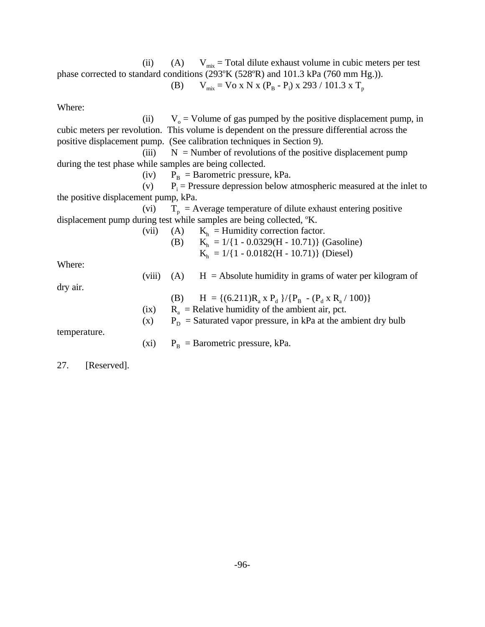(B)  $V_{mix} = V_0 x N x (P_B - P_i) x 293 / 101.3 x T_p$ (ii) (A)  $V_{mix} = \text{Total dilute exhaust volume in cubic meters per test}$  phase corrected to standard conditions (293°K (528°R) and 101.3 kPa (760 mm Hg.)).

Where:

(B)  $H = \{(6.211)R_a \times P_d \}/\{P_B - (P_d \times R_a / 100)\}\$ (ii)  $V_0 =$  Volume of gas pumped by the positive displacement pump, in cubic meters per revolution. This volume is dependent on the pressure differential across the positive displacement pump. (See calibration techniques in Section 9). (iii)  $N =$  Number of revolutions of the positive displacement pump during the test phase while samples are being collected. (iv)  $P_B = B$ arometric pressure, kPa.  $(v)$  $P_i$  = Pressure depression below atmospheric measured at the inlet to the positive displacement pump, kPa. (vi)  $T_p$  = Average temperature of dilute exhaust entering positive displacement pump during test while samples are being collected, °K. (vii) (A)  $K<sub>h</sub>$  = Humidity correction factor. (B)  $K_h = 1/{1 - 0.0329(H - 10.71)}$  (Gasoline)  $K_h = 1/{1 - 0.0182(H - 10.71)}$  (Diesel) Where: (viii) (A)  $H =$  Absolute humidity in grams of water per kilogram of dry air. (ix)  $R_a$  = Relative humidity of the ambient air, pct. (x)  $P_D$  = Saturated vapor pressure, in kPa at the ambient dry bulb temperature.

(xi)  $P_B = B$ arometric pressure, kPa.

27. [Reserved].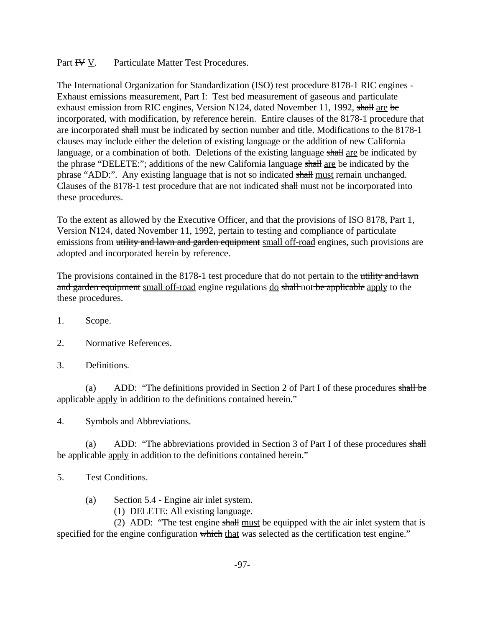Part  $H = V$ . Particulate Matter Test Procedures.

exhaust emission from RIC engines, Version N124, dated November 11, 1992, shall are be The International Organization for Standardization (ISO) test procedure 8178-1 RIC engines - Exhaust emissions measurement, Part I: Test bed measurement of gaseous and particulate incorporated, with modification, by reference herein. Entire clauses of the 8178-1 procedure that are incorporated shall must be indicated by section number and title. Modifications to the 8178-1 clauses may include either the deletion of existing language or the addition of new California language, or a combination of both. Deletions of the existing language shall are be indicated by the phrase "DELETE:"; additions of the new California language shall are be indicated by the phrase "ADD:". Any existing language that is not so indicated shall must remain unchanged. Clauses of the 8178-1 test procedure that are not indicated shall must not be incorporated into these procedures.

To the extent as allowed by the Executive Officer, and that the provisions of ISO 8178, Part 1, Version N124, dated November 11, 1992, pertain to testing and compliance of particulate emissions from utility and lawn and garden equipment small off-road engines, such provisions are adopted and incorporated herein by reference.

and garden equipment small off-road engine regulations do shall not be applicable apply to the The provisions contained in the 8178-1 test procedure that do not pertain to the utility and lawn these procedures.

- 1. Scope.
- 2. Normative References.
- 3. Definitions.

(a) ADD: "The definitions provided in Section 2 of Part I of these procedures shall be applicable apply in addition to the definitions contained herein."

4. Symbols and Abbreviations.

(a) ADD: "The abbreviations provided in Section 3 of Part I of these procedures shall be applicable apply in addition to the definitions contained herein."

- 5. Test Conditions.
	- (a) Section 5.4 Engine air inlet system.
		- (1) DELETE: All existing language.

(2) ADD: "The test engine shall must be equipped with the air inlet system that is specified for the engine configuration which that was selected as the certification test engine."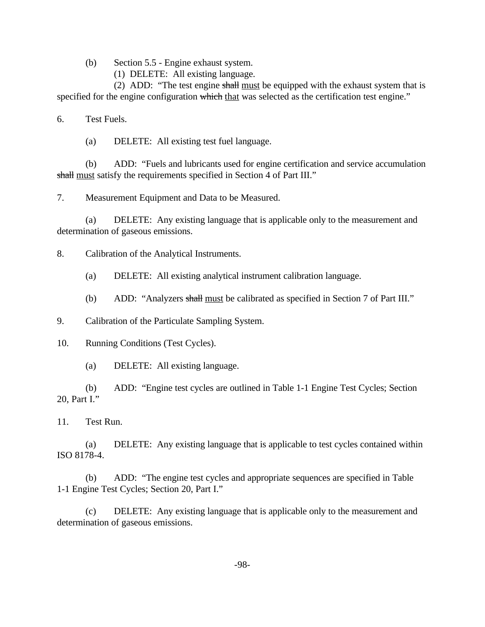(b) Section 5.5 - Engine exhaust system.

(1) DELETE: All existing language.

(2) ADD: "The test engine shall must be equipped with the exhaust system that is specified for the engine configuration which that was selected as the certification test engine."

**Test Fuels.** 

6. Test Fuels. (a) DELETE: All existing test fuel language.

(b) ADD: "Fuels and lubricants used for engine certification and service accumulation shall must satisfy the requirements specified in Section 4 of Part III."

7. Measurement Equipment and Data to be Measured.

(a) DELETE: Any existing language that is applicable only to the measurement and determination of gaseous emissions.

8. Calibration of the Analytical Instruments.

(a) DELETE: All existing analytical instrument calibration language.

(b) ADD: "Analyzers shall must be calibrated as specified in Section 7 of Part III."

9. Calibration of the Particulate Sampling System.

10. Running Conditions (Test Cycles).

(a) DELETE: All existing language.

(b) ADD: "Engine test cycles are outlined in Table 1-1 Engine Test Cycles; Section 20, Part I."

11. Test Run.

(a) DELETE: Any existing language that is applicable to test cycles contained within ISO 8178-4.

(b) ADD: "The engine test cycles and appropriate sequences are specified in Table 1-1 Engine Test Cycles; Section 20, Part I."

(c) DELETE: Any existing language that is applicable only to the measurement and determination of gaseous emissions.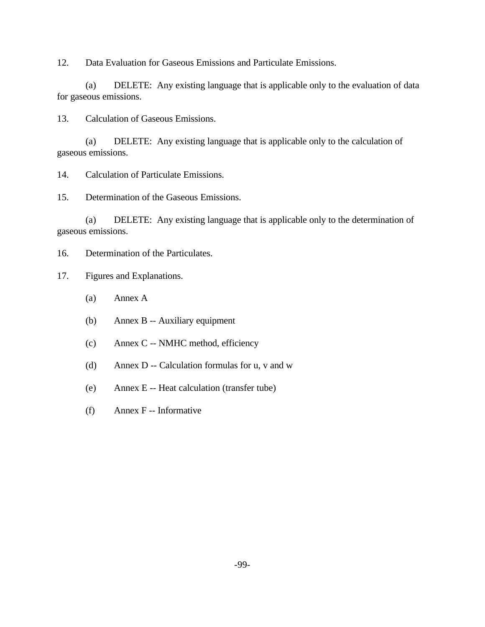12. Data Evaluation for Gaseous Emissions and Particulate Emissions.

(a) DELETE: Any existing language that is applicable only to the evaluation of data for gaseous emissions.

13. Calculation of Gaseous Emissions.

(a) DELETE: Any existing language that is applicable only to the calculation of gaseous emissions.

14. Calculation of Particulate Emissions.

15. Determination of the Gaseous Emissions.

(a) DELETE: Any existing language that is applicable only to the determination of gaseous emissions.

16. Determination of the Particulates.

- 17. Figures and Explanations.
	- (a) Annex A
	- (b) Annex B -- Auxiliary equipment
	- (c) Annex C -- NMHC method, efficiency
	- (d) Annex D -- Calculation formulas for u, v and w
	- (e) Annex E -- Heat calculation (transfer tube)
	- (f) Annex F -- Informative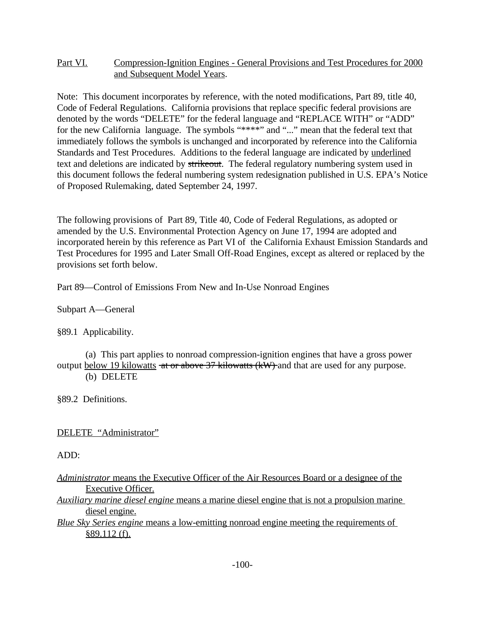## Part VI. Compression-Ignition Engines - General Provisions and Test Procedures for 2000 and Subsequent Model Years.

Note: This document incorporates by reference, with the noted modifications, Part 89, title 40, Code of Federal Regulations. California provisions that replace specific federal provisions are denoted by the words "DELETE" for the federal language and "REPLACE WITH" or "ADD" for the new California language. The symbols "\*\*\*\*" and "..." mean that the federal text that immediately follows the symbols is unchanged and incorporated by reference into the California Standards and Test Procedures. Additions to the federal language are indicated by underlined text and deletions are indicated by strikeout. The federal regulatory numbering system used in this document follows the federal numbering system redesignation published in U.S. EPA's Notice of Proposed Rulemaking, dated September 24, 1997.

The following provisions of Part 89, Title 40, Code of Federal Regulations, as adopted or amended by the U.S. Environmental Protection Agency on June 17, 1994 are adopted and incorporated herein by this reference as Part VI of the California Exhaust Emission Standards and Test Procedures for 1995 and Later Small Off-Road Engines, except as altered or replaced by the provisions set forth below.

Part 89—Control of Emissions From New and In-Use Nonroad Engines

Subpart A—General

§89.1 Applicability.

(a) This part applies to nonroad compression-ignition engines that have a gross power output below 19 kilowatts at or above 37 kilowatts (kW) and that are used for any purpose. (b) DELETE

§89.2 Definitions.

DELETE "Administrator"

ADD:

| <i>Administrator</i> means the Executive Officer of the Air Resources Board or a designee of the |  |  |  |  |  |
|--------------------------------------------------------------------------------------------------|--|--|--|--|--|
| Executive Officer.                                                                               |  |  |  |  |  |

*Auxiliary marine diesel engine* means a marine diesel engine that is not a propulsion marine diesel engine.

*Blue Sky Series engine* means a low-emitting nonroad engine meeting the requirements of §89.112 (f).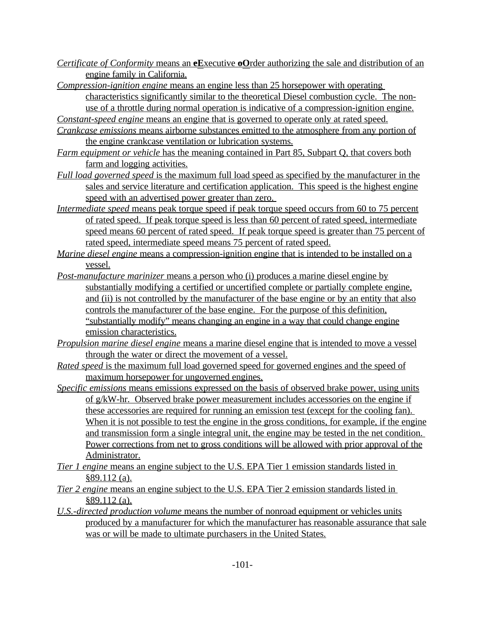- *Certificate of Conformity* means an **eE**xecutive **oO**rder authorizing the sale and distribution of an engine family in California.
- *Compression-ignition engine* means an engine less than 25 horsepower with operating

characteristics significantly similar to the theoretical Diesel combustion cycle. The nonuse of a throttle during normal operation is indicative of a compression-ignition engine.

*Constant-speed engine* means an engine that is governed to operate only at rated speed.

- *Crankcase emissions* means airborne substances emitted to the atmosphere from any portion of the engine crankcase ventilation or lubrication systems.
- *Farm equipment or vehicle* has the meaning contained in Part 85, Subpart Q, that covers both farm and logging activities.
- *Full load governed speed* is the maximum full load speed as specified by the manufacturer in the sales and service literature and certification application. This speed is the highest engine speed with an advertised power greater than zero.
- *Intermediate speed* means peak torque speed if peak torque speed occurs from 60 to 75 percent of rated speed. If peak torque speed is less than 60 percent of rated speed, intermediate speed means 60 percent of rated speed. If peak torque speed is greater than 75 percent of rated speed, intermediate speed means 75 percent of rated speed.
- *Marine diesel engine* means a compression-ignition engine that is intended to be installed on a vessel.
- *Post-manufacture marinizer* means a person who (i) produces a marine diesel engine by substantially modifying a certified or uncertified complete or partially complete engine, and (ii) is not controlled by the manufacturer of the base engine or by an entity that also controls the manufacturer of the base engine. For the purpose of this definition, "substantially modify" means changing an engine in a way that could change engine emission characteristics.
- *Propulsion marine diesel engine* means a marine diesel engine that is intended to move a vessel through the water or direct the movement of a vessel.
- *Rated speed* is the maximum full load governed speed for governed engines and the speed of maximum horsepower for ungoverned engines.
- *Specific emissions* means emissions expressed on the basis of observed brake power, using units of g/kW-hr. Observed brake power measurement includes accessories on the engine if these accessories are required for running an emission test (except for the cooling fan). When it is not possible to test the engine in the gross conditions, for example, if the engine and transmission form a single integral unit, the engine may be tested in the net condition. Power corrections from net to gross conditions will be allowed with prior approval of the Administrator.
- *Tier 1 engine* means an engine subject to the U.S. EPA Tier 1 emission standards listed in §89.112 (a).
- *Tier 2 engine* means an engine subject to the U.S. EPA Tier 2 emission standards listed in  $§89.112$  (a).
- *U.S.-directed production volume* means the number of nonroad equipment or vehicles units produced by a manufacturer for which the manufacturer has reasonable assurance that sale was or will be made to ultimate purchasers in the United States.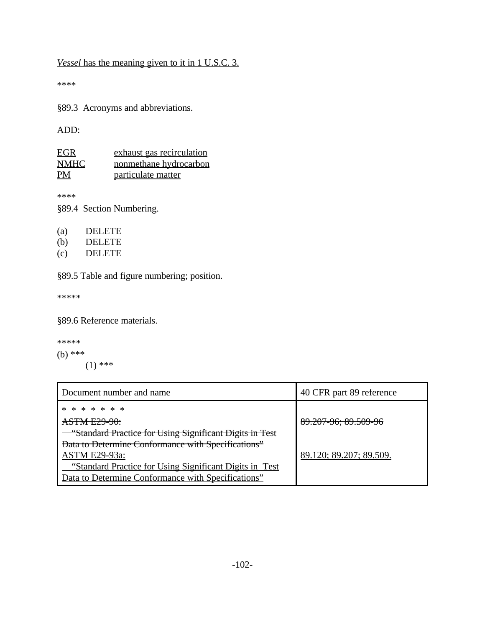*Vessel* has the meaning given to it in 1 U.S.C. 3.

\*\*\*\*

§89.3 Acronyms and abbreviations.

ADD:

| <u>EGR</u>  | exhaust gas recirculation |
|-------------|---------------------------|
| <b>NMHC</b> | nonmethane hydrocarbon    |
| PM          | particulate matter        |

\*\*\*\*

§89.4 Section Numbering.

| (b)<br>DELETE |
|---------------|
|---------------|

(c) DELETE

§89.5 Table and figure numbering; position.

\*\*\*\*\*

§89.6 Reference materials.

\*\*\*\*\* (b) \*\*\*  $(1)$  \*\*\*

| Document number and name                                 | 40 CFR part 89 reference |
|----------------------------------------------------------|--------------------------|
| * * * * * * *                                            |                          |
| <b>ASTM E29-90:</b>                                      | 89.207-96; 89.509-96     |
| "Standard Practice for Using Significant Digits in Test  |                          |
| Data to Determine Conformance with Specifications"       |                          |
| <b>ASTM E29-93a:</b>                                     | 89.120; 89.207; 89.509.  |
| "Standard Practice for Using Significant Digits in Test" |                          |
| Data to Determine Conformance with Specifications"       |                          |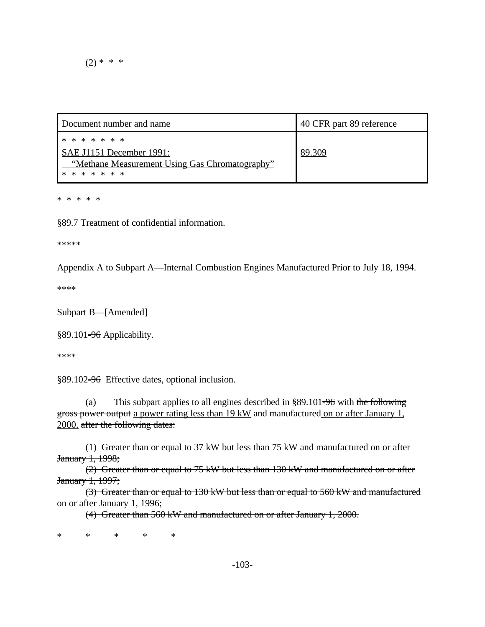$(2) * * * *$ 

| Document number and name                                        | 40 CFR part 89 reference |
|-----------------------------------------------------------------|--------------------------|
| * * * * * * *                                                   |                          |
| SAE J1151 December 1991:                                        | 89.309                   |
| "Methane Measurement Using Gas Chromatography"<br>* * * * * * * |                          |
|                                                                 |                          |

\* \* \* \* \*

§89.7 Treatment of confidential information.

\*\*\*\*\*

Appendix A to Subpart A—Internal Combustion Engines Manufactured Prior to July 18, 1994.

\*\*\*\*

Subpart B—[Amended]

§89.101-96 Applicability.

\*\*\*\*

§89.102-96 Effective dates, optional inclusion.

(a) This subpart applies to all engines described in §89.101-96 with the following gross power output a power rating less than 19 kW and manufactured on or after January 1, 2000. after the following dates:

(1) Greater than or equal to 37 kW but less than 75 kW and manufactured on or after January 1, 1998;

(2) Greater than or equal to 75 kW but less than 130 kW and manufactured on or after January 1, 1997;

(3) Greater than or equal to 130 kW but less than or equal to 560 kW and manufactured on or after January 1, 1996;

(4) Greater than 560 kW and manufactured on or after January 1, 2000.

\* \* \* \* \*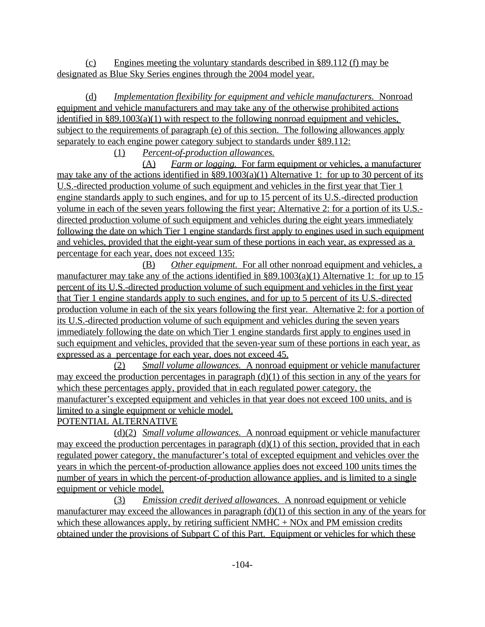(c) Engines meeting the voluntary standards described in §89.112 (f) may be designated as Blue Sky Series engines through the 2004 model year.

(d) *Implementation flexibility for equipment and vehicle manufacturers.* Nonroad equipment and vehicle manufacturers and may take any of the otherwise prohibited actions identified in §89.1003(a)(1) with respect to the following nonroad equipment and vehicles, subject to the requirements of paragraph (e) of this section. The following allowances apply separately to each engine power category subject to standards under §89.112:

(1) *Percent-of-production allowances.* 

(A) *Farm or logging.* For farm equipment or vehicles, a manufacturer may take any of the actions identified in §89.1003(a)(1) Alternative 1: for up to 30 percent of its U.S.-directed production volume of such equipment and vehicles in the first year that Tier 1 engine standards apply to such engines, and for up to 15 percent of its U.S.-directed production volume in each of the seven years following the first year; Alternative 2: for a portion of its U.S. directed production volume of such equipment and vehicles during the eight years immediately following the date on which Tier 1 engine standards first apply to engines used in such equipment and vehicles, provided that the eight-year sum of these portions in each year, as expressed as a percentage for each year, does not exceed 135:

(B) *Other equipment.* For all other nonroad equipment and vehicles, a manufacturer may take any of the actions identified in §89.1003(a)(1) Alternative 1: for up to 15 percent of its U.S.-directed production volume of such equipment and vehicles in the first year that Tier 1 engine standards apply to such engines, and for up to 5 percent of its U.S.-directed production volume in each of the six years following the first year. Alternative 2: for a portion of its U.S.-directed production volume of such equipment and vehicles during the seven years immediately following the date on which Tier 1 engine standards first apply to engines used in such equipment and vehicles, provided that the seven-year sum of these portions in each year, as expressed as a percentage for each year, does not exceed 45.

(2) *Small volume allowances.* A nonroad equipment or vehicle manufacturer may exceed the production percentages in paragraph  $(d)(1)$  of this section in any of the years for which these percentages apply, provided that in each regulated power category, the manufacturer's excepted equipment and vehicles in that year does not exceed 100 units, and is limited to a single equipment or vehicle model.

# POTENTIAL ALTERNATIVE

(d)(2) *Small volume allowances.* A nonroad equipment or vehicle manufacturer may exceed the production percentages in paragraph  $(d)(1)$  of this section, provided that in each regulated power category, the manufacturer's total of excepted equipment and vehicles over the years in which the percent-of-production allowance applies does not exceed 100 units times the number of years in which the percent-of-production allowance applies, and is limited to a single equipment or vehicle model.

(3) *Emission credit derived allowances.* A nonroad equipment or vehicle manufacturer may exceed the allowances in paragraph (d)(1) of this section in any of the years for which these allowances apply, by retiring sufficient  $NMHC + NOx$  and PM emission credits obtained under the provisions of Subpart C of this Part. Equipment or vehicles for which these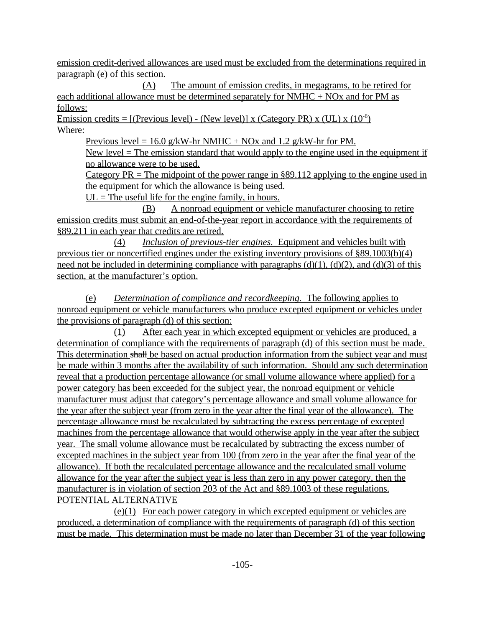emission credit-derived allowances are used must be excluded from the determinations required in paragraph (e) of this section.

(A) The amount of emission credits, in megagrams, to be retired for each additional allowance must be determined separately for NMHC + NOx and for PM as follows:

Emission credits =  $[(P$ revious level) - (New level) x (Category PR) x (UL) x  $(10^{-6})$ Where:

Previous level = 16.0 g/kW-hr NMHC + NOx and 1.2 g/kW-hr for PM.

New level  $=$  The emission standard that would apply to the engine used in the equipment if no allowance were to be used.

Category  $PR = The midpoint of the power range in §89.112 applying to the engine used in$ the equipment for which the allowance is being used.

 $UL$  = The useful life for the engine family, in hours.

(B) A nonroad equipment or vehicle manufacturer choosing to retire emission credits must submit an end-of-the-year report in accordance with the requirements of §89.211 in each year that credits are retired.

(4) *Inclusion of previous-tier engines.* Equipment and vehicles built with previous tier or noncertified engines under the existing inventory provisions of §89.1003(b)(4) need not be included in determining compliance with paragraphs  $(d)(1)$ ,  $(d)(2)$ , and  $(d)(3)$  of this section, at the manufacturer's option.

(e) *Determination of compliance and recordkeeping.* The following applies to nonroad equipment or vehicle manufacturers who produce excepted equipment or vehicles under the provisions of paragraph (d) of this section:

(1) After each year in which excepted equipment or vehicles are produced, a determination of compliance with the requirements of paragraph (d) of this section must be made. This determination shall be based on actual production information from the subject year and must be made within 3 months after the availability of such information. Should any such determination reveal that a production percentage allowance (or small volume allowance where applied) for a power category has been exceeded for the subject year, the nonroad equipment or vehicle manufacturer must adjust that category's percentage allowance and small volume allowance for the year after the subject year (from zero in the year after the final year of the allowance). The percentage allowance must be recalculated by subtracting the excess percentage of excepted machines from the percentage allowance that would otherwise apply in the year after the subject year. The small volume allowance must be recalculated by subtracting the excess number of excepted machines in the subject year from 100 (from zero in the year after the final year of the allowance). If both the recalculated percentage allowance and the recalculated small volume allowance for the year after the subject year is less than zero in any power category, then the manufacturer is in violation of section 203 of the Act and §89.1003 of these regulations. POTENTIAL ALTERNATIVE

 $(e)(1)$  For each power category in which excepted equipment or vehicles are produced, a determination of compliance with the requirements of paragraph (d) of this section must be made. This determination must be made no later than December 31 of the year following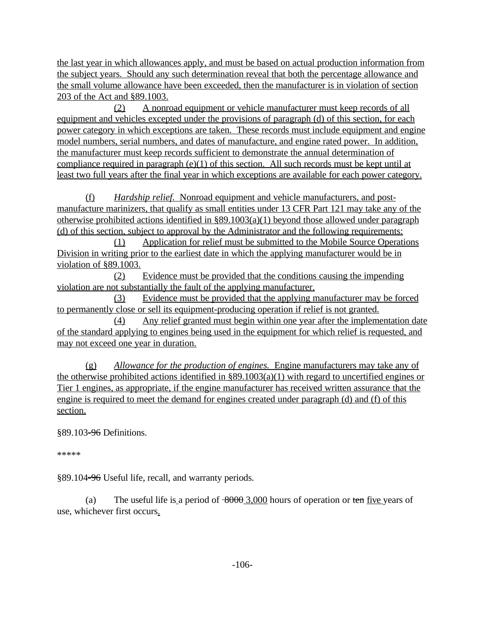the last year in which allowances apply, and must be based on actual production information from the subject years. Should any such determination reveal that both the percentage allowance and the small volume allowance have been exceeded, then the manufacturer is in violation of section 203 of the Act and §89.1003.

(2) A nonroad equipment or vehicle manufacturer must keep records of all equipment and vehicles excepted under the provisions of paragraph (d) of this section, for each power category in which exceptions are taken. These records must include equipment and engine model numbers, serial numbers, and dates of manufacture, and engine rated power. In addition, the manufacturer must keep records sufficient to demonstrate the annual determination of compliance required in paragraph (e)(1) of this section. All such records must be kept until at least two full years after the final year in which exceptions are available for each power category.

(f) *Hardship relief.* Nonroad equipment and vehicle manufacturers, and postmanufacture marinizers, that qualify as small entities under 13 CFR Part 121 may take any of the otherwise prohibited actions identified in  $\S 89.1003(a)(1)$  beyond those allowed under paragraph (d) of this section, subject to approval by the Administrator and the following requirements:

(1) Application for relief must be submitted to the Mobile Source Operations Division in writing prior to the earliest date in which the applying manufacturer would be in violation of §89.1003.

(2) Evidence must be provided that the conditions causing the impending violation are not substantially the fault of the applying manufacturer.

(3) Evidence must be provided that the applying manufacturer may be forced to permanently close or sell its equipment-producing operation if relief is not granted.

(4) Any relief granted must begin within one year after the implementation date of the standard applying to engines being used in the equipment for which relief is requested, and may not exceed one year in duration.

(g) *Allowance for the production of engines.* Engine manufacturers may take any of the otherwise prohibited actions identified in §89.1003(a)(1) with regard to uncertified engines or Tier 1 engines, as appropriate, if the engine manufacturer has received written assurance that the engine is required to meet the demand for engines created under paragraph (d) and (f) of this section.

§89.103<del>-96</del> Definitions.

\*\*\*\*\*

§89.104-96 Useful life, recall, and warranty periods.

use, whichever first occurs. (a) The useful life is a period of  $\frac{8000}{3,000}$  hours of operation or ten five years of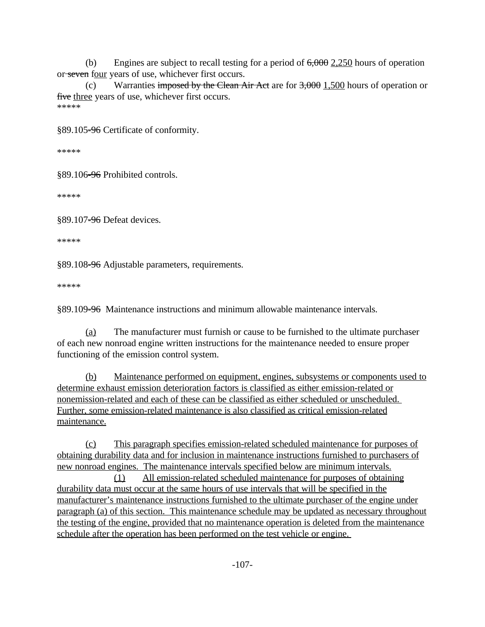(b) Engines are subject to recall testing for a period of  $6,000$   $2,250$  hours of operation or seven four years of use, whichever first occurs.

(c) Warranties imposed by the Clean Air Act are for  $3,000$  1,500 hours of operation or five three years of use, whichever first occurs. \*\*\*\*\*

§89.105-96 Certificate of conformity.

\*\*\*\*\*

§89.106-96 Prohibited controls.

\*\*\*\*\*

§89.107-96 Defeat devices.

\*\*\*\*\*

§89.108-96 Adjustable parameters, requirements.

\*\*\*\*\*

§89.109<del>-96</del> Maintenance instructions and minimum allowable maintenance intervals.

9<del>-96</del> I<br><u>(a)</u> The manufacturer must furnish or cause to be furnished to the ultimate purchaser of each new nonroad engine written instructions for the maintenance needed to ensure proper functioning of the emission control system.

(b) Maintenance performed on equipment, engines, subsystems or components used to determine exhaust emission deterioration factors is classified as either emission-related or nonemission-related and each of these can be classified as either scheduled or unscheduled. Further, some emission-related maintenance is also classified as critical emission-related maintenance.

(c) This paragraph specifies emission-related scheduled maintenance for purposes of obtaining durability data and for inclusion in maintenance instructions furnished to purchasers of new nonroad engines. The maintenance intervals specified below are minimum intervals.

(1) All emission-related scheduled maintenance for purposes of obtaining durability data must occur at the same hours of use intervals that will be specified in the manufacturer's maintenance instructions furnished to the ultimate purchaser of the engine under paragraph (a) of this section. This maintenance schedule may be updated as necessary throughout the testing of the engine, provided that no maintenance operation is deleted from the maintenance schedule after the operation has been performed on the test vehicle or engine.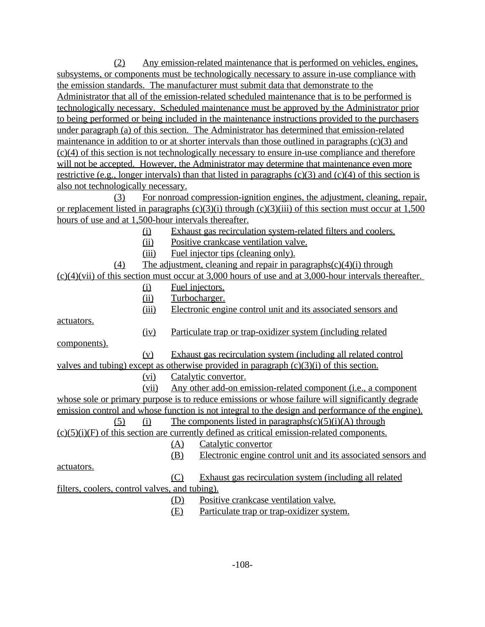(2) Any emission-related maintenance that is performed on vehicles, engines, subsystems, or components must be technologically necessary to assure in-use compliance with the emission standards. The manufacturer must submit data that demonstrate to the Administrator that all of the emission-related scheduled maintenance that is to be performed is technologically necessary. Scheduled maintenance must be approved by the Administrator prior to being performed or being included in the maintenance instructions provided to the purchasers under paragraph (a) of this section. The Administrator has determined that emission-related maintenance in addition to or at shorter intervals than those outlined in paragraphs (c)(3) and (c)(4) of this section is not technologically necessary to ensure in-use compliance and therefore will not be accepted. However, the Administrator may determine that maintenance even more restrictive (e.g., longer intervals) than that listed in paragraphs  $(c)(3)$  and  $(c)(4)$  of this section is also not technologically necessary.

(3) For nonroad compression-ignition engines, the adjustment, cleaning, repair, or replacement listed in paragraphs  $(c)(3)(i)$  through  $(c)(3)(iii)$  of this section must occur at 1,500 hours of use and at 1,500-hour intervals thereafter.

- (i) Exhaust gas recirculation system-related filters and coolers.
- (ii) Positive crankcase ventilation valve.
- (iii) Fuel injector tips (cleaning only).
- (4) The adjustment, cleaning and repair in paragraphs $(c)(4)(i)$  through

 $(c)(4)(vii)$  of this section must occur at 3,000 hours of use and at 3,000-hour intervals thereafter.

- (i) Fuel injectors.
- (ii) Turbocharger.
- (iii) Electronic engine control unit and its associated sensors and

actuators.

(iv) Particulate trap or trap-oxidizer system (including related

components).

(v) Exhaust gas recirculation system (including all related control valves and tubing) except as otherwise provided in paragraph (c)(3)(i) of this section.

(vi) Catalytic convertor.

(vii) Any other add-on emission-related component (i.e., a component whose sole or primary purpose is to reduce emissions or whose failure will significantly degrade emission control and whose function is not integral to the design and performance of the engine).

(5) (i) The components listed in paragraphs(c)(5)(i)(A) through  $(c)(5)(i)(F)$  of this section are currently defined as critical emission-related components.

(A) Catalytic convertor

- actuators.
- (C) Exhaust gas recirculation system (including all related filters, coolers, control valves, and tubing).

(D) Positive crankcase ventilation valve.

(E) Particulate trap or trap-oxidizer system.

(B) Electronic engine control unit and its associated sensors and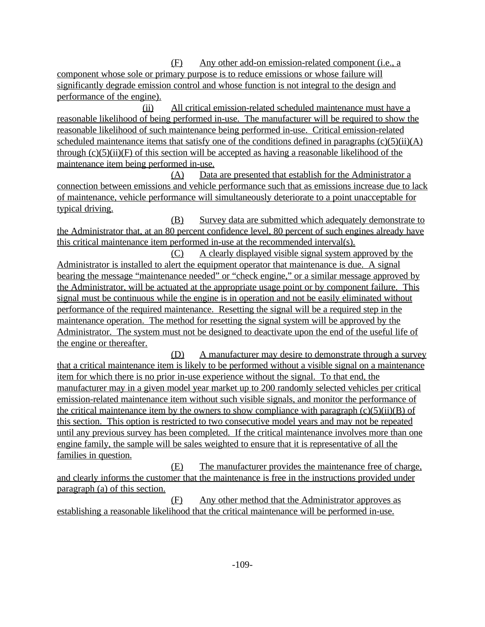(F) Any other add-on emission-related component (i.e., a component whose sole or primary purpose is to reduce emissions or whose failure will significantly degrade emission control and whose function is not integral to the design and performance of the engine).

(ii) All critical emission-related scheduled maintenance must have a reasonable likelihood of being performed in-use. The manufacturer will be required to show the reasonable likelihood of such maintenance being performed in-use. Critical emission-related scheduled maintenance items that satisfy one of the conditions defined in paragraphs  $(c)(5)(ii)(A)$ through  $(c)(5)(ii)(F)$  of this section will be accepted as having a reasonable likelihood of the maintenance item being performed in-use.

(A) Data are presented that establish for the Administrator a connection between emissions and vehicle performance such that as emissions increase due to lack of maintenance, vehicle performance will simultaneously deteriorate to a point unacceptable for typical driving.

(B) Survey data are submitted which adequately demonstrate to the Administrator that, at an 80 percent confidence level, 80 percent of such engines already have this critical maintenance item performed in-use at the recommended interval(s).

(C) A clearly displayed visible signal system approved by the Administrator is installed to alert the equipment operator that maintenance is due. A signal bearing the message "maintenance needed" or "check engine," or a similar message approved by the Administrator, will be actuated at the appropriate usage point or by component failure. This signal must be continuous while the engine is in operation and not be easily eliminated without performance of the required maintenance. Resetting the signal will be a required step in the maintenance operation. The method for resetting the signal system will be approved by the Administrator. The system must not be designed to deactivate upon the end of the useful life of the engine or thereafter.

(D) A manufacturer may desire to demonstrate through a survey that a critical maintenance item is likely to be performed without a visible signal on a maintenance item for which there is no prior in-use experience without the signal. To that end, the manufacturer may in a given model year market up to 200 randomly selected vehicles per critical emission-related maintenance item without such visible signals, and monitor the performance of the critical maintenance item by the owners to show compliance with paragraph  $(c)(5)(ii)(B)$  of this section. This option is restricted to two consecutive model years and may not be repeated until any previous survey has been completed. If the critical maintenance involves more than one engine family, the sample will be sales weighted to ensure that it is representative of all the families in question.

(E) The manufacturer provides the maintenance free of charge, and clearly informs the customer that the maintenance is free in the instructions provided under paragraph (a) of this section.

(F) Any other method that the Administrator approves as establishing a reasonable likelihood that the critical maintenance will be performed in-use.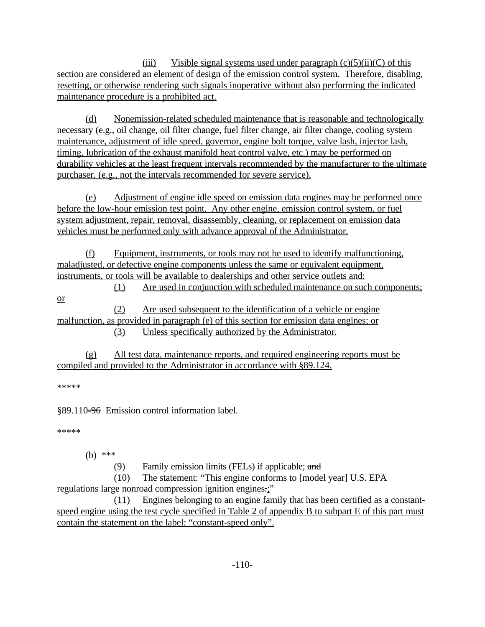(iii) Visible signal systems used under paragraph  $(c)(5)(ii)(C)$  of this section are considered an element of design of the emission control system. Therefore, disabling, resetting, or otherwise rendering such signals inoperative without also performing the indicated maintenance procedure is a prohibited act.

(d) Nonemission-related scheduled maintenance that is reasonable and technologically necessary (e.g., oil change, oil filter change, fuel filter change, air filter change, cooling system maintenance, adjustment of idle speed, governor, engine bolt torque, valve lash, injector lash, timing, lubrication of the exhaust manifold heat control valve, etc.) may be performed on durability vehicles at the least frequent intervals recommended by the manufacturer to the ultimate purchaser, (e.g., not the intervals recommended for severe service).

(e) Adjustment of engine idle speed on emission data engines may be performed once before the low-hour emission test point. Any other engine, emission control system, or fuel system adjustment, repair, removal, disassembly, cleaning, or replacement on emission data vehicles must be performed only with advance approval of the Administrator.

(f) Equipment, instruments, or tools may not be used to identify malfunctioning, maladjusted, or defective engine components unless the same or equivalent equipment, instruments, or tools will be available to dealerships and other service outlets and: (1) Are used in conjunction with scheduled maintenance on such components;

or (2) Are used subsequent to the identification of a vehicle or engine malfunction, as provided in paragraph (e) of this section for emission data engines; or

(3) Unless specifically authorized by the Administrator.

(g) All test data, maintenance reports, and required engineering reports must be compiled and provided to the Administrator in accordance with §89.124.

\*\*\*\*\*

§89.110-96 Emission control information label.

\*\*\*\*\*

(b) \*\*\*

(9) Family emission limits (FELs) if applicable;  $\alpha$ nd

(10) The statement: "This engine conforms to [model year] U.S. EPA regulations large nonroad compression ignition engines.;"

(11) Engines belonging to an engine family that has been certified as a constantspeed engine using the test cycle specified in Table 2 of appendix B to subpart E of this part must contain the statement on the label: "constant-speed only".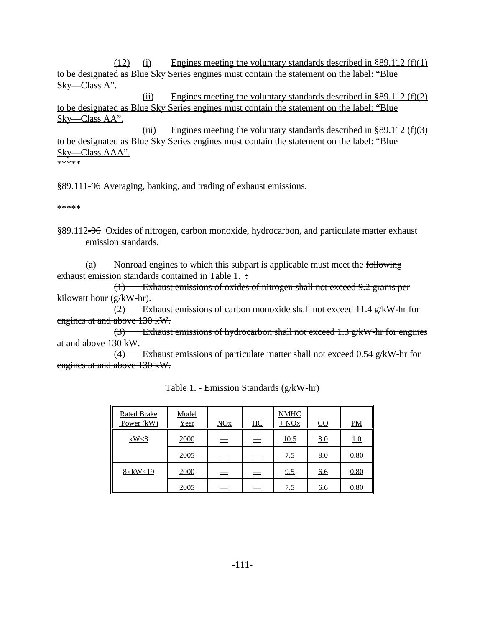(12) (i) Engines meeting the voluntary standards described in §89.112 (f)(1) to be designated as Blue Sky Series engines must contain the statement on the label: "Blue Sky—Class A".

(ii) Engines meeting the voluntary standards described in  $\S 89.112$  (f)(2) to be designated as Blue Sky Series engines must contain the statement on the label: "Blue Sky—Class AA".

(iii) Engines meeting the voluntary standards described in  $\S 89.112$  (f)(3) to be designated as Blue Sky Series engines must contain the statement on the label: "Blue Sky—Class AAA". \*\*\*\*\*

§89.111-96 Averaging, banking, and trading of exhaust emissions.

\*\*\*\*\*

§89.112-96 Oxides of nitrogen, carbon monoxide, hydrocarbon, and particulate matter exhaust emission standards.

exhaust emission standards contained in Table 1. : (a) Nonroad engines to which this subpart is applicable must meet the following

(1) Exhaust emissions of oxides of nitrogen shall not exceed 9.2 grams per kilowatt hour (g/kW-hr).

(2) Exhaust emissions of carbon monoxide shall not exceed 11.4 g/kW-hr for engines at and above 130 kW.

(3) Exhaust emissions of hydrocarbon shall not exceed 1.3 g/kW-hr for engines at and above 130 kW.

 $(4)$  Exhaust emissions of particulate matter shall not exceed  $0.54$  g/kW-hr for engines at and above 130 kW.

| <b>Rated Brake</b><br>Power (kW) | Model<br>Year | NOx | HC  | <b>NMHC</b><br>$+$ NO <sub>x</sub> | $\underline{CO}$ | $PM$ |
|----------------------------------|---------------|-----|-----|------------------------------------|------------------|------|
| kW<8                             | 2000          | $=$ | $=$ | 10.5                               | 8.0              | 1.0  |
|                                  | 2005          | $=$ | $=$ | 7.5                                | 8.0              | 0.80 |
| $8 \leq$ kW<19                   | 2000          | $=$ | $=$ | 9.5                                | 6.6              | 0.80 |
|                                  | 2005          |     |     | 7.5                                | <u>6.6</u>       | 0.80 |

Table 1. - Emission Standards (g/kW-hr)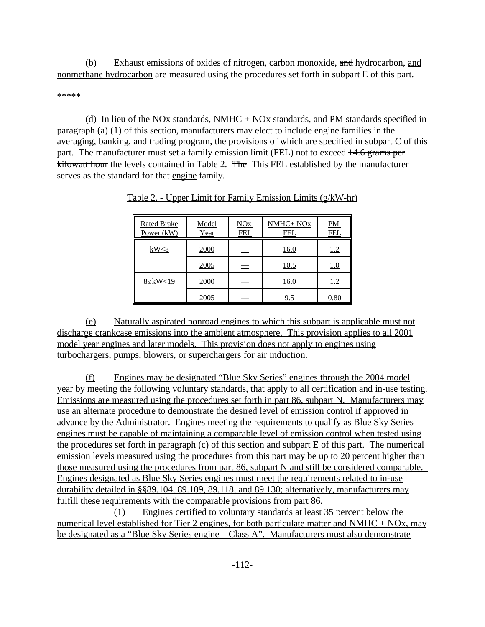(b) Exhaust emissions of oxides of nitrogen, carbon monoxide, and hydrocarbon, and nonmethane hydrocarbon are measured using the procedures set forth in subpart E of this part.

\*\*\*\*\*

kilowatt hour the levels contained in Table 2. The This FEL established by the manufacturer (d) In lieu of the  $NOX$  standards,  $NMHC + NOx$  standards, and PM standards specified in paragraph (a)  $(1)$  of this section, manufacturers may elect to include engine families in the averaging, banking, and trading program, the provisions of which are specified in subpart C of this part. The manufacturer must set a family emission limit (FEL) not to exceed 14.6 grams per serves as the standard for that engine family.

| <b>Rated Brake</b><br>Power (kW) | Model<br>Year | NOx<br><u>FEL</u> | NMHC+ NOx<br>FEI | $PM$<br><u>FEI</u> |
|----------------------------------|---------------|-------------------|------------------|--------------------|
| kW<8                             | 2000          | $\equiv$          | 16.0             | <u>1.2</u>         |
|                                  | 2005          | $\equiv$          | 10.5             | <u>1.0</u>         |
| $8 \leq$ kW<19                   | 2000          | $\equiv$          | 16.0             | <u>1.2</u>         |
|                                  | 2005          |                   | 9.5              | 0.80               |

Table 2. - Upper Limit for Family Emission Limits (g/kW-hr)

(e) Naturally aspirated nonroad engines to which this subpart is applicable must not discharge crankcase emissions into the ambient atmosphere. This provision applies to all 2001 model year engines and later models. This provision does not apply to engines using turbochargers, pumps, blowers, or superchargers for air induction.

(f) Engines may be designated "Blue Sky Series" engines through the 2004 model year by meeting the following voluntary standards, that apply to all certification and in-use testing. Emissions are measured using the procedures set forth in part 86, subpart N. Manufacturers may use an alternate procedure to demonstrate the desired level of emission control if approved in advance by the Administrator. Engines meeting the requirements to qualify as Blue Sky Series engines must be capable of maintaining a comparable level of emission control when tested using the procedures set forth in paragraph (c) of this section and subpart E of this part. The numerical emission levels measured using the procedures from this part may be up to 20 percent higher than those measured using the procedures from part 86, subpart N and still be considered comparable. Engines designated as Blue Sky Series engines must meet the requirements related to in-use durability detailed in §§89.104, 89.109, 89.118, and 89.130; alternatively, manufacturers may fulfill these requirements with the comparable provisions from part 86.

(1) Engines certified to voluntary standards at least 35 percent below the numerical level established for Tier 2 engines, for both particulate matter and NMHC + NOx, may be designated as a "Blue Sky Series engine—Class A". Manufacturers must also demonstrate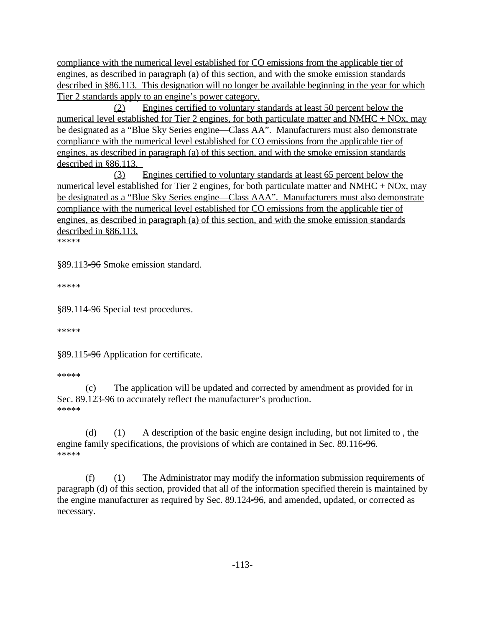compliance with the numerical level established for CO emissions from the applicable tier of engines, as described in paragraph (a) of this section, and with the smoke emission standards described in §86.113. This designation will no longer be available beginning in the year for which Tier 2 standards apply to an engine's power category.

(2) Engines certified to voluntary standards at least 50 percent below the numerical level established for Tier 2 engines, for both particulate matter and NMHC + NOx, may be designated as a "Blue Sky Series engine—Class AA". Manufacturers must also demonstrate compliance with the numerical level established for CO emissions from the applicable tier of engines, as described in paragraph (a) of this section, and with the smoke emission standards described in §86.113.

described in §86.113.<br>\*\*\*\*\* (3) Engines certified to voluntary standards at least 65 percent below the numerical level established for Tier 2 engines, for both particulate matter and NMHC + NOx, may be designated as a "Blue Sky Series engine—Class AAA". Manufacturers must also demonstrate compliance with the numerical level established for CO emissions from the applicable tier of engines, as described in paragraph (a) of this section, and with the smoke emission standards

§89.113-96 Smoke emission standard.

\*\*\*\*\*

§89.114-96 Special test procedures.

\*\*\*\*\*

§89.115-96 Application for certificate.

#### \*\*\*\*\*

(c) The application will be updated and corrected by amendment as provided for in Sec. 89.123<del>-96</del> to accurately reflect the manufacturer's production. \*\*\*\*\*

(d) (1) A description of the basic engine design including, but not limited to , the engine family specifications, the provisions of which are contained in Sec. 89.116-96. \*\*\*\*\*

(f) (1) The Administrator may modify the information submission requirements of paragraph (d) of this section, provided that all of the information specified therein is maintained by the engine manufacturer as required by Sec. 89.124-96, and amended, updated, or corrected as necessary.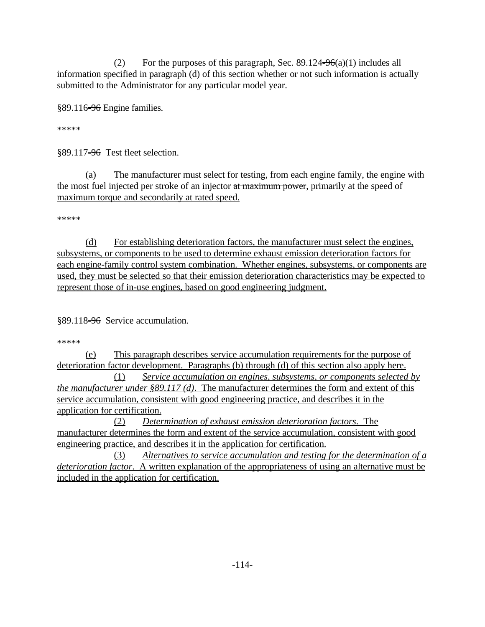(2) For the purposes of this paragraph, Sec.  $89.124\overline{--}96(a)(1)$  includes all information specified in paragraph (d) of this section whether or not such information is actually submitted to the Administrator for any particular model year.

§89.116-96 Engine families.

\*\*\*\*\*

§89.117-96 Test fleet selection.

(a) The manufacturer must select for testing, from each engine family, the engine with the most fuel injected per stroke of an injector at maximum power, primarily at the speed of maximum torque and secondarily at rated speed.

\*\*\*\*\*

(d) For establishing deterioration factors, the manufacturer must select the engines, subsystems, or components to be used to determine exhaust emission deterioration factors for each engine-family control system combination. Whether engines, subsystems, or components are used, they must be selected so that their emission deterioration characteristics may be expected to represent those of in-use engines, based on good engineering judgment.

§89.118-96 Service accumulation.

\*\*\*\*\*

(e) This paragraph describes service accumulation requirements for the purpose of deterioration factor development. Paragraphs (b) through (d) of this section also apply here.

(1) *Service accumulation on engines, subsystems, or components selected by the manufacturer under §89.117 (d)*. The manufacturer determines the form and extent of this service accumulation, consistent with good engineering practice, and describes it in the application for certification.

(2) *Determination of exhaust emission deterioration factors*. The manufacturer determines the form and extent of the service accumulation, consistent with good engineering practice, and describes it in the application for certification.

(3) *Alternatives to service accumulation and testing for the determination of a deterioration factor*. A written explanation of the appropriateness of using an alternative must be included in the application for certification.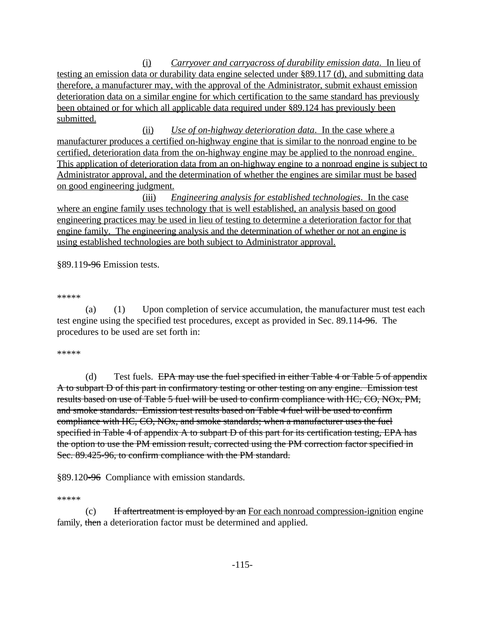(i) *Carryover and carryacross of durability emission data*. In lieu of testing an emission data or durability data engine selected under §89.117 (d), and submitting data therefore, a manufacturer may, with the approval of the Administrator, submit exhaust emission deterioration data on a similar engine for which certification to the same standard has previously been obtained or for which all applicable data required under §89.124 has previously been submitted.

(ii) *Use of on-highway deterioration data*. In the case where a manufacturer produces a certified on-highway engine that is similar to the nonroad engine to be certified, deterioration data from the on-highway engine may be applied to the nonroad engine. This application of deterioration data from an on-highway engine to a nonroad engine is subject to Administrator approval, and the determination of whether the engines are similar must be based on good engineering judgment.

(iii) *Engineering analysis for established technologies*. In the case where an engine family uses technology that is well established, an analysis based on good engineering practices may be used in lieu of testing to determine a deterioration factor for that engine family. The engineering analysis and the determination of whether or not an engine is using established technologies are both subject to Administrator approval.

§89.119<del>-96</del> Emission tests.

\*\*\*\*\*

(a) (1) Upon completion of service accumulation, the manufacturer must test each test engine using the specified test procedures, except as provided in Sec. 89.114-96. The procedures to be used are set forth in:

#### \*\*\*\*\*

(d) Test fuels. EPA may use the fuel specified in either Table  $4$  or Table  $5$  of appendix A to subpart D of this part in confirmatory testing or other testing on any engine. Emission test results based on use of Table 5 fuel will be used to confirm compliance with HC, CO, NOx, PM, and smoke standards. Emission test results based on Table 4 fuel will be used to confirm compliance with HC, CO, NOx, and smoke standards; when a manufacturer uses the fuel specified in Table 4 of appendix A to subpart D of this part for its certification testing, EPA has the option to use the PM emission result, corrected using the PM correction factor specified in Sec. 89.425-96, to confirm compliance with the PM standard.

§89.120-96 Compliance with emission standards.

\*\*\*\*\*

(c) If aftertreatment is employed by an For each nonroad compression-ignition engine family, then a deterioration factor must be determined and applied.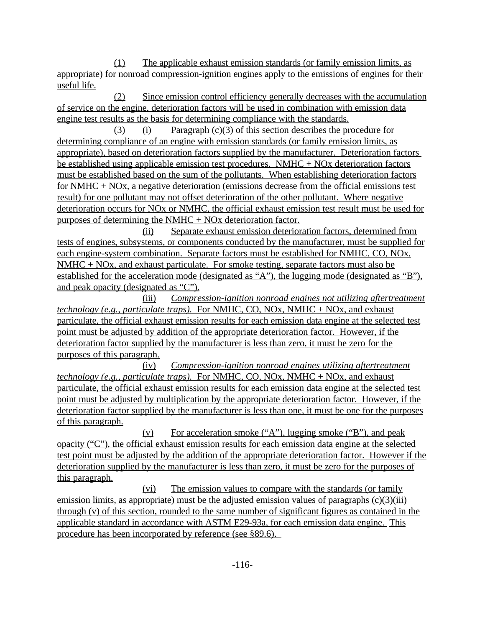(1) The applicable exhaust emission standards (or family emission limits, as appropriate) for nonroad compression-ignition engines apply to the emissions of engines for their useful life.

(2) Since emission control efficiency generally decreases with the accumulation of service on the engine, deterioration factors will be used in combination with emission data engine test results as the basis for determining compliance with the standards.

(3) (i) Paragraph (c)(3) of this section describes the procedure for determining compliance of an engine with emission standards (or family emission limits, as appropriate), based on deterioration factors supplied by the manufacturer. Deterioration factors be established using applicable emission test procedures. NMHC + NOx deterioration factors must be established based on the sum of the pollutants. When establishing deterioration factors for NMHC + NOx, a negative deterioration (emissions decrease from the official emissions test result) for one pollutant may not offset deterioration of the other pollutant. Where negative deterioration occurs for NOx or NMHC, the official exhaust emission test result must be used for purposes of determining the NMHC + NOx deterioration factor.

(ii) Separate exhaust emission deterioration factors, determined from tests of engines, subsystems, or components conducted by the manufacturer, must be supplied for each engine-system combination. Separate factors must be established for NMHC, CO, NOx, NMHC + NOx, and exhaust particulate. For smoke testing, separate factors must also be established for the acceleration mode (designated as "A"), the lugging mode (designated as "B"), and peak opacity (designated as "C").

(iii) *Compression-ignition nonroad engines not utilizing aftertreatment technology (e.g., particulate traps).* For NMHC, CO, NOx, NMHC + NOx, and exhaust particulate, the official exhaust emission results for each emission data engine at the selected test point must be adjusted by addition of the appropriate deterioration factor. However, if the deterioration factor supplied by the manufacturer is less than zero, it must be zero for the purposes of this paragraph.

(iv) *Compression-ignition nonroad engines utilizing aftertreatment technology (e.g., particulate traps).* For NMHC, CO, NOx, NMHC + NOx, and exhaust particulate, the official exhaust emission results for each emission data engine at the selected test point must be adjusted by multiplication by the appropriate deterioration factor. However, if the deterioration factor supplied by the manufacturer is less than one, it must be one for the purposes of this paragraph.

(v) For acceleration smoke ("A"), lugging smoke ("B"), and peak opacity ("C"), the official exhaust emission results for each emission data engine at the selected test point must be adjusted by the addition of the appropriate deterioration factor. However if the deterioration supplied by the manufacturer is less than zero, it must be zero for the purposes of this paragraph.

(vi) The emission values to compare with the standards (or family emission limits, as appropriate) must be the adjusted emission values of paragraphs  $(c)(3)(iii)$ through (v) of this section, rounded to the same number of significant figures as contained in the applicable standard in accordance with ASTM E29-93a, for each emission data engine. This procedure has been incorporated by reference (see §89.6).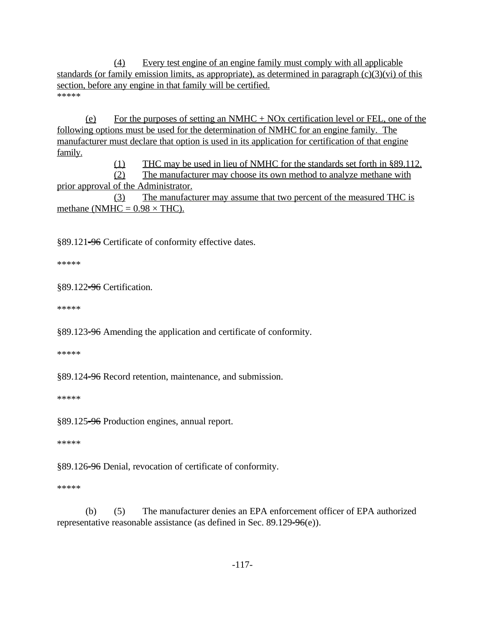(4) Every test engine of an engine family must comply with all applicable standards (or family emission limits, as appropriate), as determined in paragraph  $(c)(3)(vi)$  of this section, before any engine in that family will be certified. \*\*\*\*\*

(e) For the purposes of setting an NMHC + NOx certification level or FEL, one of the following options must be used for the determination of NMHC for an engine family. The manufacturer must declare that option is used in its application for certification of that engine family.

(1) THC may be used in lieu of NMHC for the standards set forth in §89.112.

(2) The manufacturer may choose its own method to analyze methane with prior approval of the Administrator.

(3) The manufacturer may assume that two percent of the measured THC is methane (NMHC =  $0.98 \times THC$ ).

§89.121-96 Certificate of conformity effective dates.

\*\*\*\*\*

§89.122=96 Certification.

\*\*\*\*\*

§89.123<del>-96</del> Amending the application and certificate of conformity.

\*\*\*\*\*

§89.124-96 Record retention, maintenance, and submission.

\*\*\*\*\*

§89.125-96 Production engines, annual report.

\*\*\*\*\*

§89.126<del>-96</del> Denial, revocation of certificate of conformity.

\*\*\*\*\*

(b) (5) The manufacturer denies an EPA enforcement officer of EPA authorized representative reasonable assistance (as defined in Sec. 89.129- $96(e)$ ).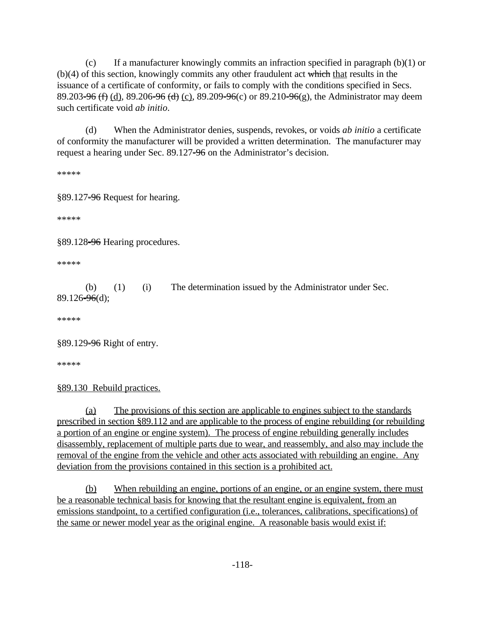89.203<del>-96 (f)</del> (d), 89.206<del>-96 (d)</del> (c), 89.209-96(c) or 89.210-96(g), the Administrator may deem (c) If a manufacturer knowingly commits an infraction specified in paragraph (b)(1) or  $(b)(4)$  of this section, knowingly commits any other fraudulent act which that results in the issuance of a certificate of conformity, or fails to comply with the conditions specified in Secs. such certificate void *ab initio*.

(d) When the Administrator denies, suspends, revokes, or voids *ab initio* a certificate of conformity the manufacturer will be provided a written determination. The manufacturer may request a hearing under Sec. 89.127-96 on the Administrator's decision.

\*\*\*\*\*

§89.127<del>-96</del> Request for hearing.

\*\*\*\*\*

§89.128<del>-96</del> Hearing procedures.

\*\*\*\*\*

(b) (1) (i) The determination issued by the Administrator under Sec.  $89.126 - 96$ (d);

\*\*\*\*\*

§89.129-96 Right of entry.

\*\*\*\*\*

§89.130 Rebuild practices.

(a) The provisions of this section are applicable to engines subject to the standards prescribed in section §89.112 and are applicable to the process of engine rebuilding (or rebuilding a portion of an engine or engine system). The process of engine rebuilding generally includes disassembly, replacement of multiple parts due to wear, and reassembly, and also may include the removal of the engine from the vehicle and other acts associated with rebuilding an engine. Any deviation from the provisions contained in this section is a prohibited act.

(b) When rebuilding an engine, portions of an engine, or an engine system, there must be a reasonable technical basis for knowing that the resultant engine is equivalent, from an emissions standpoint, to a certified configuration (i.e., tolerances, calibrations, specifications) of the same or newer model year as the original engine. A reasonable basis would exist if: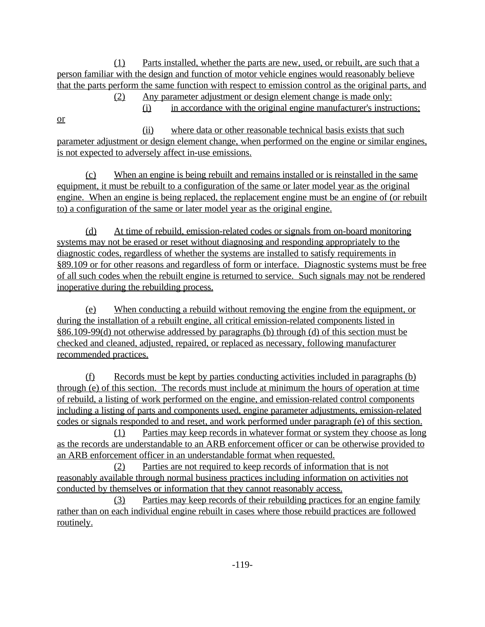(1) Parts installed, whether the parts are new, used, or rebuilt, are such that a person familiar with the design and function of motor vehicle engines would reasonably believe that the parts perform the same function with respect to emission control as the original parts, and

(2) Any parameter adjustment or design element change is made only:

(i) in accordance with the original engine manufacturer's instructions;

or

(ii) where data or other reasonable technical basis exists that such parameter adjustment or design element change, when performed on the engine or similar engines, is not expected to adversely affect in-use emissions.

(c) When an engine is being rebuilt and remains installed or is reinstalled in the same equipment, it must be rebuilt to a configuration of the same or later model year as the original engine. When an engine is being replaced, the replacement engine must be an engine of (or rebuilt to) a configuration of the same or later model year as the original engine.

(d) At time of rebuild, emission-related codes or signals from on-board monitoring systems may not be erased or reset without diagnosing and responding appropriately to the diagnostic codes, regardless of whether the systems are installed to satisfy requirements in §89.109 or for other reasons and regardless of form or interface. Diagnostic systems must be free of all such codes when the rebuilt engine is returned to service. Such signals may not be rendered inoperative during the rebuilding process.

(e) When conducting a rebuild without removing the engine from the equipment, or during the installation of a rebuilt engine, all critical emission-related components listed in §86.109-99(d) not otherwise addressed by paragraphs (b) through (d) of this section must be checked and cleaned, adjusted, repaired, or replaced as necessary, following manufacturer recommended practices.

(f) Records must be kept by parties conducting activities included in paragraphs (b) through (e) of this section. The records must include at minimum the hours of operation at time of rebuild, a listing of work performed on the engine, and emission-related control components including a listing of parts and components used, engine parameter adjustments, emission-related codes or signals responded to and reset, and work performed under paragraph (e) of this section.

(1) Parties may keep records in whatever format or system they choose as long as the records are understandable to an ARB enforcement officer or can be otherwise provided to an ARB enforcement officer in an understandable format when requested.

(2) Parties are not required to keep records of information that is not reasonably available through normal business practices including information on activities not conducted by themselves or information that they cannot reasonably access.

(3) Parties may keep records of their rebuilding practices for an engine family rather than on each individual engine rebuilt in cases where those rebuild practices are followed routinely.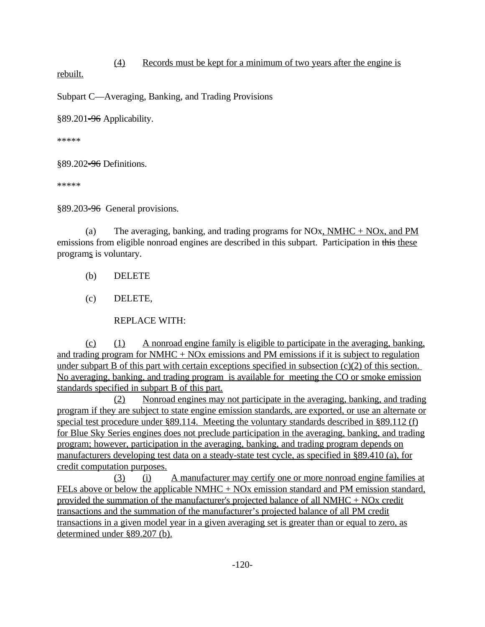## (4) Records must be kept for a minimum of two years after the engine is

rebuilt.

Subpart C—Averaging, Banking, and Trading Provisions

§89.201-96 Applicability.

\*\*\*\*\*

§89.202<del>-96</del> Definitions.

\*\*\*\*\*

§89.203<del>-96</del> General provisions.

(a) The averaging, banking, and trading programs for NOx, NMHC + NOx, and PM emissions from eligible nonroad engines are described in this subpart. Participation in this these programs is voluntary.

- (b) DELETE
- (c) DELETE,

REPLACE WITH:

(c) (1) A nonroad engine family is eligible to participate in the averaging, banking, and trading program for  $NMHC + NOx$  emissions and PM emissions if it is subject to regulation under subpart B of this part with certain exceptions specified in subsection (c)(2) of this section. No averaging, banking, and trading program is available for meeting the CO or smoke emission standards specified in subpart B of this part.

(2) Nonroad engines may not participate in the averaging, banking, and trading program if they are subject to state engine emission standards, are exported, or use an alternate or special test procedure under §89.114. Meeting the voluntary standards described in §89.112 (f) for Blue Sky Series engines does not preclude participation in the averaging, banking, and trading program; however, participation in the averaging, banking, and trading program depends on manufacturers developing test data on a steady-state test cycle, as specified in §89.410 (a), for credit computation purposes.

(3) (i) A manufacturer may certify one or more nonroad engine families at FELs above or below the applicable NMHC + NOx emission standard and PM emission standard, provided the summation of the manufacturer's projected balance of all  $NMHC + NOx$  credit transactions and the summation of the manufacturer's projected balance of all PM credit transactions in a given model year in a given averaging set is greater than or equal to zero, as determined under §89.207 (b).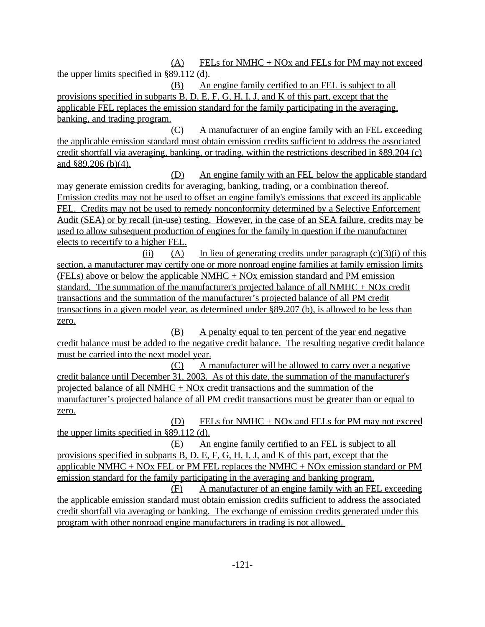$(A)$  FELs for NMHC + NOx and FELs for PM may not exceed the upper limits specified in §89.112 (d).

(B) An engine family certified to an FEL is subject to all provisions specified in subparts B, D, E, F, G, H, I, J, and K of this part, except that the applicable FEL replaces the emission standard for the family participating in the averaging, banking, and trading program.

(C) A manufacturer of an engine family with an FEL exceeding the applicable emission standard must obtain emission credits sufficient to address the associated credit shortfall via averaging, banking, or trading, within the restrictions described in §89.204 (c) and §89.206 (b)(4).

(D) An engine family with an FEL below the applicable standard may generate emission credits for averaging, banking, trading, or a combination thereof. Emission credits may not be used to offset an engine family's emissions that exceed its applicable FEL. Credits may not be used to remedy nonconformity determined by a Selective Enforcement Audit (SEA) or by recall (in-use) testing. However, in the case of an SEA failure, credits may be used to allow subsequent production of engines for the family in question if the manufacturer elects to recertify to a higher FEL.

(ii) (A) In lieu of generating credits under paragraph  $(c)(3)(i)$  of this section, a manufacturer may certify one or more nonroad engine families at family emission limits (FELs) above or below the applicable NMHC + NOx emission standard and PM emission standard. The summation of the manufacturer's projected balance of all NMHC  $+$  NOx credit transactions and the summation of the manufacturer's projected balance of all PM credit transactions in a given model year, as determined under §89.207 (b), is allowed to be less than zero.

(B) A penalty equal to ten percent of the year end negative credit balance must be added to the negative credit balance. The resulting negative credit balance must be carried into the next model year.

(C) A manufacturer will be allowed to carry over a negative credit balance until December 31, 2003. As of this date, the summation of the manufacturer's projected balance of all NMHC + NOx credit transactions and the summation of the manufacturer's projected balance of all PM credit transactions must be greater than or equal to zero.

(D) FELs for NMHC  $+$  NOx and FELs for PM may not exceed the upper limits specified in §89.112 (d).

(E) An engine family certified to an FEL is subject to all provisions specified in subparts B, D, E, F, G, H, I, J, and K of this part, except that the applicable NMHC + NOx FEL or PM FEL replaces the NMHC + NOx emission standard or PM emission standard for the family participating in the averaging and banking program.

(F) A manufacturer of an engine family with an FEL exceeding the applicable emission standard must obtain emission credits sufficient to address the associated credit shortfall via averaging or banking. The exchange of emission credits generated under this program with other nonroad engine manufacturers in trading is not allowed.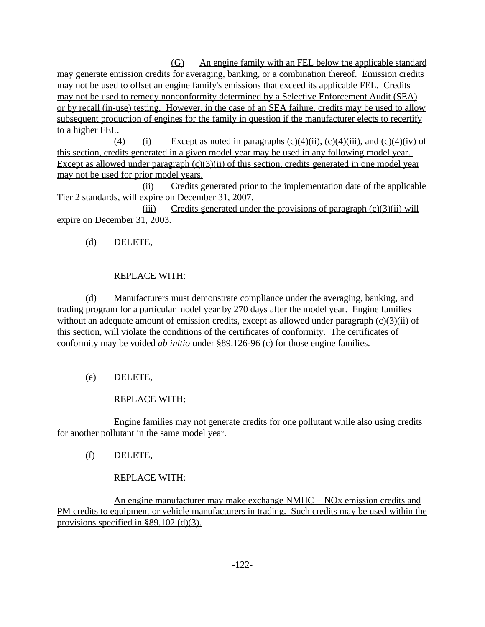(G) An engine family with an FEL below the applicable standard may generate emission credits for averaging, banking, or a combination thereof. Emission credits may not be used to offset an engine family's emissions that exceed its applicable FEL. Credits may not be used to remedy nonconformity determined by a Selective Enforcement Audit (SEA) or by recall (in-use) testing. However, in the case of an SEA failure, credits may be used to allow subsequent production of engines for the family in question if the manufacturer elects to recertify to a higher FEL.

(4) (i) Except as noted in paragraphs  $(c)(4)(ii)$ ,  $(c)(4)(iii)$ , and  $(c)(4)(iv)$  of this section, credits generated in a given model year may be used in any following model year. Except as allowed under paragraph  $(c)(3)(ii)$  of this section, credits generated in one model year may not be used for prior model years.

(ii) Credits generated prior to the implementation date of the applicable Tier 2 standards, will expire on December 31, 2007.

(iii) Credits generated under the provisions of paragraph (c)(3)(ii) will expire on December 31, 2003.

## (d) DELETE,

### REPLACE WITH:

(d) Manufacturers must demonstrate compliance under the averaging, banking, and trading program for a particular model year by 270 days after the model year. Engine families without an adequate amount of emission credits, except as allowed under paragraph (c)(3)(ii) of this section, will violate the conditions of the certificates of conformity. The certificates of conformity may be voided *ab initio* under §89.126-96 (c) for those engine families.

## (e) DELETE,

## REPLACE WITH:

Engine families may not generate credits for one pollutant while also using credits for another pollutant in the same model year.

(f) DELETE,

## REPLACE WITH:

An engine manufacturer may make exchange  $NMHC + NOx$  emission credits and PM credits to equipment or vehicle manufacturers in trading. Such credits may be used within the provisions specified in §89.102 (d)(3).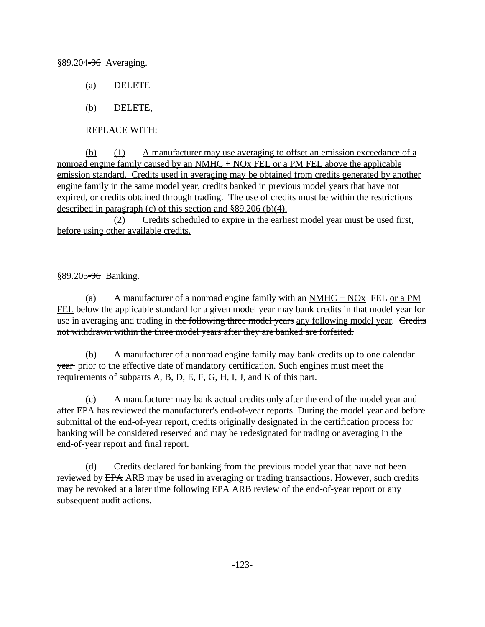§89.204-96 Averaging.

- (a) DELETE
- (b) DELETE,

REPLACE WITH:

(b) (1) A manufacturer may use averaging to offset an emission exceedance of a nonroad engine family caused by an NMHC + NOx FEL or a PM FEL above the applicable emission standard. Credits used in averaging may be obtained from credits generated by another engine family in the same model year, credits banked in previous model years that have not expired, or credits obtained through trading. The use of credits must be within the restrictions described in paragraph (c) of this section and §89.206 (b)(4).

(2) Credits scheduled to expire in the earliest model year must be used first, before using other available credits.

§89.205-96 Banking.

use in averaging and trading in the following three model years any following model year. Credits (a) A manufacturer of a nonroad engine family with an  $NMHC + NOx$  FEL or a PM FEL below the applicable standard for a given model year may bank credits in that model year for not withdrawn within the three model years after they are banked are forfeited.

(b) A manufacturer of a nonroad engine family may bank credits  $up to one calendar$ year prior to the effective date of mandatory certification. Such engines must meet the requirements of subparts A, B, D, E, F, G, H, I, J, and K of this part.

(c) A manufacturer may bank actual credits only after the end of the model year and after EPA has reviewed the manufacturer's end-of-year reports. During the model year and before submittal of the end-of-year report, credits originally designated in the certification process for banking will be considered reserved and may be redesignated for trading or averaging in the end-of-year report and final report.

(d) Credits declared for banking from the previous model year that have not been reviewed by EPA ARB may be used in averaging or trading transactions. However, such credits may be revoked at a later time following EPA ARB review of the end-of-year report or any subsequent audit actions.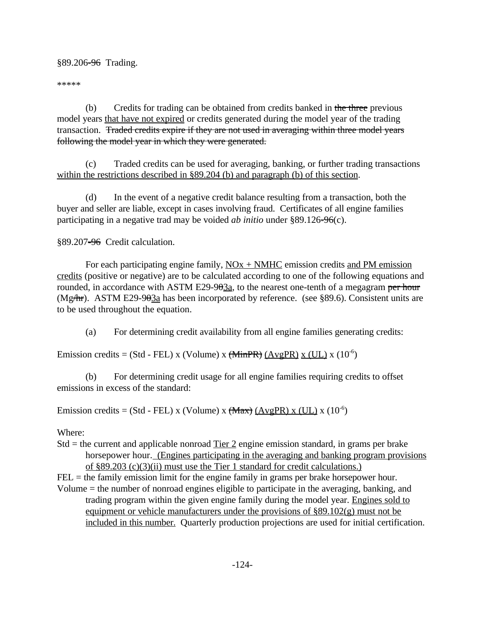#### §89.206-96 Trading.

\*\*\*\*\*

(b) Credits for trading can be obtained from credits banked in the three previous model years that have not expired or credits generated during the model year of the trading transaction. Traded credits expire if they are not used in averaging within three model years following the model year in which they were generated.

(c) Traded credits can be used for averaging, banking, or further trading transactions within the restrictions described in §89.204 (b) and paragraph (b) of this section.

(d) In the event of a negative credit balance resulting from a transaction, both the buyer and seller are liable, except in cases involving fraud. Certificates of all engine families participating in a negative trad may be voided *ab initio* under §89.126-96(c).

§89.207-96 Credit calculation.

For each participating engine family,  $\overline{NOX}$  +  $\overline{NMHC}$  emission credits and PM emission credits (positive or negative) are to be calculated according to one of the following equations and rounded, in accordance with ASTM E29-9<del>03a</del>, to the nearest one-tenth of a megagram <del>per hour</del> (Mg $\pi$ ). ASTM E29-903a has been incorporated by reference. (see §89.6). Consistent units are to be used throughout the equation.

(a) For determining credit availability from all engine families generating credits:

Emission credits = (Std - FEL) x (Volume) x  $(\text{MinPR})$   $(\text{AvgPR})$  x  $(\text{UL})$  x  $(10^{-6})$ 

(b) For determining credit usage for all engine families requiring credits to offset emissions in excess of the standard:

Emission credits = (Std - FEL) x (Volume) x  $(\text{Max})$   $(AvgPR)$  x  $(UL)$  x  $(10^{-6})$ 

Where:

- Std = the current and applicable nonroad  $Tier 2$  engine emission standard, in grams per brake horsepower hour. (Engines participating in the averaging and banking program provisions of §89.203 (c)(3)(ii) must use the Tier 1 standard for credit calculations.)
- $FEL =$  the family emission limit for the engine family in grams per brake horsepower hour.
- included in this number. Quarterly production projections are used for initial certification. Volume = the number of nonroad engines eligible to participate in the averaging, banking, and trading program within the given engine family during the model year. Engines sold to equipment or vehicle manufacturers under the provisions of  $\S 89.102(g)$  must not be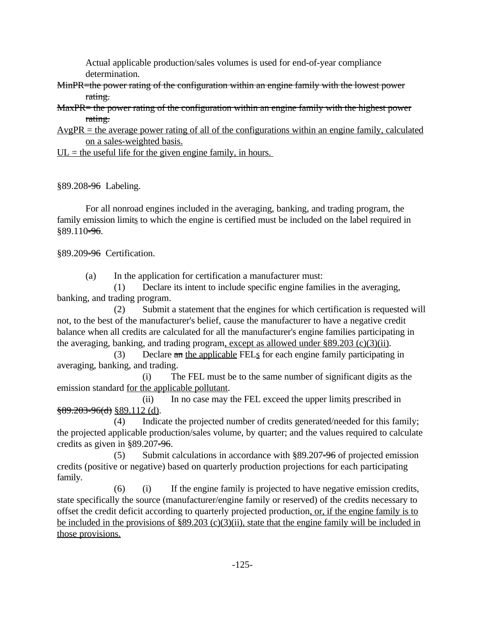Actual applicable production/sales volumes is used for end-of-year compliance determination.

- MinPR=the power rating of the configuration within an engine family with the lowest power rating.
- MaxPR= the power rating of the configuration within an engine family with the highest power rating.
- $AvgPR =$  the average power rating of all of the configurations within an engine family, calculated on a sales-weighted basis.
- $UL =$  the useful life for the given engine family, in hours.

§89.208-96 Labeling.

For all nonroad engines included in the averaging, banking, and trading program, the family emission limits to which the engine is certified must be included on the label required in §89.110-96.

§89.209-96 Certification.

(a) In the application for certification a manufacturer must:

(1) Declare its intent to include specific engine families in the averaging, banking, and trading program.

(2) Submit a statement that the engines for which certification is requested will not, to the best of the manufacturer's belief, cause the manufacturer to have a negative credit balance when all credits are calculated for all the manufacturer's engine families participating in the averaging, banking, and trading program, except as allowed under §89.203 (c)(3)(ii).

(3) Declare  $\pi n$  the applicable FELs for each engine family participating in averaging, banking, and trading.

(i) The FEL must be to the same number of significant digits as the emission standard for the applicable pollutant.

(ii) In no case may the FEL exceed the upper limits prescribed in  $$89.203-96(d)$  §89.112 (d).

(4) Indicate the projected number of credits generated/needed for this family; the projected applicable production/sales volume, by quarter; and the values required to calculate credits as given in §89.207-96.

(5) Submit calculations in accordance with  $\S 89.207 = 96$  of projected emission credits (positive or negative) based on quarterly production projections for each participating family.

 $(6)$  (i) If the engine family is projected to have negative emission credits, state specifically the source (manufacturer/engine family or reserved) of the credits necessary to offset the credit deficit according to quarterly projected production, or, if the engine family is to be included in the provisions of §89.203 (c)(3)(ii), state that the engine family will be included in those provisions.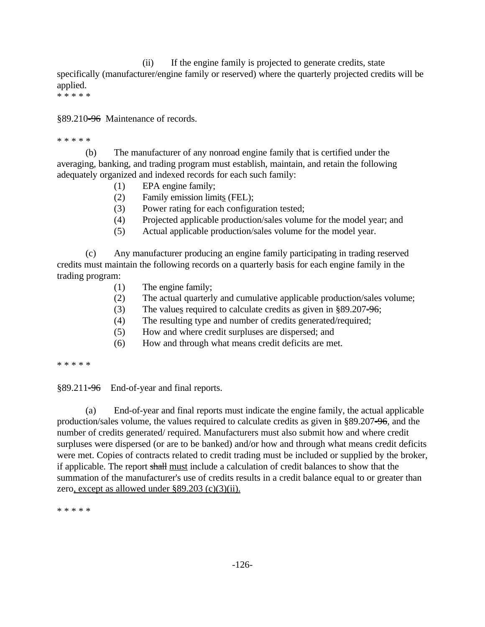(ii) If the engine family is projected to generate credits, state specifically (manufacturer/engine family or reserved) where the quarterly projected credits will be applied.

\* \* \* \* \*

§89.210-96 Maintenance of records.

\* \* \* \* \*

(b) The manufacturer of any nonroad engine family that is certified under the averaging, banking, and trading program must establish, maintain, and retain the following adequately organized and indexed records for each such family:

- (1) EPA engine family;
- (2) Family emission limits (FEL);
- (3) Power rating for each configuration tested;
- (4) Projected applicable production/sales volume for the model year; and
- (5) Actual applicable production/sales volume for the model year.

(c) Any manufacturer producing an engine family participating in trading reserved credits must maintain the following records on a quarterly basis for each engine family in the trading program:

- (1) The engine family;
- (2) The actual quarterly and cumulative applicable production/sales volume;
- (3) The values required to calculate credits as given in  $§89.207 = 96$ ;
- (4) The resulting type and number of credits generated/required;
- (5) How and where credit surpluses are dispersed; and
- (6) How and through what means credit deficits are met.

\* \* \* \* \*

 $§89.211=96$  End-of-year and final reports.

(a) End-of-year and final reports must indicate the engine family, the actual applicable production/sales volume, the values required to calculate credits as given in §89.207-96, and the number of credits generated/ required. Manufacturers must also submit how and where credit surpluses were dispersed (or are to be banked) and/or how and through what means credit deficits were met. Copies of contracts related to credit trading must be included or supplied by the broker, if applicable. The report shall must include a calculation of credit balances to show that the summation of the manufacturer's use of credits results in a credit balance equal to or greater than zero, except as allowed under §89.203 (c)(3)(ii).

\* \* \* \* \*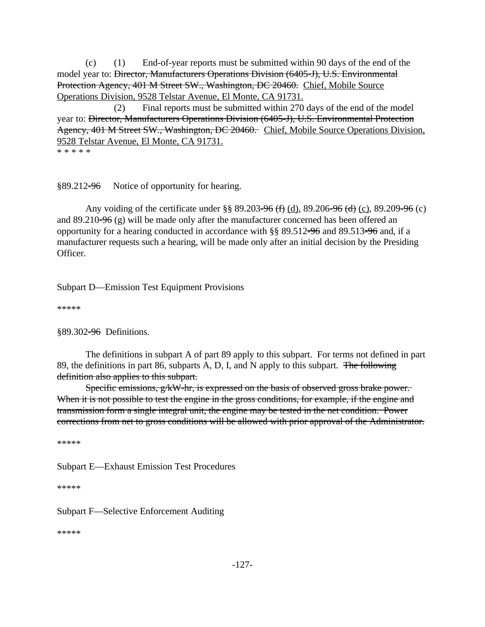Protection Agency, 401 M Street SW., Washington, DC 20460. Chief, Mobile Source (c) (1) End-of-year reports must be submitted within 90 days of the end of the model year to: Director, Manufacturers Operations Division (6405-J), U.S. Environmental Operations Division, 9528 Telstar Avenue, El Monte, CA 91731.

Agency, 401 M Street SW., Washington, DC 20460. Chief, Mobile Source Operations Division, (2) Final reports must be submitted within 270 days of the end of the model year to: Director, Manufacturers Operations Division (6405-J), U.S. Environmental Protection 9528 Telstar Avenue, El Monte, CA 91731.

\* \* \* \* \*

§89.212-96 Notice of opportunity for hearing.

Any voiding of the certificate under §§ 89.203<del>-96 (f)</del> (d), 89.206<del>-96 (d)</del> (c), 89.209<del>-96</del> (c) and  $89.210\text{-}96$  (g) will be made only after the manufacturer concerned has been offered an opportunity for a hearing conducted in accordance with §§ 89.512-96 and 89.513-96 and, if a manufacturer requests such a hearing, will be made only after an initial decision by the Presiding Officer.

Subpart D—Emission Test Equipment Provisions

\*\*\*\*\*

§89.302<del>-96</del> Definitions.

The definitions in subpart A of part 89 apply to this subpart. For terms not defined in part 89, the definitions in part 86, subparts A, D, I, and N apply to this subpart. The following definition also applies to this subpart.

Specific emissions, g/kW-hr, is expressed on the basis of observed gross brake power. When it is not possible to test the engine in the gross conditions, for example, if the engine and transmission form a single integral unit, the engine may be tested in the net condition. Power corrections from net to gross conditions will be allowed with prior approval of the Administrator.

\*\*\*\*\*

Subpart E—Exhaust Emission Test Procedures

\*\*\*\*\*

Subpart F—Selective Enforcement Auditing

\*\*\*\*\*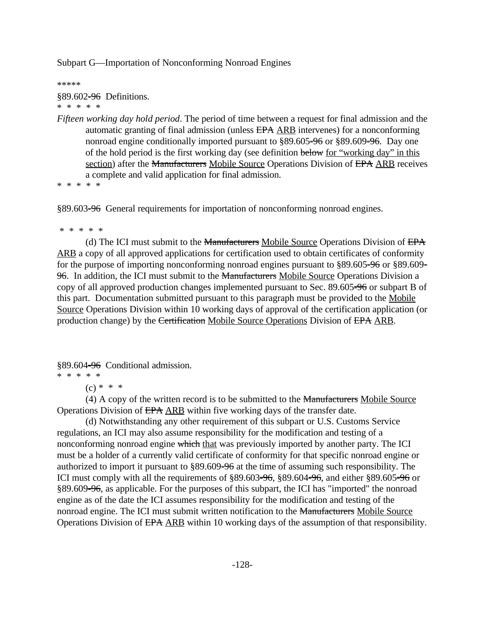Subpart G—Importation of Nonconforming Nonroad Engines

\*\*\*\*\*

§89.602<del>-96</del> Definitions. \* \* \* \* \*

*Fifteen working day hold period*. The period of time between a request for final admission and the automatic granting of final admission (unless EPA ARB intervenes) for a nonconforming nonroad engine conditionally imported pursuant to §89.605-96 or §89.609-96. Day one of the hold period is the first working day (see definition below for "working day" in this section) after the Manufacturers Mobile Source Operations Division of EPA ARB receives a complete and valid application for final admission.

\* \* \* \* \*

§89.603-96 General requirements for importation of nonconforming nonroad engines.

\* \* \* \* \*

(d) The ICI must submit to the Manufacturers Mobile Source Operations Division of EPA ARB a copy of all approved applications for certification used to obtain certificates of conformity for the purpose of importing nonconforming nonroad engines pursuant to §89.605=96 or §89.609= 96. In addition, the ICI must submit to the Manufacturers Mobile Source Operations Division a copy of all approved production changes implemented pursuant to Sec. 89.605-96 or subpart B of this part. Documentation submitted pursuant to this paragraph must be provided to the Mobile Source Operations Division within 10 working days of approval of the certification application (or production change) by the Certification Mobile Source Operations Division of EPA ARB.

§89.604<del>-96</del> Conditional admission.

\* \* \* \* \*

 $(c) * * *$ 

(4) A copy of the written record is to be submitted to the Manufacturers Mobile Source Operations Division of EPA ARB within five working days of the transfer date.

(d) Notwithstanding any other requirement of this subpart or U.S. Customs Service regulations, an ICI may also assume responsibility for the modification and testing of a nonconforming nonroad engine which that was previously imported by another party. The ICI must be a holder of a currently valid certificate of conformity for that specific nonroad engine or authorized to import it pursuant to §89.609-96 at the time of assuming such responsibility. The ICI must comply with all the requirements of  $\S 89.603 = 96$ ,  $\S 89.604 = 96$ , and either  $\S 89.605 = 96$  or §89.609-96, as applicable. For the purposes of this subpart, the ICI has "imported" the nonroad engine as of the date the ICI assumes responsibility for the modification and testing of the nonroad engine. The ICI must submit written notification to the Manufacturers Mobile Source Operations Division of EPA ARB within 10 working days of the assumption of that responsibility.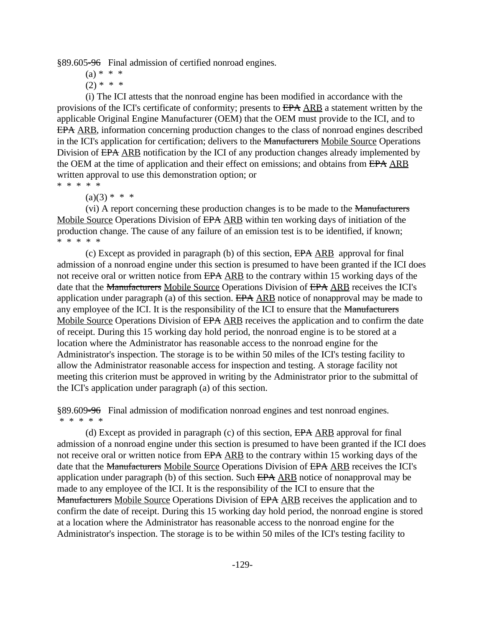§89.605-96 Final admission of certified nonroad engines.

 $(a) * * * *$ 

 $(2)$  \* \* \*

(i) The ICI attests that the nonroad engine has been modified in accordance with the provisions of the ICI's certificate of conformity; presents to EPA ARB a statement written by the applicable Original Engine Manufacturer (OEM) that the OEM must provide to the ICI, and to EPA ARB, information concerning production changes to the class of nonroad engines described in the ICI's application for certification; delivers to the Manufacturers Mobile Source Operations Division of EPA ARB notification by the ICI of any production changes already implemented by the OEM at the time of application and their effect on emissions; and obtains from EPA ARB written approval to use this demonstration option; or

\* \* \* \* \*

 $(a)(3) * * * *$ 

(vi) A report concerning these production changes is to be made to the Manufacturers Mobile Source Operations Division of EPA ARB within ten working days of initiation of the production change. The cause of any failure of an emission test is to be identified, if known; \* \* \* \* \*

(c) Except as provided in paragraph (b) of this section, EPA ARB approval for final admission of a nonroad engine under this section is presumed to have been granted if the ICI does not receive oral or written notice from EPA ARB to the contrary within 15 working days of the date that the Manufacturers Mobile Source Operations Division of EPA ARB receives the ICI's application under paragraph (a) of this section. EPA ARB notice of nonapproval may be made to any employee of the ICI. It is the responsibility of the ICI to ensure that the Manufacturers Mobile Source Operations Division of EPA ARB receives the application and to confirm the date of receipt. During this 15 working day hold period, the nonroad engine is to be stored at a location where the Administrator has reasonable access to the nonroad engine for the Administrator's inspection. The storage is to be within 50 miles of the ICI's testing facility to allow the Administrator reasonable access for inspection and testing. A storage facility not meeting this criterion must be approved in writing by the Administrator prior to the submittal of the ICI's application under paragraph (a) of this section.

§89.609-96 Final admission of modification nonroad engines and test nonroad engines. \* \* \* \* \*

(d) Except as provided in paragraph (c) of this section, EPA ARB approval for final admission of a nonroad engine under this section is presumed to have been granted if the ICI does not receive oral or written notice from EPA ARB to the contrary within 15 working days of the date that the Manufacturers Mobile Source Operations Division of EPA ARB receives the ICI's application under paragraph (b) of this section. Such EPA ARB notice of nonapproval may be made to any employee of the ICI. It is the responsibility of the ICI to ensure that the Manufacturers Mobile Source Operations Division of EPA ARB receives the application and to confirm the date of receipt. During this 15 working day hold period, the nonroad engine is stored at a location where the Administrator has reasonable access to the nonroad engine for the Administrator's inspection. The storage is to be within 50 miles of the ICI's testing facility to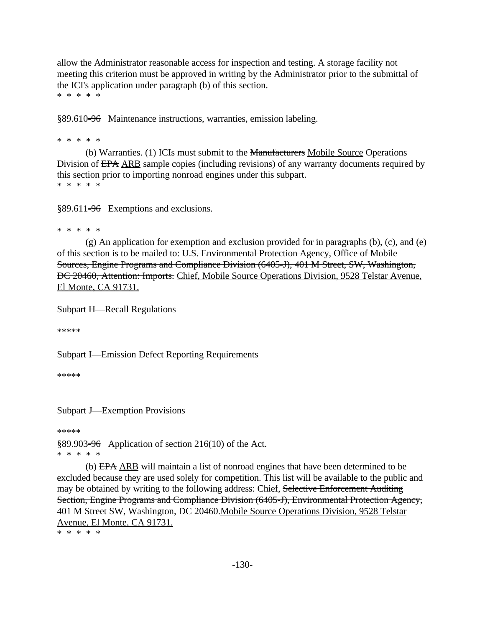allow the Administrator reasonable access for inspection and testing. A storage facility not meeting this criterion must be approved in writing by the Administrator prior to the submittal of the ICI's application under paragraph (b) of this section. \* \* \* \* \*

§89.610-96 Maintenance instructions, warranties, emission labeling.

\* \* \* \* \*

(b) Warranties. (1) ICIs must submit to the Manufacturers Mobile Source Operations Division of EPA ARB sample copies (including revisions) of any warranty documents required by this section prior to importing nonroad engines under this subpart. \* \* \* \* \*

§89.611-96 Exemptions and exclusions.

\* \* \* \* \*

(g) An application for exemption and exclusion provided for in paragraphs (b), (c), and (e) of this section is to be mailed to: U.S. Environmental Protection Agency, Office of Mobile Sources, Engine Programs and Compliance Division (6405-J), 401 M Street, SW, Washington, DC 20460, Attention: Imports. Chief, Mobile Source Operations Division, 9528 Telstar Avenue, El Monte, CA 91731.

Subpart H—Recall Regulations

\*\*\*\*\*

Subpart I—Emission Defect Reporting Requirements

\*\*\*\*\*

Subpart J—Exemption Provisions

\*\*\*\*\*

§89.903-96 Application of section 216(10) of the Act. \* \* \* \* \*

(b) EPA ARB will maintain a list of nonroad engines that have been determined to be excluded because they are used solely for competition. This list will be available to the public and may be obtained by writing to the following address: Chief, Selective Enforcement Auditing Section, Engine Programs and Compliance Division (6405-J), Environmental Protection Agency, 401 M Street SW, Washington, DC 20460.Mobile Source Operations Division, 9528 Telstar Avenue, El Monte, CA 91731.

\* \* \* \* \*